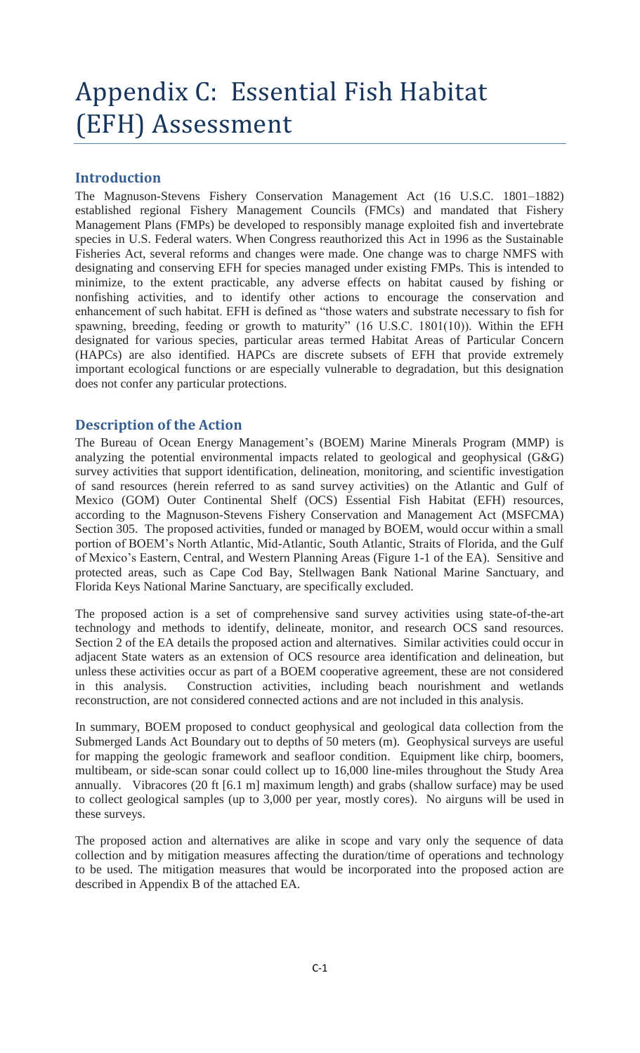# Appendix C: Essential Fish Habitat (EFH) Assessment

#### **Introduction**

The Magnuson-Stevens Fishery Conservation Management Act (16 U.S.C. 1801–1882) established regional Fishery Management Councils (FMCs) and mandated that Fishery Management Plans (FMPs) be developed to responsibly manage exploited fish and invertebrate species in U.S. Federal waters. When Congress reauthorized this Act in 1996 as the Sustainable Fisheries Act, several reforms and changes were made. One change was to charge NMFS with designating and conserving EFH for species managed under existing FMPs. This is intended to minimize, to the extent practicable, any adverse effects on habitat caused by fishing or nonfishing activities, and to identify other actions to encourage the conservation and enhancement of such habitat. EFH is defined as "those waters and substrate necessary to fish for spawning, breeding, feeding or growth to maturity" (16 U.S.C. 1801(10)). Within the EFH designated for various species, particular areas termed Habitat Areas of Particular Concern (HAPCs) are also identified. HAPCs are discrete subsets of EFH that provide extremely important ecological functions or are especially vulnerable to degradation, but this designation does not confer any particular protections.

#### **Description of the Action**

The Bureau of Ocean Energy Management's (BOEM) Marine Minerals Program (MMP) is analyzing the potential environmental impacts related to geological and geophysical (G&G) survey activities that support identification, delineation, monitoring, and scientific investigation of sand resources (herein referred to as sand survey activities) on the Atlantic and Gulf of Mexico (GOM) Outer Continental Shelf (OCS) Essential Fish Habitat (EFH) resources, according to the Magnuson-Stevens Fishery Conservation and Management Act (MSFCMA) Section 305. The proposed activities, funded or managed by BOEM, would occur within a small portion of BOEM's North Atlantic, Mid-Atlantic, South Atlantic, Straits of Florida, and the Gulf of Mexico's Eastern, Central, and Western Planning Areas (Figure 1-1 of the EA). Sensitive and protected areas, such as Cape Cod Bay, Stellwagen Bank National Marine Sanctuary, and Florida Keys National Marine Sanctuary, are specifically excluded.

The proposed action is a set of comprehensive sand survey activities using state-of-the-art technology and methods to identify, delineate, monitor, and research OCS sand resources. Section 2 of the EA details the proposed action and alternatives. Similar activities could occur in adjacent State waters as an extension of OCS resource area identification and delineation, but unless these activities occur as part of a BOEM cooperative agreement, these are not considered in this analysis. Construction activities, including beach nourishment and wetlands reconstruction, are not considered connected actions and are not included in this analysis.

In summary, BOEM proposed to conduct geophysical and geological data collection from the Submerged Lands Act Boundary out to depths of 50 meters (m). Geophysical surveys are useful for mapping the geologic framework and seafloor condition. Equipment like chirp, boomers, multibeam, or side-scan sonar could collect up to 16,000 line-miles throughout the Study Area annually. Vibracores (20 ft [6.1 m] maximum length) and grabs (shallow surface) may be used to collect geological samples (up to 3,000 per year, mostly cores). No airguns will be used in these surveys.

The proposed action and alternatives are alike in scope and vary only the sequence of data collection and by mitigation measures affecting the duration/time of operations and technology to be used. The mitigation measures that would be incorporated into the proposed action are described in Appendix B of the attached EA.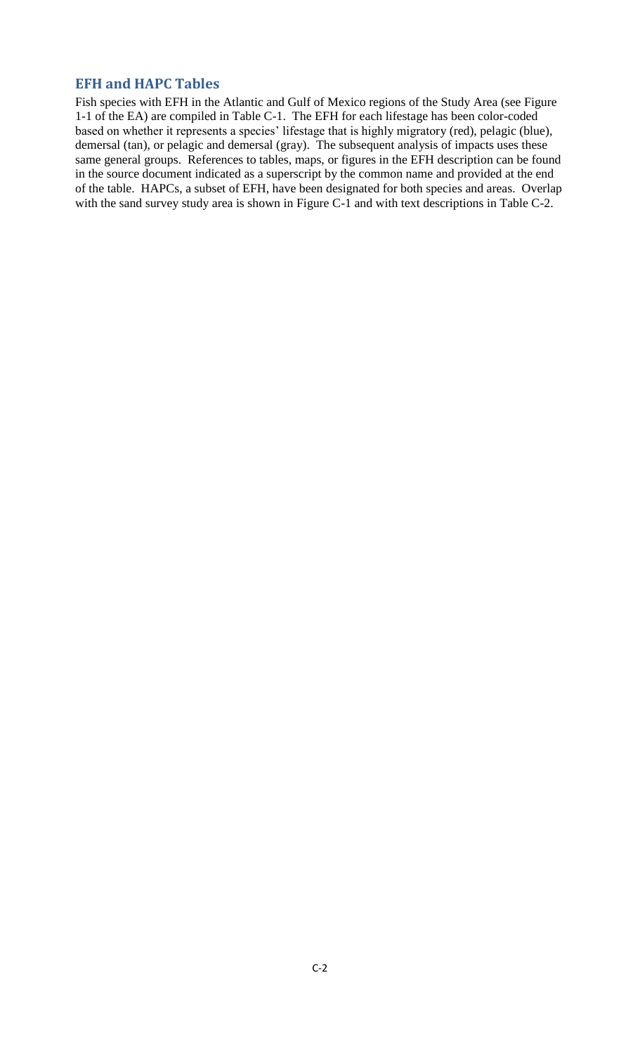#### **EFH and HAPC Tables**

Fish species with EFH in the Atlantic and Gulf of Mexico regions of the Study Area (see Figure 1-1 of the EA) are compiled in Table C-1. The EFH for each lifestage has been color-coded based on whether it represents a species' lifestage that is highly migratory (red), pelagic (blue), demersal (tan), or pelagic and demersal (gray). The subsequent analysis of impacts uses these same general groups. References to tables, maps, or figures in the EFH description can be found in the source document indicated as a superscript by the common name and provided at the end of the table. HAPCs, a subset of EFH, have been designated for both species and areas. Overlap with the sand survey study area is shown in Figure C-1 and with text descriptions in Table C-2.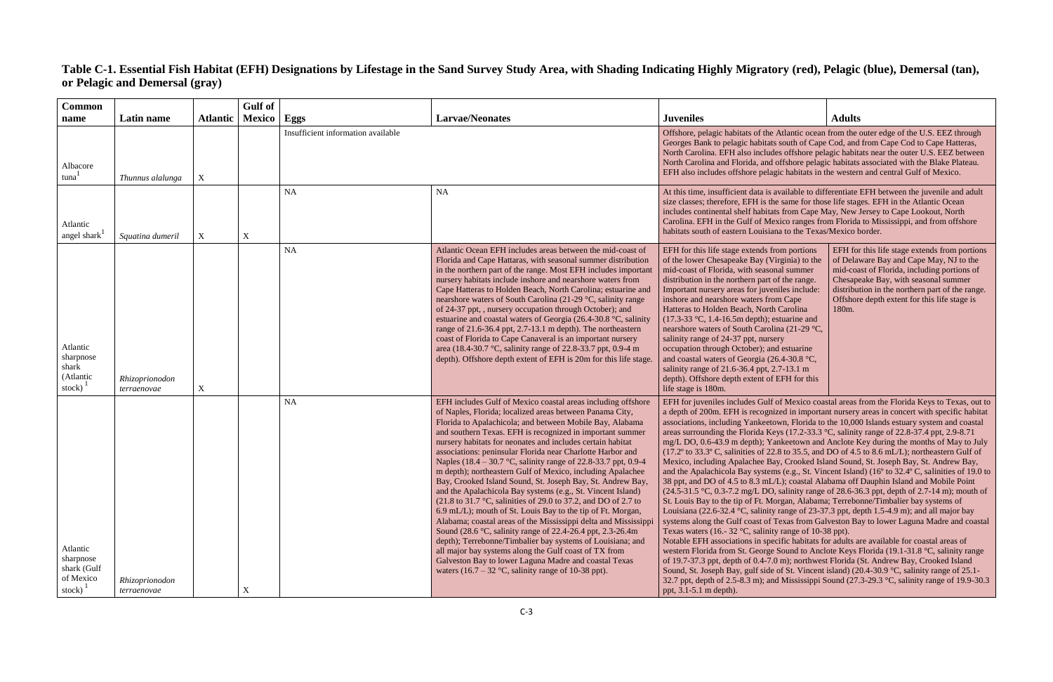## **Table C-1. Essential Fish Habitat (EFH) Designations by Lifestage in the Sand Survey Study Area, with Shading Indicating Highly Migratory (red), Pelagic (blue), Demersal (tan), or Pelagic and Demersal (gray)**

| Juveniles                                                                                                                                                                                                                                                                                                                                                                                                                                                                                                                                                                                                 | <b>Adults</b>                                                                                                                                                                                                                                                                               |  |  |  |  |  |  |  |
|-----------------------------------------------------------------------------------------------------------------------------------------------------------------------------------------------------------------------------------------------------------------------------------------------------------------------------------------------------------------------------------------------------------------------------------------------------------------------------------------------------------------------------------------------------------------------------------------------------------|---------------------------------------------------------------------------------------------------------------------------------------------------------------------------------------------------------------------------------------------------------------------------------------------|--|--|--|--|--|--|--|
| Offshore, pelagic habitats of the Atlantic ocean from the outer edge of the U.S. EEZ through<br>Georges Bank to pelagic habitats south of Cape Cod, and from Cape Cod to Cape Hatteras,<br>North Carolina. EFH also includes offshore pelagic habitats near the outer U.S. EEZ between<br>North Carolina and Florida, and offshore pelagic habitats associated with the Blake Plateau.<br>EFH also includes offshore pelagic habitats in the western and central Gulf of Mexico.                                                                                                                          |                                                                                                                                                                                                                                                                                             |  |  |  |  |  |  |  |
| At this time, insufficient data is available to differentiate EFH between the juvenile and adult<br>size classes; therefore, EFH is the same for those life stages. EFH in the Atlantic Ocean<br>includes continental shelf habitats from Cape May, New Jersey to Cape Lookout, North<br>Carolina. EFH in the Gulf of Mexico ranges from Florida to Mississippi, and from offshore<br>habitats south of eastern Louisiana to the Texas/Mexico border.                                                                                                                                                     |                                                                                                                                                                                                                                                                                             |  |  |  |  |  |  |  |
| EFH for this life stage extends from portions<br>of the lower Chesapeake Bay (Virginia) to the<br>mid-coast of Florida, with seasonal summer<br>distribution in the northern part of the range.<br>Important nursery areas for juveniles include:<br>inshore and nearshore waters from Cape<br>Hatteras to Holden Beach, North Carolina<br>$(17.3-33 \text{ °C}, 1.4-16.5 \text{ m}$ depth); estuarine and<br>nearshore waters of South Carolina (21-29 °C,<br>salinity range of 24-37 ppt, nursery<br>occupation through October); and estuarine<br>and coastal waters of Georgia (26.4.30 $8^{\circ}$ C | EFH for this life stage extends from portions<br>of Delaware Bay and Cape May, NJ to the<br>mid-coast of Florida, including portions of<br>Chesapeake Bay, with seasonal summer<br>distribution in the northern part of the range.<br>Offshore depth extent for this life stage is<br>180m. |  |  |  |  |  |  |  |

| <b>Common</b>                                                             |                               |                 | <b>Gulf</b> of |                                    |                                                                                                                                                                                                                                                                                                                                                                                                                                                                                                                                                                                                                                                                                                                                                                                                                                                                                                                                                                                                                                                                                                                                                                                                                              |                                                                                                                                                                                                                                                                                                                                                                                                                                                                                                                                                                                                                                                                                                                                                                                                                                                                                                                                                                                                                                                                                                                                                                                                                                                                                                                                                                                                                                                                                                                                                                                                                                                                                                                                                                                                                                                                                                                                                  |                                                                                                                                                                                                                                                                                                         |  |
|---------------------------------------------------------------------------|-------------------------------|-----------------|----------------|------------------------------------|------------------------------------------------------------------------------------------------------------------------------------------------------------------------------------------------------------------------------------------------------------------------------------------------------------------------------------------------------------------------------------------------------------------------------------------------------------------------------------------------------------------------------------------------------------------------------------------------------------------------------------------------------------------------------------------------------------------------------------------------------------------------------------------------------------------------------------------------------------------------------------------------------------------------------------------------------------------------------------------------------------------------------------------------------------------------------------------------------------------------------------------------------------------------------------------------------------------------------|--------------------------------------------------------------------------------------------------------------------------------------------------------------------------------------------------------------------------------------------------------------------------------------------------------------------------------------------------------------------------------------------------------------------------------------------------------------------------------------------------------------------------------------------------------------------------------------------------------------------------------------------------------------------------------------------------------------------------------------------------------------------------------------------------------------------------------------------------------------------------------------------------------------------------------------------------------------------------------------------------------------------------------------------------------------------------------------------------------------------------------------------------------------------------------------------------------------------------------------------------------------------------------------------------------------------------------------------------------------------------------------------------------------------------------------------------------------------------------------------------------------------------------------------------------------------------------------------------------------------------------------------------------------------------------------------------------------------------------------------------------------------------------------------------------------------------------------------------------------------------------------------------------------------------------------------------|---------------------------------------------------------------------------------------------------------------------------------------------------------------------------------------------------------------------------------------------------------------------------------------------------------|--|
| name                                                                      | Latin name                    | <b>Atlantic</b> | Mexico         | <b>Eggs</b>                        | <b>Larvae/Neonates</b>                                                                                                                                                                                                                                                                                                                                                                                                                                                                                                                                                                                                                                                                                                                                                                                                                                                                                                                                                                                                                                                                                                                                                                                                       | <b>Juveniles</b>                                                                                                                                                                                                                                                                                                                                                                                                                                                                                                                                                                                                                                                                                                                                                                                                                                                                                                                                                                                                                                                                                                                                                                                                                                                                                                                                                                                                                                                                                                                                                                                                                                                                                                                                                                                                                                                                                                                                 | <b>Adults</b>                                                                                                                                                                                                                                                                                           |  |
| Albacore<br>tuna <sup>-</sup>                                             | Thunnus alalunga              | X               |                | Insufficient information available |                                                                                                                                                                                                                                                                                                                                                                                                                                                                                                                                                                                                                                                                                                                                                                                                                                                                                                                                                                                                                                                                                                                                                                                                                              | Offshore, pelagic habitats of the Atlantic ocean from the outer edge of the U.S. EEZ through<br>Georges Bank to pelagic habitats south of Cape Cod, and from Cape Cod to Cape Hatteras,<br>North Carolina. EFH also includes offshore pelagic habitats near the outer U.S. EEZ between<br>North Carolina and Florida, and offshore pelagic habitats associated with the Blake Plateau.<br>EFH also includes offshore pelagic habitats in the western and central Gulf of Mexico.                                                                                                                                                                                                                                                                                                                                                                                                                                                                                                                                                                                                                                                                                                                                                                                                                                                                                                                                                                                                                                                                                                                                                                                                                                                                                                                                                                                                                                                                 |                                                                                                                                                                                                                                                                                                         |  |
| Atlantic<br>angel shark                                                   | Squatina dumeril              | X               | $\mathbf X$    | <b>NA</b>                          | <b>NA</b>                                                                                                                                                                                                                                                                                                                                                                                                                                                                                                                                                                                                                                                                                                                                                                                                                                                                                                                                                                                                                                                                                                                                                                                                                    | At this time, insufficient data is available to differentiate EFH between the juvenile and adult<br>size classes; therefore, EFH is the same for those life stages. EFH in the Atlantic Ocean<br>includes continental shelf habitats from Cape May, New Jersey to Cape Lookout, North<br>Carolina. EFH in the Gulf of Mexico ranges from Florida to Mississippi, and from offshore<br>habitats south of eastern Louisiana to the Texas/Mexico border.                                                                                                                                                                                                                                                                                                                                                                                                                                                                                                                                                                                                                                                                                                                                                                                                                                                                                                                                                                                                                                                                                                                                                                                                                                                                                                                                                                                                                                                                                            |                                                                                                                                                                                                                                                                                                         |  |
| Atlantic<br>sharpnose<br>shark<br>(Atlantic<br>stock)                     | Rhizoprionodon<br>terraenovae | X               |                | <b>NA</b>                          | Atlantic Ocean EFH includes areas between the mid-coast of<br>Florida and Cape Hattaras, with seasonal summer distribution<br>in the northern part of the range. Most EFH includes important<br>nursery habitats include inshore and nearshore waters from<br>Cape Hatteras to Holden Beach, North Carolina; estuarine and<br>nearshore waters of South Carolina (21-29 °C, salinity range<br>of 24-37 ppt, , nursery occupation through October); and<br>estuarine and coastal waters of Georgia (26.4-30.8 °C, salinity<br>range of 21.6-36.4 ppt, 2.7-13.1 m depth). The northeastern<br>coast of Florida to Cape Canaveral is an important nursery<br>area (18.4-30.7 °C, salinity range of 22.8-33.7 ppt, 0.9-4 m<br>depth). Offshore depth extent of EFH is 20m for this life stage.                                                                                                                                                                                                                                                                                                                                                                                                                                   | EFH for this life stage extends from portions<br>of the lower Chesapeake Bay (Virginia) to the<br>mid-coast of Florida, with seasonal summer<br>distribution in the northern part of the range.<br>Important nursery areas for juveniles include:<br>inshore and nearshore waters from Cape<br>Hatteras to Holden Beach, North Carolina<br>$(17.3-33 \text{ °C}, 1.4-16.5 \text{ m}$ depth); estuarine and<br>nearshore waters of South Carolina (21-29 °C,<br>salinity range of 24-37 ppt, nursery<br>occupation through October); and estuarine<br>and coastal waters of Georgia (26.4-30.8 °C,<br>salinity range of 21.6-36.4 ppt, 2.7-13.1 m<br>depth). Offshore depth extent of EFH for this<br>life stage is 180m.                                                                                                                                                                                                                                                                                                                                                                                                                                                                                                                                                                                                                                                                                                                                                                                                                                                                                                                                                                                                                                                                                                                                                                                                                         | EFH for this life stage extends from portions<br>of Delaware Bay and Cape May, NJ to the<br>mid-coast of Florida, including portions of<br>Chesapeake Bay, with seasonal summer<br>distribution in the northern part of the range<br>Offshore depth extent for this life stage is<br>180 <sub>m</sub> . |  |
| Atlantic<br>sharpnose<br>shark (Gulf<br>of Mexico<br>stock) $\frac{1}{2}$ | Rhizoprionodon<br>terraenovae |                 | X              | <b>NA</b>                          | EFH includes Gulf of Mexico coastal areas including offshore<br>of Naples, Florida; localized areas between Panama City,<br>Florida to Apalachicola; and between Mobile Bay, Alabama<br>and southern Texas. EFH is recognized in important summer<br>nursery habitats for neonates and includes certain habitat<br>associations: peninsular Florida near Charlotte Harbor and<br>Naples (18.4 – 30.7 °C, salinity range of 22.8-33.7 ppt, 0.9-4<br>m depth); northeastern Gulf of Mexico, including Apalachee<br>Bay, Crooked Island Sound, St. Joseph Bay, St. Andrew Bay,<br>and the Apalachicola Bay systems (e.g., St. Vincent Island)<br>$(21.8 \text{ to } 31.7 \text{ °C}, \text{ salinities of } 29.0 \text{ to } 37.2, \text{ and DO of } 2.7 \text{ to } 31.7 \text{ °C}$<br>6.9 mL/L); mouth of St. Louis Bay to the tip of Ft. Morgan,<br>Alabama; coastal areas of the Mississippi delta and Mississippi<br>Sound (28.6 °C, salinity range of 22.4-26.4 ppt, 2.3-26.4m<br>depth); Terrebonne/Timbalier bay systems of Louisiana; and<br>all major bay systems along the Gulf coast of TX from<br>Galveston Bay to lower Laguna Madre and coastal Texas<br>waters $(16.7 – 32 °C,$ salinity range of 10-38 ppt). | EFH for juveniles includes Gulf of Mexico coastal areas from the Florida Keys to Texas, out<br>a depth of 200m. EFH is recognized in important nursery areas in concert with specific habita<br>associations, including Yankeetown, Florida to the 10,000 Islands estuary system and coastal<br>areas surrounding the Florida Keys (17.2-33.3 °C, salinity range of 22.8-37.4 ppt, 2.9-8.71<br>mg/L DO, 0.6-43.9 m depth); Yankeetown and Anclote Key during the months of May to Jul<br>$(17.2^{\circ}$ to 33.3° C, salinities of 22.8 to 35.5, and DO of 4.5 to 8.6 mL/L); northeastern Gulf of<br>Mexico, including Apalachee Bay, Crooked Island Sound, St. Joseph Bay, St. Andrew Bay,<br>and the Apalachicola Bay systems (e.g., St. Vincent Island) (16° to 32.4° C, salinities of 19.0<br>38 ppt, and DO of 4.5 to 8.3 mL/L); coastal Alabama off Dauphin Island and Mobile Point<br>$(24.5-31.5 \degree C, 0.3-7.2 \degree \text{mg/L DO}, \text{sality range of } 28.6-36.3 \degree \text{ppt}, \text{ depth of } 2.7-14 \degree \text{m})$ ; mouth of<br>St. Louis Bay to the tip of Ft. Morgan, Alabama; Terrebonne/Timbalier bay systems of<br>Louisiana (22.6-32.4 °C, salinity range of 23-37.3 ppt, depth 1.5-4.9 m); and all major bay<br>systems along the Gulf coast of Texas from Galveston Bay to lower Laguna Madre and coasta<br>Texas waters (16.- 32 $\degree$ C, salinity range of 10-38 ppt).<br>Notable EFH associations in specific habitats for adults are available for coastal areas of<br>western Florida from St. George Sound to Anclote Keys Florida (19.1-31.8 °C, salinity range<br>of 19.7-37.3 ppt, depth of 0.4-7.0 m); northwest Florida (St. Andrew Bay, Crooked Island<br>Sound, St. Joseph Bay, gulf side of St. Vincent island) (20.4-30.9 °C, salinity range of 25.1-<br>32.7 ppt, depth of 2.5-8.3 m); and Mississippi Sound (27.3-29.3 °C, salinity range of 19.9-30.<br>ppt, 3.1-5.1 m depth). |                                                                                                                                                                                                                                                                                                         |  |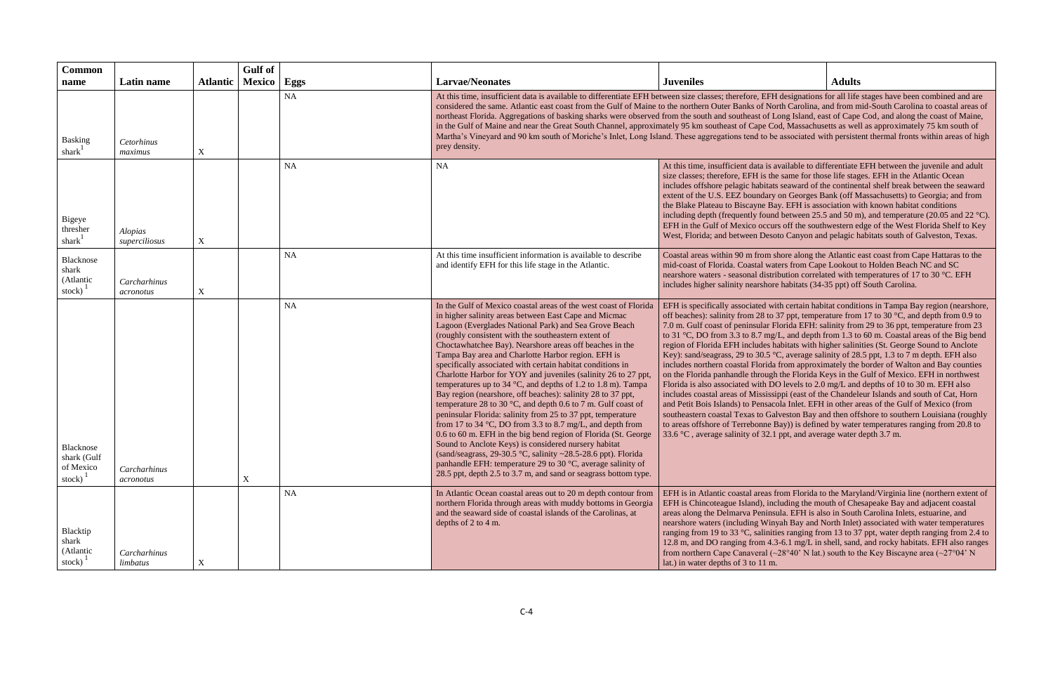| <b>Common</b><br>name                                  | Latin name                      | <b>Atlantic</b>  | <b>Gulf</b> of<br><b>Mexico</b> | Eggs      | <b>Larvae/Neonates</b>                                                                                                                                                                                                                                                                                                                                                                                                                                                                                                                                                                                                                                                                                                                                                                                                                                                                                                                                                                                                                                                                                                                             | <b>Juveniles</b>                                                                                                                                                                                                                                                                                                                                                                                                                                                                                                                                                                                                                                                                                                                                                                                                                                                                                                                                                                                                                                                                                                                                                                                                                                          | <b>Adults</b>                                                                                                                                                                                            |  |
|--------------------------------------------------------|---------------------------------|------------------|---------------------------------|-----------|----------------------------------------------------------------------------------------------------------------------------------------------------------------------------------------------------------------------------------------------------------------------------------------------------------------------------------------------------------------------------------------------------------------------------------------------------------------------------------------------------------------------------------------------------------------------------------------------------------------------------------------------------------------------------------------------------------------------------------------------------------------------------------------------------------------------------------------------------------------------------------------------------------------------------------------------------------------------------------------------------------------------------------------------------------------------------------------------------------------------------------------------------|-----------------------------------------------------------------------------------------------------------------------------------------------------------------------------------------------------------------------------------------------------------------------------------------------------------------------------------------------------------------------------------------------------------------------------------------------------------------------------------------------------------------------------------------------------------------------------------------------------------------------------------------------------------------------------------------------------------------------------------------------------------------------------------------------------------------------------------------------------------------------------------------------------------------------------------------------------------------------------------------------------------------------------------------------------------------------------------------------------------------------------------------------------------------------------------------------------------------------------------------------------------|----------------------------------------------------------------------------------------------------------------------------------------------------------------------------------------------------------|--|
| Basking<br>shark $1$                                   | Cetorhinus<br>maximus           | $\mathbf X$      |                                 | <b>NA</b> | prey density.                                                                                                                                                                                                                                                                                                                                                                                                                                                                                                                                                                                                                                                                                                                                                                                                                                                                                                                                                                                                                                                                                                                                      | At this time, insufficient data is available to differentiate EFH between size classes; therefore, EFH designations for all life stages have been combined and are<br>considered the same. Atlantic east coast from the Gulf of Maine to the northern Outer Banks of North Carolina, and from mid-South Carolina to coastal areas of<br>northeast Florida. Aggregations of basking sharks were observed from the south and southeast of Long Island, east of Cape Cod, and along the coast of Maine,<br>in the Gulf of Maine and near the Great South Channel, approximately 95 km southeast of Cape Cod, Massachusetts as well as approximately 75 km south of<br>Martha's Vineyard and 90 km south of Moriche's Inlet, Long Island. These aggregations tend to be associated with persistent thermal fronts within areas of high                                                                                                                                                                                                                                                                                                                                                                                                                        |                                                                                                                                                                                                          |  |
| Bigeye<br>thresher<br>shark $1$                        | <b>Alopias</b><br>superciliosus | $\boldsymbol{X}$ |                                 | <b>NA</b> | <b>NA</b>                                                                                                                                                                                                                                                                                                                                                                                                                                                                                                                                                                                                                                                                                                                                                                                                                                                                                                                                                                                                                                                                                                                                          | At this time, insufficient data is available to differentiate EFH between the juvenile and adult<br>size classes; therefore, EFH is the same for those life stages. EFH in the Atlantic Ocean<br>includes offshore pelagic habitats seaward of the continental shelf break between the seaward<br>extent of the U.S. EEZ boundary on Georges Bank (off Massachusetts) to Georgia; and from<br>the Blake Plateau to Biscayne Bay. EFH is association with known habitat conditions<br>EFH in the Gulf of Mexico occurs off the southwestern edge of the West Florida Shelf to Key<br>West, Florida; and between Desoto Canyon and pelagic habitats south of Galveston, Texas.                                                                                                                                                                                                                                                                                                                                                                                                                                                                                                                                                                              | including depth (frequently found between 25.5 and 50 m), and temperature (20.05 and 22 °C).                                                                                                             |  |
| Blacknose<br>shark<br>(Atlantic<br>stock)              | Carcharhinus<br>acronotus       | $\mathbf X$      |                                 | <b>NA</b> | At this time insufficient information is available to describe<br>and identify EFH for this life stage in the Atlantic.                                                                                                                                                                                                                                                                                                                                                                                                                                                                                                                                                                                                                                                                                                                                                                                                                                                                                                                                                                                                                            | Coastal areas within 90 m from shore along the Atlantic east coast from Cape Hattaras to the<br>mid-coast of Florida. Coastal waters from Cape Lookout to Holden Beach NC and SC<br>nearshore waters - seasonal distribution correlated with temperatures of 17 to 30 °C. EFH<br>includes higher salinity nearshore habitats (34-35 ppt) off South Carolina.                                                                                                                                                                                                                                                                                                                                                                                                                                                                                                                                                                                                                                                                                                                                                                                                                                                                                              |                                                                                                                                                                                                          |  |
| Blacknose<br>shark (Gulf<br>of Mexico<br>stock) $^{1}$ | Carcharhinus<br>acronotus       |                  | X                               | <b>NA</b> | In the Gulf of Mexico coastal areas of the west coast of Florida<br>in higher salinity areas between East Cape and Micmac<br>Lagoon (Everglades National Park) and Sea Grove Beach<br>(roughly consistent with the southeastern extent of<br>Choctawhatchee Bay). Nearshore areas off beaches in the<br>Tampa Bay area and Charlotte Harbor region. EFH is<br>specifically associated with certain habitat conditions in<br>Charlotte Harbor for YOY and juveniles (salinity 26 to 27 ppt,<br>temperatures up to 34 °C, and depths of 1.2 to 1.8 m). Tampa<br>Bay region (nearshore, off beaches): salinity 28 to 37 ppt,<br>temperature 28 to 30 °C, and depth 0.6 to 7 m. Gulf coast of<br>peninsular Florida: salinity from 25 to 37 ppt, temperature<br>from 17 to 34 °C, DO from 3.3 to 8.7 mg/L, and depth from<br>0.6 to 60 m. EFH in the big bend region of Florida (St. George<br>Sound to Anclote Keys) is considered nursery habitat<br>(sand/seagrass, 29-30.5 °C, salinity ~28.5-28.6 ppt). Florida<br>panhandle EFH: temperature 29 to 30 °C, average salinity of<br>28.5 ppt, depth 2.5 to 3.7 m, and sand or seagrass bottom type. | off beaches): salinity from 28 to 37 ppt, temperature from 17 to 30 °C, and depth from 0.9 to<br>7.0 m. Gulf coast of peninsular Florida EFH: salinity from 29 to 36 ppt, temperature from 23<br>to 31 °C, DO from 3.3 to 8.7 mg/L, and depth from 1.3 to 60 m. Coastal areas of the Big bend<br>region of Florida EFH includes habitats with higher salinities (St. George Sound to Anclote<br>Key): sand/seagrass, 29 to 30.5 °C, average salinity of 28.5 ppt, 1.3 to 7 m depth. EFH also<br>includes northern coastal Florida from approximately the border of Walton and Bay counties<br>on the Florida panhandle through the Florida Keys in the Gulf of Mexico. EFH in northwest<br>Florida is also associated with DO levels to 2.0 mg/L and depths of 10 to 30 m. EFH also<br>includes coastal areas of Mississippi (east of the Chandeleur Islands and south of Cat, Horn<br>and Petit Bois Islands) to Pensacola Inlet. EFH in other areas of the Gulf of Mexico (from<br>southeastern coastal Texas to Galveston Bay and then offshore to southern Louisiana (roughly<br>to areas offshore of Terrebonne Bay)) is defined by water temperatures ranging from 20.8 to<br>33.6 °C, average salinity of 32.1 ppt, and average water depth 3.7 m. | EFH is specifically associated with certain habitat conditions in Tampa Bay region (nearshore,                                                                                                           |  |
| Blacktip<br>shark<br>(Atlantic<br>stock)               | Carcharhinus<br>limbatus        | X                |                                 | <b>NA</b> | In Atlantic Ocean coastal areas out to 20 m depth contour from<br>northern Florida through areas with muddy bottoms in Georgia<br>and the seaward side of coastal islands of the Carolinas, at<br>depths of 2 to 4 m.                                                                                                                                                                                                                                                                                                                                                                                                                                                                                                                                                                                                                                                                                                                                                                                                                                                                                                                              | EFH is in Atlantic coastal areas from Florida to the Maryland/Virginia line (northern extent of<br>EFH is Chincoteague Island), including the mouth of Chesapeake Bay and adjacent coastal<br>areas along the Delmarva Peninsula. EFH is also in South Carolina Inlets, estuarine, and<br>nearshore waters (including Winyah Bay and North Inlet) associated with water temperatures<br>from northern Cape Canaveral (~28°40' N lat.) south to the Key Biscayne area (~27°04' N<br>lat.) in water depths of 3 to 11 m.                                                                                                                                                                                                                                                                                                                                                                                                                                                                                                                                                                                                                                                                                                                                    | ranging from 19 to 33 $\degree$ C, salinities ranging from 13 to 37 ppt, water depth ranging from 2.4 to<br>12.8 m, and DO ranging from 4.3-6.1 mg/L in shell, sand, and rocky habitats. EFH also ranges |  |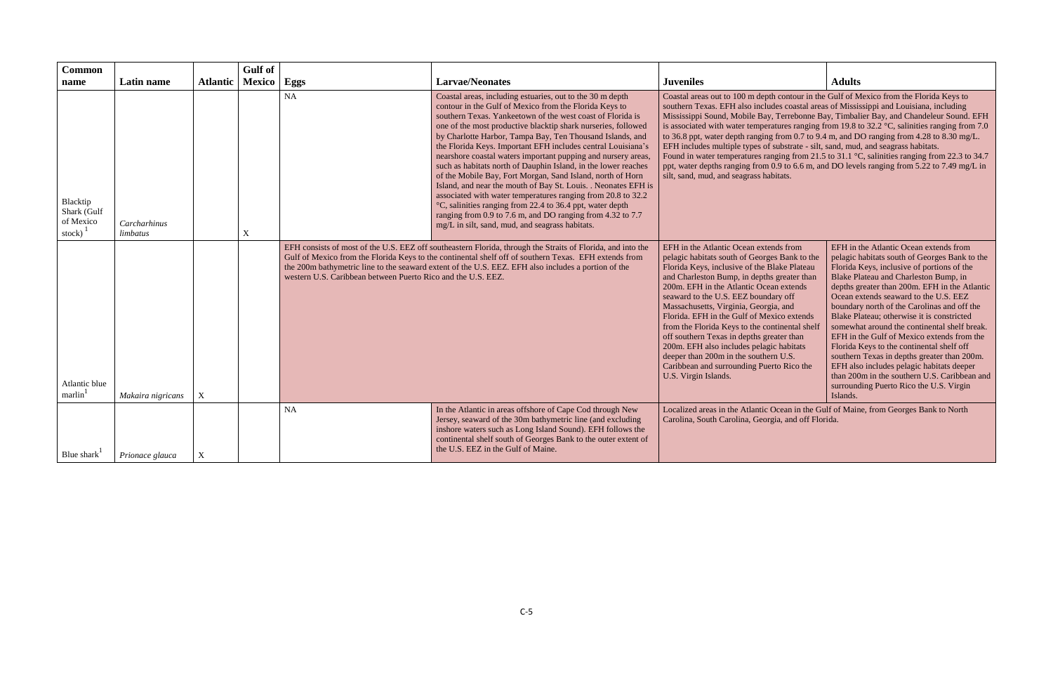| <b>Common</b>                                                 |                                        | <b>Atlantic</b> | <b>Gulf</b> of                |                                                              | <b>Larvae/Neonates</b>                                                                                                                                                                                                                                                                                                                                                                                                                                                                                                                                                                                                                                                                                                                                                                                                                                                                           | <b>Juveniles</b>                                                                                                                                                                                                                                                                                                                                                                                                                                                                                                                                                                                                                                                                                                                                                                                                           | <b>Adults</b>                                                                                                                                                                                                                                                                                                                                                                                                                                                                                                                                                                                                                                                                                                       |
|---------------------------------------------------------------|----------------------------------------|-----------------|-------------------------------|--------------------------------------------------------------|--------------------------------------------------------------------------------------------------------------------------------------------------------------------------------------------------------------------------------------------------------------------------------------------------------------------------------------------------------------------------------------------------------------------------------------------------------------------------------------------------------------------------------------------------------------------------------------------------------------------------------------------------------------------------------------------------------------------------------------------------------------------------------------------------------------------------------------------------------------------------------------------------|----------------------------------------------------------------------------------------------------------------------------------------------------------------------------------------------------------------------------------------------------------------------------------------------------------------------------------------------------------------------------------------------------------------------------------------------------------------------------------------------------------------------------------------------------------------------------------------------------------------------------------------------------------------------------------------------------------------------------------------------------------------------------------------------------------------------------|---------------------------------------------------------------------------------------------------------------------------------------------------------------------------------------------------------------------------------------------------------------------------------------------------------------------------------------------------------------------------------------------------------------------------------------------------------------------------------------------------------------------------------------------------------------------------------------------------------------------------------------------------------------------------------------------------------------------|
| name<br>Blacktip<br>Shark (Gulf<br>of Mexico<br>stock) $^{1}$ | Latin name<br>Carcharhinus<br>limbatus |                 | <b>Mexico</b><br>$\mathbf{X}$ | Eggs<br>NA                                                   | Coastal areas, including estuaries, out to the 30 m depth<br>contour in the Gulf of Mexico from the Florida Keys to<br>southern Texas. Yankeetown of the west coast of Florida is<br>one of the most productive blacktip shark nurseries, followed<br>by Charlotte Harbor, Tampa Bay, Ten Thousand Islands, and<br>the Florida Keys. Important EFH includes central Louisiana's<br>nearshore coastal waters important pupping and nursery areas,<br>such as habitats north of Dauphin Island, in the lower reaches<br>of the Mobile Bay, Fort Morgan, Sand Island, north of Horn<br>Island, and near the mouth of Bay St. Louis. . Neonates EFH is<br>associated with water temperatures ranging from 20.8 to 32.2<br>°C, salinities ranging from 22.4 to 36.4 ppt, water depth<br>ranging from 0.9 to 7.6 m, and DO ranging from 4.32 to 7.7<br>mg/L in silt, sand, mud, and seagrass habitats. | Coastal areas out to 100 m depth contour in the Gulf of Mexico from the Florida Keys to<br>southern Texas. EFH also includes coastal areas of Mississippi and Louisiana, including<br>Mississippi Sound, Mobile Bay, Terrebonne Bay, Timbalier Bay, and Chandeleur Sound. EFH<br>is associated with water temperatures ranging from 19.8 to 32.2 $\degree$ C, salinities ranging from 7.0<br>to 36.8 ppt, water depth ranging from 0.7 to 9.4 m, and DO ranging from 4.28 to 8.30 mg/L.<br>EFH includes multiple types of substrate - silt, sand, mud, and seagrass habitats.<br>Found in water temperatures ranging from 21.5 to 31.1 °C, salinities ranging from 22.3 to 34.7<br>ppt, water depths ranging from 0.9 to 6.6 m, and DO levels ranging from 5.22 to 7.49 mg/L in<br>silt, sand, mud, and seagrass habitats. |                                                                                                                                                                                                                                                                                                                                                                                                                                                                                                                                                                                                                                                                                                                     |
| Atlantic blue<br>marlin                                       | Makaira nigricans                      | $\mathbf X$     |                               | western U.S. Caribbean between Puerto Rico and the U.S. EEZ. | EFH consists of most of the U.S. EEZ off southeastern Florida, through the Straits of Florida, and into the<br>Gulf of Mexico from the Florida Keys to the continental shelf off of southern Texas. EFH extends from<br>the 200m bathymetric line to the seaward extent of the U.S. EEZ. EFH also includes a portion of the                                                                                                                                                                                                                                                                                                                                                                                                                                                                                                                                                                      | EFH in the Atlantic Ocean extends from<br>pelagic habitats south of Georges Bank to the<br>Florida Keys, inclusive of the Blake Plateau<br>and Charleston Bump, in depths greater than<br>200m. EFH in the Atlantic Ocean extends<br>seaward to the U.S. EEZ boundary off<br>Massachusetts, Virginia, Georgia, and<br>Florida. EFH in the Gulf of Mexico extends<br>from the Florida Keys to the continental shelf<br>off southern Texas in depths greater than<br>200m. EFH also includes pelagic habitats<br>deeper than 200m in the southern U.S.<br>Caribbean and surrounding Puerto Rico the<br>U.S. Virgin Islands.                                                                                                                                                                                                  | EFH in the Atlantic Ocean extends from<br>pelagic habitats south of Georges Bank to the<br>Florida Keys, inclusive of portions of the<br>Blake Plateau and Charleston Bump, in<br>depths greater than 200m. EFH in the Atlantic<br>Ocean extends seaward to the U.S. EEZ<br>boundary north of the Carolinas and off the<br>Blake Plateau; otherwise it is constricted<br>somewhat around the continental shelf break.<br>EFH in the Gulf of Mexico extends from the<br>Florida Keys to the continental shelf off<br>southern Texas in depths greater than 200m.<br>EFH also includes pelagic habitats deeper<br>than 200m in the southern U.S. Caribbean and<br>surrounding Puerto Rico the U.S. Virgin<br>Islands. |
| Blue shark <sup>1</sup>                                       | Prionace glauca                        | $\mathbf X$     |                               | <b>NA</b>                                                    | In the Atlantic in areas offshore of Cape Cod through New<br>Jersey, seaward of the 30m bathymetric line (and excluding<br>inshore waters such as Long Island Sound). EFH follows the<br>continental shelf south of Georges Bank to the outer extent of<br>the U.S. EEZ in the Gulf of Maine.                                                                                                                                                                                                                                                                                                                                                                                                                                                                                                                                                                                                    | Localized areas in the Atlantic Ocean in the Gulf of Maine, from Georges Bank to North<br>Carolina, South Carolina, Georgia, and off Florida.                                                                                                                                                                                                                                                                                                                                                                                                                                                                                                                                                                                                                                                                              |                                                                                                                                                                                                                                                                                                                                                                                                                                                                                                                                                                                                                                                                                                                     |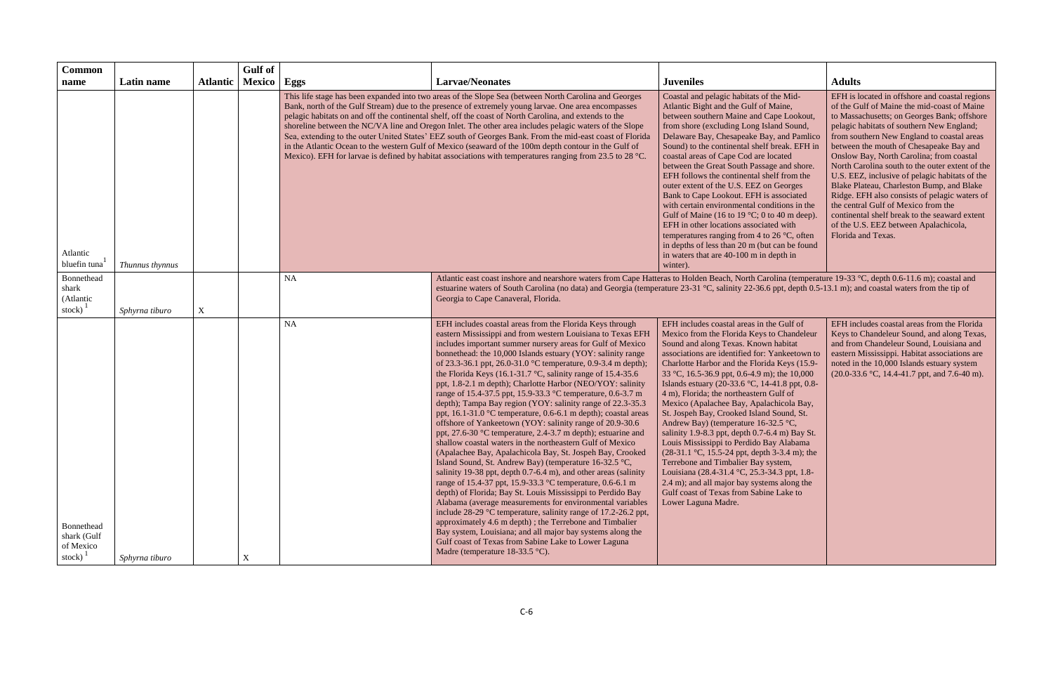| <b>Common</b>                                                  |                 |                 | <b>Gulf</b> of |                                                                                                                                                                                                                                                                                                                                                                                                                                                                                                                                                                                                                                                                                                                                                                   |                                                                                                                                                                                                                                                                                                                                                                                                                                                                                                                                                                                                                                                                                                                                                                                                                                                                                                                                                                                                                                                                                                                                                                                                                                                                                                                                                                                                                                                                                                                       |                                                                                                                                                                                                                                                                                                                                                                                                                                                                                                                                                                                                                                                                                                                                                                                                                                                                                                          |                                                                                                                                                                                                                                                                                                                                                                                                                                                                                                                                                                                                                                                                                          |
|----------------------------------------------------------------|-----------------|-----------------|----------------|-------------------------------------------------------------------------------------------------------------------------------------------------------------------------------------------------------------------------------------------------------------------------------------------------------------------------------------------------------------------------------------------------------------------------------------------------------------------------------------------------------------------------------------------------------------------------------------------------------------------------------------------------------------------------------------------------------------------------------------------------------------------|-----------------------------------------------------------------------------------------------------------------------------------------------------------------------------------------------------------------------------------------------------------------------------------------------------------------------------------------------------------------------------------------------------------------------------------------------------------------------------------------------------------------------------------------------------------------------------------------------------------------------------------------------------------------------------------------------------------------------------------------------------------------------------------------------------------------------------------------------------------------------------------------------------------------------------------------------------------------------------------------------------------------------------------------------------------------------------------------------------------------------------------------------------------------------------------------------------------------------------------------------------------------------------------------------------------------------------------------------------------------------------------------------------------------------------------------------------------------------------------------------------------------------|----------------------------------------------------------------------------------------------------------------------------------------------------------------------------------------------------------------------------------------------------------------------------------------------------------------------------------------------------------------------------------------------------------------------------------------------------------------------------------------------------------------------------------------------------------------------------------------------------------------------------------------------------------------------------------------------------------------------------------------------------------------------------------------------------------------------------------------------------------------------------------------------------------|------------------------------------------------------------------------------------------------------------------------------------------------------------------------------------------------------------------------------------------------------------------------------------------------------------------------------------------------------------------------------------------------------------------------------------------------------------------------------------------------------------------------------------------------------------------------------------------------------------------------------------------------------------------------------------------|
| name                                                           | Latin name      | <b>Atlantic</b> | Mexico         | Eggs                                                                                                                                                                                                                                                                                                                                                                                                                                                                                                                                                                                                                                                                                                                                                              | <b>Larvae/Neonates</b>                                                                                                                                                                                                                                                                                                                                                                                                                                                                                                                                                                                                                                                                                                                                                                                                                                                                                                                                                                                                                                                                                                                                                                                                                                                                                                                                                                                                                                                                                                | <b>Juveniles</b>                                                                                                                                                                                                                                                                                                                                                                                                                                                                                                                                                                                                                                                                                                                                                                                                                                                                                         | <b>Adults</b>                                                                                                                                                                                                                                                                                                                                                                                                                                                                                                                                                                                                                                                                            |
| Atlantic<br>bluefin tuna                                       | Thunnus thynnus |                 |                | This life stage has been expanded into two areas of the Slope Sea (between North Carolina and Georges<br>Bank, north of the Gulf Stream) due to the presence of extremely young larvae. One area encompasses<br>pelagic habitats on and off the continental shelf, off the coast of North Carolina, and extends to the<br>shoreline between the NC/VA line and Oregon Inlet. The other area includes pelagic waters of the Slope<br>Sea, extending to the outer United States' EEZ south of Georges Bank. From the mid-east coast of Florida<br>in the Atlantic Ocean to the western Gulf of Mexico (seaward of the 100m depth contour in the Gulf of<br>Mexico). EFH for larvae is defined by habitat associations with temperatures ranging from 23.5 to 28 °C. |                                                                                                                                                                                                                                                                                                                                                                                                                                                                                                                                                                                                                                                                                                                                                                                                                                                                                                                                                                                                                                                                                                                                                                                                                                                                                                                                                                                                                                                                                                                       | Coastal and pelagic habitats of the Mid-<br>Atlantic Bight and the Gulf of Maine,<br>between southern Maine and Cape Lookout,<br>from shore (excluding Long Island Sound,<br>Delaware Bay, Chesapeake Bay, and Pamlico<br>Sound) to the continental shelf break. EFH in<br>coastal areas of Cape Cod are located<br>between the Great South Passage and shore.<br>EFH follows the continental shelf from the<br>outer extent of the U.S. EEZ on Georges<br>Bank to Cape Lookout. EFH is associated<br>with certain environmental conditions in the<br>Gulf of Maine (16 to 19 $°C$ ; 0 to 40 m deep).<br>EFH in other locations associated with<br>temperatures ranging from 4 to 26 $\degree$ C, often<br>in depths of less than 20 m (but can be found<br>in waters that are 40-100 m in depth in<br>winter).                                                                                          | EFH is located in offshore and coastal regions<br>of the Gulf of Maine the mid-coast of Maine<br>to Massachusetts; on Georges Bank; offshore<br>pelagic habitats of southern New England;<br>from southern New England to coastal areas<br>between the mouth of Chesapeake Bay and<br>Onslow Bay, North Carolina; from coastal<br>North Carolina south to the outer extent of the<br>U.S. EEZ, inclusive of pelagic habitats of the<br>Blake Plateau, Charleston Bump, and Blake<br>Ridge. EFH also consists of pelagic waters of<br>the central Gulf of Mexico from the<br>continental shelf break to the seaward extent<br>of the U.S. EEZ between Apalachicola,<br>Florida and Texas. |
| Bonnethead<br>shark<br>(Atlantic<br>stock) $\frac{1}{2}$       | Sphyrna tiburo  | $\mathbf X$     |                | <b>NA</b>                                                                                                                                                                                                                                                                                                                                                                                                                                                                                                                                                                                                                                                                                                                                                         | Atlantic east coast inshore and nearshore waters from Cape Hatteras to Holden Beach, North Carolina (temperature 19-33 °C, depth 0.6-11.6 m); coastal and<br>estuarine waters of South Carolina (no data) and Georgia (temperature 23-31 °C, salinity 22-36.6 ppt, depth 0.5-13.1 m); and coastal waters from the tip of<br>Georgia to Cape Canaveral, Florida.                                                                                                                                                                                                                                                                                                                                                                                                                                                                                                                                                                                                                                                                                                                                                                                                                                                                                                                                                                                                                                                                                                                                                       |                                                                                                                                                                                                                                                                                                                                                                                                                                                                                                                                                                                                                                                                                                                                                                                                                                                                                                          |                                                                                                                                                                                                                                                                                                                                                                                                                                                                                                                                                                                                                                                                                          |
| Bonnethead<br>shark (Gulf<br>of Mexico<br>stock) $\frac{1}{2}$ | Sphyrna tiburo  |                 | X              | <b>NA</b>                                                                                                                                                                                                                                                                                                                                                                                                                                                                                                                                                                                                                                                                                                                                                         | EFH includes coastal areas from the Florida Keys through<br>eastern Mississippi and from western Louisiana to Texas EFH<br>includes important summer nursery areas for Gulf of Mexico<br>bonnethead: the 10,000 Islands estuary (YOY: salinity range<br>of 23.3-36.1 ppt, 26.0-31.0 °C temperature, 0.9-3.4 m depth);<br>the Florida Keys (16.1-31.7 °C, salinity range of 15.4-35.6<br>ppt, 1.8-2.1 m depth); Charlotte Harbor (NEO/YOY: salinity<br>range of 15.4-37.5 ppt, 15.9-33.3 °C temperature, 0.6-3.7 m<br>depth); Tampa Bay region (YOY: salinity range of 22.3-35.3<br>ppt, 16.1-31.0 °C temperature, 0.6-6.1 m depth); coastal areas<br>offshore of Yankeetown (YOY: salinity range of 20.9-30.6<br>ppt, 27.6-30 °C temperature, 2.4-3.7 m depth); estuarine and<br>shallow coastal waters in the northeastern Gulf of Mexico<br>(Apalachee Bay, Apalachicola Bay, St. Jospeh Bay, Crooked<br>Island Sound, St. Andrew Bay) (temperature 16-32.5 °C,<br>salinity 19-38 ppt, depth 0.7-6.4 m), and other areas (salinity<br>range of 15.4-37 ppt, 15.9-33.3 °C temperature, 0.6-6.1 m<br>depth) of Florida; Bay St. Louis Mississippi to Perdido Bay<br>Alabama (average measurements for environmental variables<br>include 28-29 °C temperature, salinity range of 17.2-26.2 ppt,<br>approximately 4.6 m depth); the Terrebone and Timbalier<br>Bay system, Louisiana; and all major bay systems along the<br>Gulf coast of Texas from Sabine Lake to Lower Laguna<br>Madre (temperature $18-33.5$ °C). | EFH includes coastal areas in the Gulf of<br>Mexico from the Florida Keys to Chandeleur<br>Sound and along Texas. Known habitat<br>associations are identified for: Yankeetown to<br>Charlotte Harbor and the Florida Keys (15.9-<br>33 °C, 16.5-36.9 ppt, 0.6-4.9 m); the 10,000<br>Islands estuary (20-33.6 °C, 14-41.8 ppt, 0.8-<br>4 m), Florida; the northeastern Gulf of<br>Mexico (Apalachee Bay, Apalachicola Bay,<br>St. Jospeh Bay, Crooked Island Sound, St.<br>Andrew Bay) (temperature 16-32.5 °C,<br>salinity 1.9-8.3 ppt, depth 0.7-6.4 m) Bay St.<br>Louis Mississippi to Perdido Bay Alabama<br>$(28-31.1 \degree C, 15.5-24 \text{ ppt}, \text{depth } 3-3.4 \text{ m})$ ; the<br>Terrebone and Timbalier Bay system,<br>Louisiana (28.4-31.4 °C, 25.3-34.3 ppt, 1.8-<br>2.4 m); and all major bay systems along the<br>Gulf coast of Texas from Sabine Lake to<br>Lower Laguna Madre. | EFH includes coastal areas from the Florida<br>Keys to Chandeleur Sound, and along Texas,<br>and from Chandeleur Sound, Louisiana and<br>eastern Mississippi. Habitat associations are<br>noted in the 10,000 Islands estuary system<br>(20.0-33.6 °C, 14.4-41.7 ppt, and 7.6-40 m).                                                                                                                                                                                                                                                                                                                                                                                                     |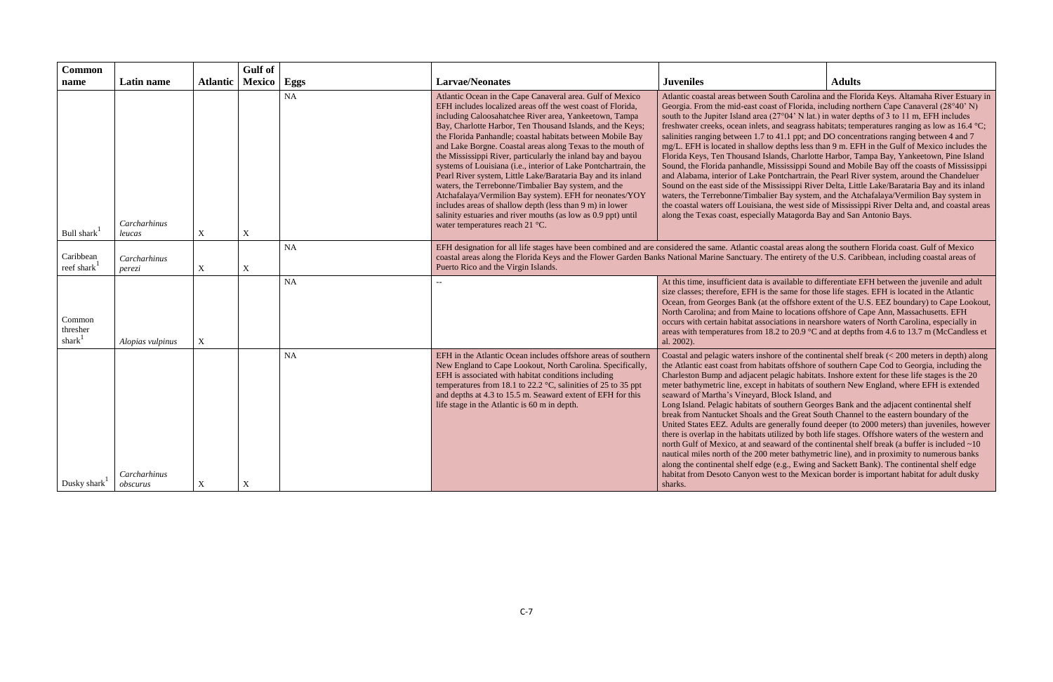| <b>Common</b><br>name            | Latin name               | <b>Atlantic</b> | <b>Gulf</b> of<br><b>Mexico</b> | Eggs      | <b>Larvae/Neonates</b>                                                                                                                                                                                                                                                                                                                                                                                                                                                                                                                                                                                                                                                                                                                                                                                                                                             | <b>Juveniles</b><br><b>Adults</b>                                                                                                                                                                                                                                                                                                                                                                                                                                                                                                                                                                                                                                                                                                                                                                                                                                                                                                                                                                                                                                                                                                                                                                                                                                |  |  |
|----------------------------------|--------------------------|-----------------|---------------------------------|-----------|--------------------------------------------------------------------------------------------------------------------------------------------------------------------------------------------------------------------------------------------------------------------------------------------------------------------------------------------------------------------------------------------------------------------------------------------------------------------------------------------------------------------------------------------------------------------------------------------------------------------------------------------------------------------------------------------------------------------------------------------------------------------------------------------------------------------------------------------------------------------|------------------------------------------------------------------------------------------------------------------------------------------------------------------------------------------------------------------------------------------------------------------------------------------------------------------------------------------------------------------------------------------------------------------------------------------------------------------------------------------------------------------------------------------------------------------------------------------------------------------------------------------------------------------------------------------------------------------------------------------------------------------------------------------------------------------------------------------------------------------------------------------------------------------------------------------------------------------------------------------------------------------------------------------------------------------------------------------------------------------------------------------------------------------------------------------------------------------------------------------------------------------|--|--|
| Bull shark                       | Carcharhinus<br>leucas   | X               | $\mathbf X$                     | <b>NA</b> | Atlantic Ocean in the Cape Canaveral area. Gulf of Mexico<br>EFH includes localized areas off the west coast of Florida,<br>including Caloosahatchee River area, Yankeetown, Tampa<br>Bay, Charlotte Harbor, Ten Thousand Islands, and the Keys;<br>the Florida Panhandle; coastal habitats between Mobile Bay<br>and Lake Borgne. Coastal areas along Texas to the mouth of<br>the Mississippi River, particularly the inland bay and bayou<br>systems of Louisiana (i.e., interior of Lake Pontchartrain, the<br>Pearl River system, Little Lake/Barataria Bay and its inland<br>waters, the Terrebonne/Timbalier Bay system, and the<br>Atchafalaya/Vermilion Bay system). EFH for neonates/YOY<br>includes areas of shallow depth (less than 9 m) in lower<br>salinity estuaries and river mouths (as low as 0.9 ppt) until<br>water temperatures reach 21 °C. | Atlantic coastal areas between South Carolina and the Florida Keys. Altamaha River Estuary in<br>Georgia. From the mid-east coast of Florida, including northern Cape Canaveral (28°40' N)<br>south to the Jupiter Island area (27°04' N lat.) in water depths of 3 to 11 m, EFH includes<br>freshwater creeks, ocean inlets, and seagrass habitats; temperatures ranging as low as 16.4 °C;<br>salinities ranging between 1.7 to 41.1 ppt; and DO concentrations ranging between 4 and 7<br>mg/L. EFH is located in shallow depths less than 9 m. EFH in the Gulf of Mexico includes the<br>Florida Keys, Ten Thousand Islands, Charlotte Harbor, Tampa Bay, Yankeetown, Pine Island<br>Sound, the Florida panhandle, Mississippi Sound and Mobile Bay off the coasts of Mississippi<br>and Alabama, interior of Lake Pontchartrain, the Pearl River system, around the Chandeluer<br>Sound on the east side of the Mississippi River Delta, Little Lake/Barataria Bay and its inland<br>waters, the Terrebonne/Timbalier Bay system, and the Atchafalaya/Vermilion Bay system in<br>the coastal waters off Louisiana, the west side of Mississippi River Delta and, and coastal areas<br>along the Texas coast, especially Matagorda Bay and San Antonio Bays. |  |  |
| Caribbean<br>reef shark          | Carcharhinus<br>perezi   | $\mathbf X$     | $\mathbf X$                     | <b>NA</b> | Puerto Rico and the Virgin Islands.                                                                                                                                                                                                                                                                                                                                                                                                                                                                                                                                                                                                                                                                                                                                                                                                                                | EFH designation for all life stages have been combined and are considered the same. Atlantic coastal areas along the southern Florida coast. Gulf of Mexico<br>coastal areas along the Florida Keys and the Flower Garden Banks National Marine Sanctuary. The entirety of the U.S. Caribbean, including coastal areas of                                                                                                                                                                                                                                                                                                                                                                                                                                                                                                                                                                                                                                                                                                                                                                                                                                                                                                                                        |  |  |
| Common<br>thresher<br>shar $k^1$ | Alopias vulpinus         | $\mathbf X$     |                                 | <b>NA</b> |                                                                                                                                                                                                                                                                                                                                                                                                                                                                                                                                                                                                                                                                                                                                                                                                                                                                    | At this time, insufficient data is available to differentiate EFH between the juvenile and adult<br>size classes; therefore, EFH is the same for those life stages. EFH is located in the Atlantic<br>Ocean, from Georges Bank (at the offshore extent of the U.S. EEZ boundary) to Cape Lookout,<br>North Carolina; and from Maine to locations offshore of Cape Ann, Massachusetts. EFH<br>occurs with certain habitat associations in nearshore waters of North Carolina, especially in<br>areas with temperatures from 18.2 to 20.9 $^{\circ}$ C and at depths from 4.6 to 13.7 m (McCandless et<br>al. 2002).                                                                                                                                                                                                                                                                                                                                                                                                                                                                                                                                                                                                                                               |  |  |
| Dusky shark                      | Carcharhinus<br>obscurus | X               | X                               | <b>NA</b> | EFH in the Atlantic Ocean includes offshore areas of southern<br>New England to Cape Lookout, North Carolina. Specifically,<br>EFH is associated with habitat conditions including<br>temperatures from 18.1 to 22.2 °C, salinities of 25 to 35 ppt<br>and depths at 4.3 to 15.5 m. Seaward extent of EFH for this<br>life stage in the Atlantic is 60 m in depth.                                                                                                                                                                                                                                                                                                                                                                                                                                                                                                 | Coastal and pelagic waters inshore of the continental shelf break $(< 200$ meters in depth) along<br>the Atlantic east coast from habitats offshore of southern Cape Cod to Georgia, including the<br>Charleston Bump and adjacent pelagic habitats. Inshore extent for these life stages is the 20<br>meter bathymetric line, except in habitats of southern New England, where EFH is extended<br>seaward of Martha's Vineyard, Block Island, and<br>Long Island. Pelagic habitats of southern Georges Bank and the adjacent continental shelf<br>break from Nantucket Shoals and the Great South Channel to the eastern boundary of the<br>United States EEZ. Adults are generally found deeper (to 2000 meters) than juveniles, however<br>there is overlap in the habitats utilized by both life stages. Offshore waters of the western and<br>north Gulf of Mexico, at and seaward of the continental shelf break (a buffer is included $\sim 10$ )<br>nautical miles north of the 200 meter bathymetric line), and in proximity to numerous banks<br>along the continental shelf edge (e.g., Ewing and Sackett Bank). The continental shelf edge<br>habitat from Desoto Canyon west to the Mexican border is important habitat for adult dusky<br>sharks. |  |  |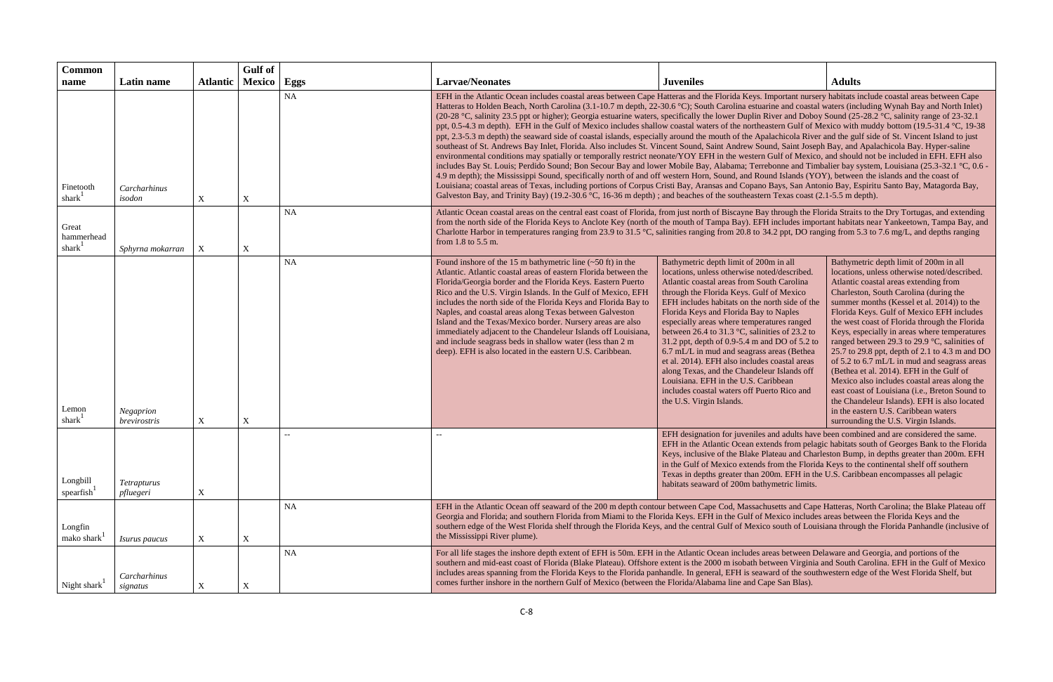| <b>Common</b>                      |                                 |                  | Gulf of                   |           |                                                                                                                                                                                                                                                                                                                                                                                                                                                                                                                                                                                                                                                                                                                                                                                                                                                                                                                                                                                                                                                                                                                                                                                                                                                                                                                                                                                                                                                                                                                                                                                                                                                                                                                                                                     |                                                                                                                                                                                                                                                                                                                                                                                                                                                                                                                                                                                                                                                                                                |                                                                                                                                                                                                                                                                                                                                                                                                                                                                                                                                                                                                                                                                                                                                                                                                        |  |  |
|------------------------------------|---------------------------------|------------------|---------------------------|-----------|---------------------------------------------------------------------------------------------------------------------------------------------------------------------------------------------------------------------------------------------------------------------------------------------------------------------------------------------------------------------------------------------------------------------------------------------------------------------------------------------------------------------------------------------------------------------------------------------------------------------------------------------------------------------------------------------------------------------------------------------------------------------------------------------------------------------------------------------------------------------------------------------------------------------------------------------------------------------------------------------------------------------------------------------------------------------------------------------------------------------------------------------------------------------------------------------------------------------------------------------------------------------------------------------------------------------------------------------------------------------------------------------------------------------------------------------------------------------------------------------------------------------------------------------------------------------------------------------------------------------------------------------------------------------------------------------------------------------------------------------------------------------|------------------------------------------------------------------------------------------------------------------------------------------------------------------------------------------------------------------------------------------------------------------------------------------------------------------------------------------------------------------------------------------------------------------------------------------------------------------------------------------------------------------------------------------------------------------------------------------------------------------------------------------------------------------------------------------------|--------------------------------------------------------------------------------------------------------------------------------------------------------------------------------------------------------------------------------------------------------------------------------------------------------------------------------------------------------------------------------------------------------------------------------------------------------------------------------------------------------------------------------------------------------------------------------------------------------------------------------------------------------------------------------------------------------------------------------------------------------------------------------------------------------|--|--|
| name                               | Latin name                      | <b>Atlantic</b>  | Mexico                    | Eggs      | <b>Larvae/Neonates</b>                                                                                                                                                                                                                                                                                                                                                                                                                                                                                                                                                                                                                                                                                                                                                                                                                                                                                                                                                                                                                                                                                                                                                                                                                                                                                                                                                                                                                                                                                                                                                                                                                                                                                                                                              | <b>Juveniles</b>                                                                                                                                                                                                                                                                                                                                                                                                                                                                                                                                                                                                                                                                               | <b>Adults</b>                                                                                                                                                                                                                                                                                                                                                                                                                                                                                                                                                                                                                                                                                                                                                                                          |  |  |
| Finetooth<br>shark <sup>1</sup>    | Carcharhinus<br>isodon          | $\mathbf X$      | $\mathbf X$               | NA        | EFH in the Atlantic Ocean includes coastal areas between Cape Hatteras and the Florida Keys. Important nursery habitats include coastal areas between Cape<br>Hatteras to Holden Beach, North Carolina (3.1-10.7 m depth, 22-30.6 °C); South Carolina estuarine and coastal waters (including Wynah Bay and North Inlet)<br>(20-28 °C, salinity 23.5 ppt or higher); Georgia estuarine waters, specifically the lower Duplin River and Doboy Sound (25-28.2 °C, salinity range of 23-32.1<br>ppt, 0.5-4.3 m depth). EFH in the Gulf of Mexico includes shallow coastal waters of the northeastern Gulf of Mexico with muddy bottom (19.5-31.4 °C, 19-38<br>ppt, 2.3-5.3 m depth) the seaward side of coastal islands, especially around the mouth of the Apalachicola River and the gulf side of St. Vincent Island to just<br>southeast of St. Andrews Bay Inlet, Florida. Also includes St. Vincent Sound, Saint Andrew Sound, Saint Joseph Bay, and Apalachicola Bay. Hyper-saline<br>environmental conditions may spatially or temporally restrict neonate/YOY EFH in the western Gulf of Mexico, and should not be included in EFH. EFH also<br>includes Bay St. Louis; Perdido Sound; Bon Secour Bay and lower Mobile Bay, Alabama; Terrebonne and Timbalier bay system, Louisiana (25.3-32.1 °C, 0.6 -<br>4.9 m depth); the Mississippi Sound, specifically north of and off western Horn, Sound, and Round Islands (YOY), between the islands and the coast of<br>Louisiana; coastal areas of Texas, including portions of Corpus Cristi Bay, Aransas and Copano Bays, San Antonio Bay, Espiritu Santo Bay, Matagorda Bay,<br>Galveston Bay, and Trinity Bay) (19.2-30.6 °C, 16-36 m depth); and beaches of the southeastern Texas coast (2.1-5.5 m depth). |                                                                                                                                                                                                                                                                                                                                                                                                                                                                                                                                                                                                                                                                                                |                                                                                                                                                                                                                                                                                                                                                                                                                                                                                                                                                                                                                                                                                                                                                                                                        |  |  |
| Great<br>hammerhead<br>shar $k^1$  | Sphyrna mokarran                | X                | $\boldsymbol{\mathrm{X}}$ | <b>NA</b> | Atlantic Ocean coastal areas on the central east coast of Florida, from just north of Biscayne Bay through the Florida Straits to the Dry Tortugas, and extending<br>from the north side of the Florida Keys to Anclote Key (north of the mouth of Tampa Bay). EFH includes important habitats near Yankeetown, Tampa Bay, and<br>Charlotte Harbor in temperatures ranging from 23.9 to 31.5 °C, salinities ranging from 20.8 to 34.2 ppt, DO ranging from 5.3 to 7.6 mg/L, and depths ranging<br>from 1.8 to 5.5 m.                                                                                                                                                                                                                                                                                                                                                                                                                                                                                                                                                                                                                                                                                                                                                                                                                                                                                                                                                                                                                                                                                                                                                                                                                                                |                                                                                                                                                                                                                                                                                                                                                                                                                                                                                                                                                                                                                                                                                                |                                                                                                                                                                                                                                                                                                                                                                                                                                                                                                                                                                                                                                                                                                                                                                                                        |  |  |
| Lemon<br>shark <sup>1</sup>        | Negaprion<br>brevirostris       | $\mathbf X$      | $\mathbf X$               | <b>NA</b> | Found inshore of the 15 m bathymetric line $(\sim 50 \text{ ft})$ in the<br>Atlantic. Atlantic coastal areas of eastern Florida between the<br>Florida/Georgia border and the Florida Keys. Eastern Puerto<br>Rico and the U.S. Virgin Islands. In the Gulf of Mexico, EFH<br>includes the north side of the Florida Keys and Florida Bay to<br>Naples, and coastal areas along Texas between Galveston<br>Island and the Texas/Mexico border. Nursery areas are also<br>immediately adjacent to the Chandeleur Islands off Louisiana,<br>and include seagrass beds in shallow water (less than 2 m<br>deep). EFH is also located in the eastern U.S. Caribbean.                                                                                                                                                                                                                                                                                                                                                                                                                                                                                                                                                                                                                                                                                                                                                                                                                                                                                                                                                                                                                                                                                                    | Bathymetric depth limit of 200m in all<br>locations, unless otherwise noted/described.<br>Atlantic coastal areas from South Carolina<br>through the Florida Keys. Gulf of Mexico<br>EFH includes habitats on the north side of the<br>Florida Keys and Florida Bay to Naples<br>especially areas where temperatures ranged<br>between 26.4 to 31.3 °C, salinities of 23.2 to<br>31.2 ppt, depth of 0.9-5.4 m and DO of 5.2 to<br>6.7 mL/L in mud and seagrass areas (Bethea<br>et al. 2014). EFH also includes coastal areas<br>along Texas, and the Chandeleur Islands off<br>Louisiana. EFH in the U.S. Caribbean<br>includes coastal waters off Puerto Rico and<br>the U.S. Virgin Islands. | Bathymetric depth limit of 200m in all<br>locations, unless otherwise noted/described.<br>Atlantic coastal areas extending from<br>Charleston, South Carolina (during the<br>summer months (Kessel et al. 2014)) to the<br>Florida Keys. Gulf of Mexico EFH includes<br>the west coast of Florida through the Florida<br>Keys, especially in areas where temperatures<br>ranged between 29.3 to 29.9 °C, salinities of<br>25.7 to 29.8 ppt, depth of 2.1 to 4.3 m and DO<br>of 5.2 to 6.7 mL/L in mud and seagrass areas<br>(Bethea et al. 2014). EFH in the Gulf of<br>Mexico also includes coastal areas along the<br>east coast of Louisiana (i.e., Breton Sound to<br>the Chandeleur Islands). EFH is also located<br>in the eastern U.S. Caribbean waters<br>surrounding the U.S. Virgin Islands. |  |  |
| Longbill<br>spearfish              | <i>Tetrapturus</i><br>pfluegeri | $\mathbf X$      |                           |           |                                                                                                                                                                                                                                                                                                                                                                                                                                                                                                                                                                                                                                                                                                                                                                                                                                                                                                                                                                                                                                                                                                                                                                                                                                                                                                                                                                                                                                                                                                                                                                                                                                                                                                                                                                     | EFH designation for juveniles and adults have been combined and are considered the same.<br>EFH in the Atlantic Ocean extends from pelagic habitats south of Georges Bank to the Florida<br>Keys, inclusive of the Blake Plateau and Charleston Bump, in depths greater than 200m. EFH<br>in the Gulf of Mexico extends from the Florida Keys to the continental shelf off southern<br>Texas in depths greater than 200m. EFH in the U.S. Caribbean encompasses all pelagic<br>habitats seaward of 200m bathymetric limits.                                                                                                                                                                    |                                                                                                                                                                                                                                                                                                                                                                                                                                                                                                                                                                                                                                                                                                                                                                                                        |  |  |
| Longfin<br>mako shark <sup>1</sup> | <i>Isurus paucus</i>            | $\boldsymbol{X}$ | X                         | <b>NA</b> | the Mississippi River plume).                                                                                                                                                                                                                                                                                                                                                                                                                                                                                                                                                                                                                                                                                                                                                                                                                                                                                                                                                                                                                                                                                                                                                                                                                                                                                                                                                                                                                                                                                                                                                                                                                                                                                                                                       | EFH in the Atlantic Ocean off seaward of the 200 m depth contour between Cape Cod, Massachusetts and Cape Hatteras, North Carolina; the Blake Plateau off<br>Georgia and Florida; and southern Florida from Miami to the Florida Keys. EFH in the Gulf of Mexico includes areas between the Florida Keys and the<br>southern edge of the West Florida shelf through the Florida Keys, and the central Gulf of Mexico south of Louisiana through the Florida Panhandle (inclusive of                                                                                                                                                                                                            |                                                                                                                                                                                                                                                                                                                                                                                                                                                                                                                                                                                                                                                                                                                                                                                                        |  |  |
| Night shark                        | Carcharhinus<br>signatus        |                  |                           | <b>NA</b> | For all life stages the inshore depth extent of EFH is 50m. EFH in the Atlantic Ocean includes areas between Delaware and Georgia, and portions of the<br>southern and mid-east coast of Florida (Blake Plateau). Offshore extent is the 2000 m isobath between Virginia and South Carolina. EFH in the Gulf of Mexico<br>includes areas spanning from the Florida Keys to the Florida panhandle. In general, EFH is seaward of the southwestern edge of the West Florida Shelf, but<br>comes further inshore in the northern Gulf of Mexico (between the Florida/Alabama line and Cape San Blas).                                                                                                                                                                                                                                                                                                                                                                                                                                                                                                                                                                                                                                                                                                                                                                                                                                                                                                                                                                                                                                                                                                                                                                  |                                                                                                                                                                                                                                                                                                                                                                                                                                                                                                                                                                                                                                                                                                |                                                                                                                                                                                                                                                                                                                                                                                                                                                                                                                                                                                                                                                                                                                                                                                                        |  |  |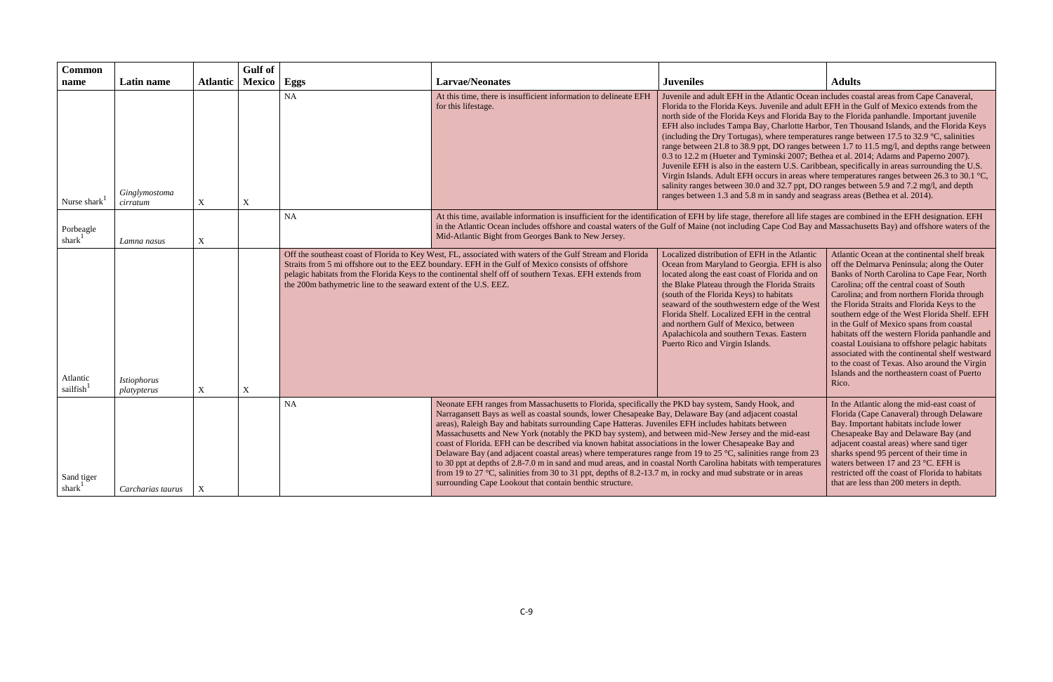| <b>Common</b><br>name            | Latin name                 | <b>Atlantic</b> | <b>Gulf</b> of<br>Mexico | Eggs                                                             | <b>Larvae/Neonates</b>                                                                                                                                                                                                                                                                                                                                                                                                                                                                                                                                                                                                                                                                                                                                                                                                                                                                                                                                                                                                                                                                                                                                                                                                                                                                                                                                         | <b>Juveniles</b>                                                                                                                                                                                                                                                                                                                                                                                                                                                                                                                                                                                                                                                                                                                                                                                                                                                    | <b>Adults</b>                                                                                                                                                                                                                                                                                                                                                                                                                                                                                                                                                                                                                                     |
|----------------------------------|----------------------------|-----------------|--------------------------|------------------------------------------------------------------|----------------------------------------------------------------------------------------------------------------------------------------------------------------------------------------------------------------------------------------------------------------------------------------------------------------------------------------------------------------------------------------------------------------------------------------------------------------------------------------------------------------------------------------------------------------------------------------------------------------------------------------------------------------------------------------------------------------------------------------------------------------------------------------------------------------------------------------------------------------------------------------------------------------------------------------------------------------------------------------------------------------------------------------------------------------------------------------------------------------------------------------------------------------------------------------------------------------------------------------------------------------------------------------------------------------------------------------------------------------|---------------------------------------------------------------------------------------------------------------------------------------------------------------------------------------------------------------------------------------------------------------------------------------------------------------------------------------------------------------------------------------------------------------------------------------------------------------------------------------------------------------------------------------------------------------------------------------------------------------------------------------------------------------------------------------------------------------------------------------------------------------------------------------------------------------------------------------------------------------------|---------------------------------------------------------------------------------------------------------------------------------------------------------------------------------------------------------------------------------------------------------------------------------------------------------------------------------------------------------------------------------------------------------------------------------------------------------------------------------------------------------------------------------------------------------------------------------------------------------------------------------------------------|
| Nurse shark                      | Ginglymostoma<br>cirratum  | $\mathbf X$     | $\mathbf X$              | <b>NA</b>                                                        | At this time, there is insufficient information to delineate EFH<br>for this lifestage.                                                                                                                                                                                                                                                                                                                                                                                                                                                                                                                                                                                                                                                                                                                                                                                                                                                                                                                                                                                                                                                                                                                                                                                                                                                                        | Juvenile and adult EFH in the Atlantic Ocean includes coastal areas from Cape Canaveral,<br>Florida to the Florida Keys. Juvenile and adult EFH in the Gulf of Mexico extends from the<br>north side of the Florida Keys and Florida Bay to the Florida panhandle. Important juvenile<br>EFH also includes Tampa Bay, Charlotte Harbor, Ten Thousand Islands, and the Florida Keys<br>(including the Dry Tortugas), where temperatures range between 17.5 to 32.9 $^{\circ}$ C, salinities<br>0.3 to 12.2 m (Hueter and Tyminski 2007; Bethea et al. 2014; Adams and Paperno 2007).<br>Juvenile EFH is also in the eastern U.S. Caribbean, specifically in areas surrounding the U.S.<br>salinity ranges between 30.0 and 32.7 ppt, DO ranges between 5.9 and 7.2 mg/l, and depth<br>ranges between 1.3 and 5.8 m in sandy and seagrass areas (Bethea et al. 2014). | range between 21.8 to 38.9 ppt, DO ranges between 1.7 to 11.5 mg/l, and depths range between<br>Virgin Islands. Adult EFH occurs in areas where temperatures ranges between 26.3 to 30.1 °C,                                                                                                                                                                                                                                                                                                                                                                                                                                                      |
| Porbeagle<br>shark $1$           | Lamna nasus                | $\mathbf X$     |                          | <b>NA</b>                                                        | At this time, available information is insufficient for the identification of EFH by life stage, therefore all life stages are combined in the EFH designation. EFH<br>in the Atlantic Ocean includes offshore and coastal waters of the Gulf of Maine (not including Cape Cod Bay and Massachusetts Bay) and offshore waters of the<br>Mid-Atlantic Bight from Georges Bank to New Jersey.                                                                                                                                                                                                                                                                                                                                                                                                                                                                                                                                                                                                                                                                                                                                                                                                                                                                                                                                                                    |                                                                                                                                                                                                                                                                                                                                                                                                                                                                                                                                                                                                                                                                                                                                                                                                                                                                     |                                                                                                                                                                                                                                                                                                                                                                                                                                                                                                                                                                                                                                                   |
| Atlantic<br>sailfish             | Istiophorus<br>platypterus | $\mathbf X$     | X                        | the 200m bathymetric line to the seaward extent of the U.S. EEZ. | Off the southeast coast of Florida to Key West, FL, associated with waters of the Gulf Stream and Florida<br>Straits from 5 mi offshore out to the EEZ boundary. EFH in the Gulf of Mexico consists of offshore<br>pelagic habitats from the Florida Keys to the continental shelf off of southern Texas. EFH extends from                                                                                                                                                                                                                                                                                                                                                                                                                                                                                                                                                                                                                                                                                                                                                                                                                                                                                                                                                                                                                                     | Localized distribution of EFH in the Atlantic<br>Ocean from Maryland to Georgia. EFH is also<br>located along the east coast of Florida and on<br>the Blake Plateau through the Florida Straits<br>(south of the Florida Keys) to habitats<br>seaward of the southwestern edge of the West<br>Florida Shelf. Localized EFH in the central<br>and northern Gulf of Mexico, between<br>Apalachicola and southern Texas. Eastern<br>Puerto Rico and Virgin Islands.                                                                                                                                                                                                                                                                                                                                                                                                    | Atlantic Ocean at the continental shelf break<br>off the Delmarva Peninsula; along the Outer<br>Banks of North Carolina to Cape Fear, North<br>Carolina; off the central coast of South<br>Carolina; and from northern Florida through<br>the Florida Straits and Florida Keys to the<br>southern edge of the West Florida Shelf. EFH<br>in the Gulf of Mexico spans from coastal<br>habitats off the western Florida panhandle and<br>coastal Louisiana to offshore pelagic habitats<br>associated with the continental shelf westward<br>to the coast of Texas. Also around the Virgin<br>Islands and the northeastern coast of Puerto<br>Rico. |
| Sand tiger<br>shark <sup>1</sup> | Carcharias taurus          | X               |                          | <b>NA</b>                                                        | Neonate EFH ranges from Massachusetts to Florida, specifically the PKD bay system, Sandy Hook, and<br>In the Atlantic along the mid-east coast of<br>Narragansett Bays as well as coastal sounds, lower Chesapeake Bay, Delaware Bay (and adjacent coastal<br>Florida (Cape Canaveral) through Delaware<br>areas), Raleigh Bay and habitats surrounding Cape Hatteras. Juveniles EFH includes habitats between<br>Bay. Important habitats include lower<br>Massachusetts and New York (notably the PKD bay system), and between mid-New Jersey and the mid-east<br>Chesapeake Bay and Delaware Bay (and<br>coast of Florida. EFH can be described via known habitat associations in the lower Chesapeake Bay and<br>adjacent coastal areas) where sand tiger<br>Delaware Bay (and adjacent coastal areas) where temperatures range from 19 to 25 °C, salinities range from 23<br>sharks spend 95 percent of their time in<br>to 30 ppt at depths of 2.8-7.0 m in sand and mud areas, and in coastal North Carolina habitats with temperatures<br>waters between 17 and 23 °C. EFH is<br>from 19 to 27 °C, salinities from 30 to 31 ppt, depths of 8.2-13.7 m, in rocky and mud substrate or in areas<br>restricted off the coast of Florida to habitats<br>surrounding Cape Lookout that contain benthic structure.<br>that are less than 200 meters in depth. |                                                                                                                                                                                                                                                                                                                                                                                                                                                                                                                                                                                                                                                                                                                                                                                                                                                                     |                                                                                                                                                                                                                                                                                                                                                                                                                                                                                                                                                                                                                                                   |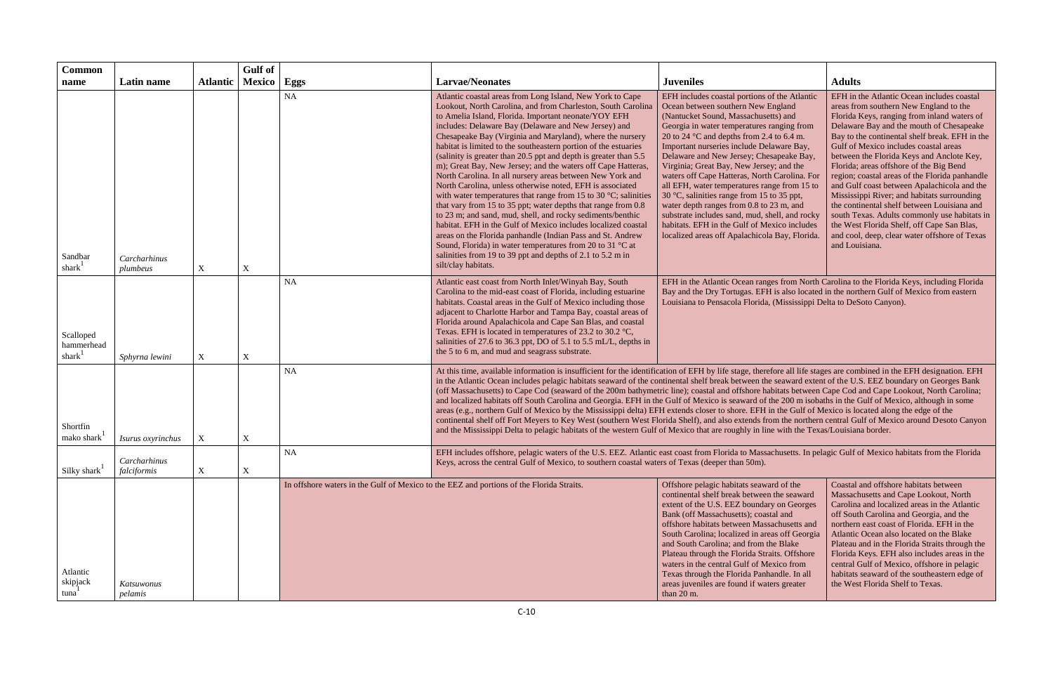| <b>Common</b>                             |                             |                           | <b>Gulf</b> of            |           |                                                                                                                                                                                                                                                                                                                                                                                                                                                                                                                                                                                                                                                                                                                                                                                                                                                                                                                                                                                                                                                                                                                                      |                                                                                                                                                                                                                                                                                                                                                                                                                                                                                                                                                                                                                                                                                                                     |                                                                                                                                                                                                                                                                                                                                                                                                                                                                                                                                                                                                                                                                                                                                    |
|-------------------------------------------|-----------------------------|---------------------------|---------------------------|-----------|--------------------------------------------------------------------------------------------------------------------------------------------------------------------------------------------------------------------------------------------------------------------------------------------------------------------------------------------------------------------------------------------------------------------------------------------------------------------------------------------------------------------------------------------------------------------------------------------------------------------------------------------------------------------------------------------------------------------------------------------------------------------------------------------------------------------------------------------------------------------------------------------------------------------------------------------------------------------------------------------------------------------------------------------------------------------------------------------------------------------------------------|---------------------------------------------------------------------------------------------------------------------------------------------------------------------------------------------------------------------------------------------------------------------------------------------------------------------------------------------------------------------------------------------------------------------------------------------------------------------------------------------------------------------------------------------------------------------------------------------------------------------------------------------------------------------------------------------------------------------|------------------------------------------------------------------------------------------------------------------------------------------------------------------------------------------------------------------------------------------------------------------------------------------------------------------------------------------------------------------------------------------------------------------------------------------------------------------------------------------------------------------------------------------------------------------------------------------------------------------------------------------------------------------------------------------------------------------------------------|
| name                                      | Latin name                  | <b>Atlantic</b>           | Mexico                    | Eggs      | <b>Larvae/Neonates</b>                                                                                                                                                                                                                                                                                                                                                                                                                                                                                                                                                                                                                                                                                                                                                                                                                                                                                                                                                                                                                                                                                                               | <b>Juveniles</b>                                                                                                                                                                                                                                                                                                                                                                                                                                                                                                                                                                                                                                                                                                    | <b>Adults</b>                                                                                                                                                                                                                                                                                                                                                                                                                                                                                                                                                                                                                                                                                                                      |
| Sandbar<br>shark                          | Carcharhinus<br>plumbeus    | $\mathbf X$               | $\mathbf X$               | <b>NA</b> | Atlantic coastal areas from Long Island, New York to Cape<br>Lookout, North Carolina, and from Charleston, South Carolina<br>to Amelia Island, Florida. Important neonate/YOY EFH<br>includes: Delaware Bay (Delaware and New Jersey) and<br>Chesapeake Bay (Virginia and Maryland), where the nursery<br>habitat is limited to the southeastern portion of the estuaries<br>(salinity is greater than 20.5 ppt and depth is greater than 5.5<br>m); Great Bay, New Jersey; and the waters off Cape Hatteras,<br>North Carolina. In all nursery areas between New York and<br>North Carolina, unless otherwise noted, EFH is associated<br>with water temperatures that range from 15 to 30 $^{\circ}$ C; salinities<br>that vary from 15 to 35 ppt; water depths that range from 0.8<br>to 23 m; and sand, mud, shell, and rocky sediments/benthic<br>habitat. EFH in the Gulf of Mexico includes localized coastal<br>areas on the Florida panhandle (Indian Pass and St. Andrew<br>Sound, Florida) in water temperatures from 20 to 31 °C at<br>salinities from 19 to 39 ppt and depths of 2.1 to 5.2 m in<br>silt/clay habitats. | EFH includes coastal portions of the Atlantic<br>Ocean between southern New England<br>(Nantucket Sound, Massachusetts) and<br>Georgia in water temperatures ranging from<br>20 to 24 $\degree$ C and depths from 2.4 to 6.4 m.<br>Important nurseries include Delaware Bay,<br>Delaware and New Jersey; Chesapeake Bay,<br>Virginia; Great Bay, New Jersey; and the<br>waters off Cape Hatteras, North Carolina. For<br>all EFH, water temperatures range from 15 to<br>30 °C, salinities range from 15 to 35 ppt,<br>water depth ranges from 0.8 to 23 m, and<br>substrate includes sand, mud, shell, and rocky<br>habitats. EFH in the Gulf of Mexico includes<br>localized areas off Apalachicola Bay, Florida. | EFH in the Atlantic Ocean includes coastal<br>areas from southern New England to the<br>Florida Keys, ranging from inland waters of<br>Delaware Bay and the mouth of Chesapeake<br>Bay to the continental shelf break. EFH in the<br>Gulf of Mexico includes coastal areas<br>between the Florida Keys and Anclote Key,<br>Florida; areas offshore of the Big Bend<br>region; coastal areas of the Florida panhandle<br>and Gulf coast between Apalachicola and the<br>Mississippi River; and habitats surrounding<br>the continental shelf between Louisiana and<br>south Texas. Adults commonly use habitats in<br>the West Florida Shelf, off Cape San Blas,<br>and cool, deep, clear water offshore of Texas<br>and Louisiana. |
| Scalloped<br>hammerhead<br>shark          | Sphyrna lewini              | $\mathbf X$               | $\mathbf X$               | <b>NA</b> | Atlantic east coast from North Inlet/Winyah Bay, South<br>Carolina to the mid-east coast of Florida, including estuarine<br>habitats. Coastal areas in the Gulf of Mexico including those<br>adjacent to Charlotte Harbor and Tampa Bay, coastal areas of<br>Florida around Apalachicola and Cape San Blas, and coastal<br>Texas. EFH is located in temperatures of 23.2 to 30.2 °C,<br>salinities of 27.6 to 36.3 ppt, DO of 5.1 to 5.5 mL/L, depths in<br>the 5 to 6 m, and mud and seagrass substrate.                                                                                                                                                                                                                                                                                                                                                                                                                                                                                                                                                                                                                            | EFH in the Atlantic Ocean ranges from North Carolina to the Florida Keys, including Florida<br>Bay and the Dry Tortugas. EFH is also located in the northern Gulf of Mexico from eastern<br>Louisiana to Pensacola Florida, (Mississippi Delta to DeSoto Canyon).                                                                                                                                                                                                                                                                                                                                                                                                                                                   |                                                                                                                                                                                                                                                                                                                                                                                                                                                                                                                                                                                                                                                                                                                                    |
| Shortfin<br>mako shark                    | Isurus oxyrinchus           | X                         | $\boldsymbol{\mathrm{X}}$ | <b>NA</b> | At this time, available information is insufficient for the identification of EFH by life stage, therefore all life stages are combined in the EFH designation. EFH<br>in the Atlantic Ocean includes pelagic habitats seaward of the continental shelf break between the seaward extent of the U.S. EEZ boundary on Georges Bank<br>(off Massachusetts) to Cape Cod (seaward of the 200m bathymetric line); coastal and offshore habitats between Cape Cod and Cape Lookout, North Carolina;<br>and localized habitats off South Carolina and Georgia. EFH in the Gulf of Mexico is seaward of the 200 m isobaths in the Gulf of Mexico, although in some<br>areas (e.g., northern Gulf of Mexico by the Mississippi delta) EFH extends closer to shore. EFH in the Gulf of Mexico is located along the edge of the<br>continental shelf off Fort Meyers to Key West (southern West Florida Shelf), and also extends from the northern central Gulf of Mexico around Desoto Canyon<br>and the Mississippi Delta to pelagic habitats of the western Gulf of Mexico that are roughly in line with the Texas/Louisiana border.         |                                                                                                                                                                                                                                                                                                                                                                                                                                                                                                                                                                                                                                                                                                                     |                                                                                                                                                                                                                                                                                                                                                                                                                                                                                                                                                                                                                                                                                                                                    |
| Silky shark                               | Carcharhinus<br>falciformis | $\boldsymbol{\mathrm{X}}$ | $\mathbf X$               | <b>NA</b> | EFH includes offshore, pelagic waters of the U.S. EEZ. Atlantic east coast from Florida to Massachusetts. In pelagic Gulf of Mexico habitats from the Florida<br>Keys, across the central Gulf of Mexico, to southern coastal waters of Texas (deeper than 50m).                                                                                                                                                                                                                                                                                                                                                                                                                                                                                                                                                                                                                                                                                                                                                                                                                                                                     |                                                                                                                                                                                                                                                                                                                                                                                                                                                                                                                                                                                                                                                                                                                     |                                                                                                                                                                                                                                                                                                                                                                                                                                                                                                                                                                                                                                                                                                                                    |
| Atlantic<br>skipjack<br>tuna <sup>-</sup> | Katsuwonus<br>pelamis       |                           |                           |           | In offshore waters in the Gulf of Mexico to the EEZ and portions of the Florida Straits.                                                                                                                                                                                                                                                                                                                                                                                                                                                                                                                                                                                                                                                                                                                                                                                                                                                                                                                                                                                                                                             | Offshore pelagic habitats seaward of the<br>continental shelf break between the seaward<br>extent of the U.S. EEZ boundary on Georges<br>Bank (off Massachusetts); coastal and<br>offshore habitats between Massachusetts and<br>South Carolina; localized in areas off Georgia<br>and South Carolina; and from the Blake<br>Plateau through the Florida Straits. Offshore<br>waters in the central Gulf of Mexico from<br>Texas through the Florida Panhandle. In all<br>areas juveniles are found if waters greater<br>than 20 m.                                                                                                                                                                                 | Coastal and offshore habitats between<br>Massachusetts and Cape Lookout, North<br>Carolina and localized areas in the Atlantic<br>off South Carolina and Georgia, and the<br>northern east coast of Florida. EFH in the<br>Atlantic Ocean also located on the Blake<br>Plateau and in the Florida Straits through the<br>Florida Keys. EFH also includes areas in the<br>central Gulf of Mexico, offshore in pelagic<br>habitats seaward of the southeastern edge of<br>the West Florida Shelf to Texas.                                                                                                                                                                                                                           |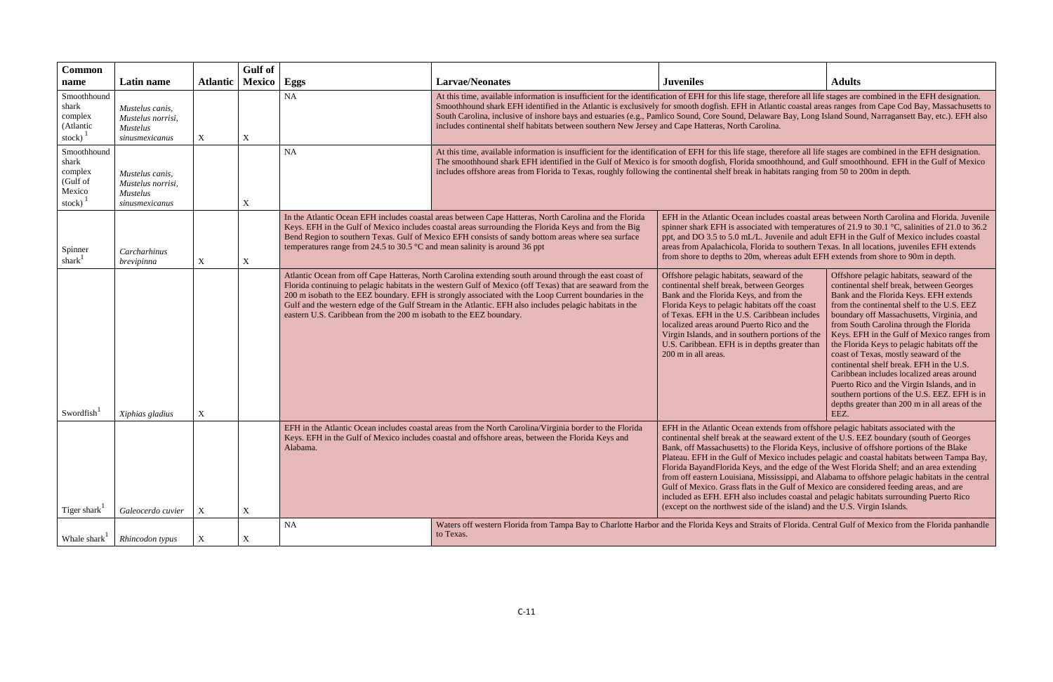| <b>Common</b>                                                   |                                                                           |                 | Gulf of       |                                                                                                                                                                                                                                                                                                                                                                                                                                                                                                                |                                                                                                                                                                                                                                                                                                                                                                                                                                                                                                                                                                                                             |                                                                                                                                                                                                                                                                                                                                                                                                                                                                                                                                                                                                                                                                                                                                                                                                                                                  |                                                                                                                                                                                                                                                                                                                                                                                                                                                                                                                                                                                                                                                               |  |
|-----------------------------------------------------------------|---------------------------------------------------------------------------|-----------------|---------------|----------------------------------------------------------------------------------------------------------------------------------------------------------------------------------------------------------------------------------------------------------------------------------------------------------------------------------------------------------------------------------------------------------------------------------------------------------------------------------------------------------------|-------------------------------------------------------------------------------------------------------------------------------------------------------------------------------------------------------------------------------------------------------------------------------------------------------------------------------------------------------------------------------------------------------------------------------------------------------------------------------------------------------------------------------------------------------------------------------------------------------------|--------------------------------------------------------------------------------------------------------------------------------------------------------------------------------------------------------------------------------------------------------------------------------------------------------------------------------------------------------------------------------------------------------------------------------------------------------------------------------------------------------------------------------------------------------------------------------------------------------------------------------------------------------------------------------------------------------------------------------------------------------------------------------------------------------------------------------------------------|---------------------------------------------------------------------------------------------------------------------------------------------------------------------------------------------------------------------------------------------------------------------------------------------------------------------------------------------------------------------------------------------------------------------------------------------------------------------------------------------------------------------------------------------------------------------------------------------------------------------------------------------------------------|--|
| name                                                            | Latin name                                                                | <b>Atlantic</b> | <b>Mexico</b> | Eggs                                                                                                                                                                                                                                                                                                                                                                                                                                                                                                           | <b>Larvae/Neonates</b>                                                                                                                                                                                                                                                                                                                                                                                                                                                                                                                                                                                      | <b>Juveniles</b>                                                                                                                                                                                                                                                                                                                                                                                                                                                                                                                                                                                                                                                                                                                                                                                                                                 | <b>Adults</b>                                                                                                                                                                                                                                                                                                                                                                                                                                                                                                                                                                                                                                                 |  |
| Smoothhound<br>shark<br>complex<br>(Atlantic<br>stock)          | Mustelus canis,<br>Mustelus norrisi,<br><b>Mustelus</b><br>sinusmexicanus | X               | $\mathbf X$   | NA                                                                                                                                                                                                                                                                                                                                                                                                                                                                                                             | At this time, available information is insufficient for the identification of EFH for this life stage, therefore all life stages are combined in the EFH designation.<br>Smoothhound shark EFH identified in the Atlantic is exclusively for smooth dogfish. EFH in Atlantic coastal areas ranges from Cape Cod Bay, Massachusetts to<br>South Carolina, inclusive of inshore bays and estuaries (e.g., Pamlico Sound, Core Sound, Delaware Bay, Long Island Sound, Narragansett Bay, etc.). EFH also<br>includes continental shelf habitats between southern New Jersey and Cape Hatteras, North Carolina. |                                                                                                                                                                                                                                                                                                                                                                                                                                                                                                                                                                                                                                                                                                                                                                                                                                                  |                                                                                                                                                                                                                                                                                                                                                                                                                                                                                                                                                                                                                                                               |  |
| Smoothhound<br>shark<br>complex<br>(Gulf of<br>Mexico<br>stock) | Mustelus canis,<br>Mustelus norrisi,<br><b>Mustelus</b><br>sinusmexicanus |                 | X             | NA                                                                                                                                                                                                                                                                                                                                                                                                                                                                                                             | At this time, available information is insufficient for the identification of EFH for this life stage, therefore all life stages are combined in the EFH designation.<br>The smoothhound shark EFH identified in the Gulf of Mexico is for smooth dogfish, Florida smoothhound, and Gulf smoothhound. EFH in the Gulf of Mexico<br>includes offshore areas from Florida to Texas, roughly following the continental shelf break in habitats ranging from 50 to 200m in depth.                                                                                                                               |                                                                                                                                                                                                                                                                                                                                                                                                                                                                                                                                                                                                                                                                                                                                                                                                                                                  |                                                                                                                                                                                                                                                                                                                                                                                                                                                                                                                                                                                                                                                               |  |
| Spinner<br>shark                                                | Carcharhinus<br>brevipinna                                                | X               | $\mathbf X$   | In the Atlantic Ocean EFH includes coastal areas between Cape Hatteras, North Carolina and the Florida<br>Keys. EFH in the Gulf of Mexico includes coastal areas surrounding the Florida Keys and from the Big<br>Bend Region to southern Texas. Gulf of Mexico EFH consists of sandy bottom areas where sea surface<br>temperatures range from 24.5 to 30.5 $\degree$ C and mean salinity is around 36 ppt                                                                                                    |                                                                                                                                                                                                                                                                                                                                                                                                                                                                                                                                                                                                             | spinner shark EFH is associated with temperatures of 21.9 to 30.1 °C, salinities of 21.0 to 36.2<br>ppt, and DO 3.5 to 5.0 mL/L. Juvenile and adult EFH in the Gulf of Mexico includes coastal<br>areas from Apalachicola, Florida to southern Texas. In all locations, juveniles EFH extends<br>from shore to depths to 20m, whereas adult EFH extends from shore to 90m in depth.                                                                                                                                                                                                                                                                                                                                                                                                                                                              | EFH in the Atlantic Ocean includes coastal areas between North Carolina and Florida. Juvenile                                                                                                                                                                                                                                                                                                                                                                                                                                                                                                                                                                 |  |
| Swordfish                                                       | Xiphias gladius                                                           | X               |               | Atlantic Ocean from off Cape Hatteras, North Carolina extending south around through the east coast of<br>Florida continuing to pelagic habitats in the western Gulf of Mexico (off Texas) that are seaward from the<br>200 m isobath to the EEZ boundary. EFH is strongly associated with the Loop Current boundaries in the<br>Gulf and the western edge of the Gulf Stream in the Atlantic. EFH also includes pelagic habitats in the<br>eastern U.S. Caribbean from the 200 m isobath to the EEZ boundary. |                                                                                                                                                                                                                                                                                                                                                                                                                                                                                                                                                                                                             | Offshore pelagic habitats, seaward of the<br>continental shelf break, between Georges<br>Bank and the Florida Keys, and from the<br>Florida Keys to pelagic habitats off the coast<br>of Texas. EFH in the U.S. Caribbean includes<br>localized areas around Puerto Rico and the<br>Virgin Islands, and in southern portions of the<br>U.S. Caribbean. EFH is in depths greater than<br>200 m in all areas.                                                                                                                                                                                                                                                                                                                                                                                                                                      | Offshore pelagic habitats, seaward of the<br>continental shelf break, between Georges<br>Bank and the Florida Keys. EFH extends<br>from the continental shelf to the U.S. EEZ<br>boundary off Massachusetts, Virginia, and<br>from South Carolina through the Florida<br>Keys. EFH in the Gulf of Mexico ranges from<br>the Florida Keys to pelagic habitats off the<br>coast of Texas, mostly seaward of the<br>continental shelf break. EFH in the U.S.<br>Caribbean includes localized areas around<br>Puerto Rico and the Virgin Islands, and in<br>southern portions of the U.S. EEZ. EFH is in<br>depths greater than 200 m in all areas of the<br>EEZ. |  |
| Tiger shark                                                     | Galeocerdo cuvier                                                         | X               | $\mathbf X$   | EFH in the Atlantic Ocean includes coastal areas from the North Carolina/Virginia border to the Florida<br>Keys. EFH in the Gulf of Mexico includes coastal and offshore areas, between the Florida Keys and<br>Alabama.                                                                                                                                                                                                                                                                                       |                                                                                                                                                                                                                                                                                                                                                                                                                                                                                                                                                                                                             | EFH in the Atlantic Ocean extends from offshore pelagic habitats associated with the<br>continental shelf break at the seaward extent of the U.S. EEZ boundary (south of Georges<br>Bank, off Massachusetts) to the Florida Keys, inclusive of offshore portions of the Blake<br>Plateau. EFH in the Gulf of Mexico includes pelagic and coastal habitats between Tampa Bay,<br>Florida BayandFlorida Keys, and the edge of the West Florida Shelf; and an area extending<br>from off eastern Louisiana, Mississippi, and Alabama to offshore pelagic habitats in the central<br>Gulf of Mexico. Grass flats in the Gulf of Mexico are considered feeding areas, and are<br>included as EFH. EFH also includes coastal and pelagic habitats surrounding Puerto Rico<br>(except on the northwest side of the island) and the U.S. Virgin Islands. |                                                                                                                                                                                                                                                                                                                                                                                                                                                                                                                                                                                                                                                               |  |
|                                                                 |                                                                           |                 |               | <b>NA</b>                                                                                                                                                                                                                                                                                                                                                                                                                                                                                                      | Waters off western Florida from Tampa Bay to Charlotte Harbor and the Florida Keys and Straits of Florida. Central Gulf of Mexico from the Florida panhandle                                                                                                                                                                                                                                                                                                                                                                                                                                                |                                                                                                                                                                                                                                                                                                                                                                                                                                                                                                                                                                                                                                                                                                                                                                                                                                                  |                                                                                                                                                                                                                                                                                                                                                                                                                                                                                                                                                                                                                                                               |  |
| Whale shark <sup>1</sup>                                        | Rhincodon typus                                                           | X               | X             |                                                                                                                                                                                                                                                                                                                                                                                                                                                                                                                | to Texas.                                                                                                                                                                                                                                                                                                                                                                                                                                                                                                                                                                                                   |                                                                                                                                                                                                                                                                                                                                                                                                                                                                                                                                                                                                                                                                                                                                                                                                                                                  |                                                                                                                                                                                                                                                                                                                                                                                                                                                                                                                                                                                                                                                               |  |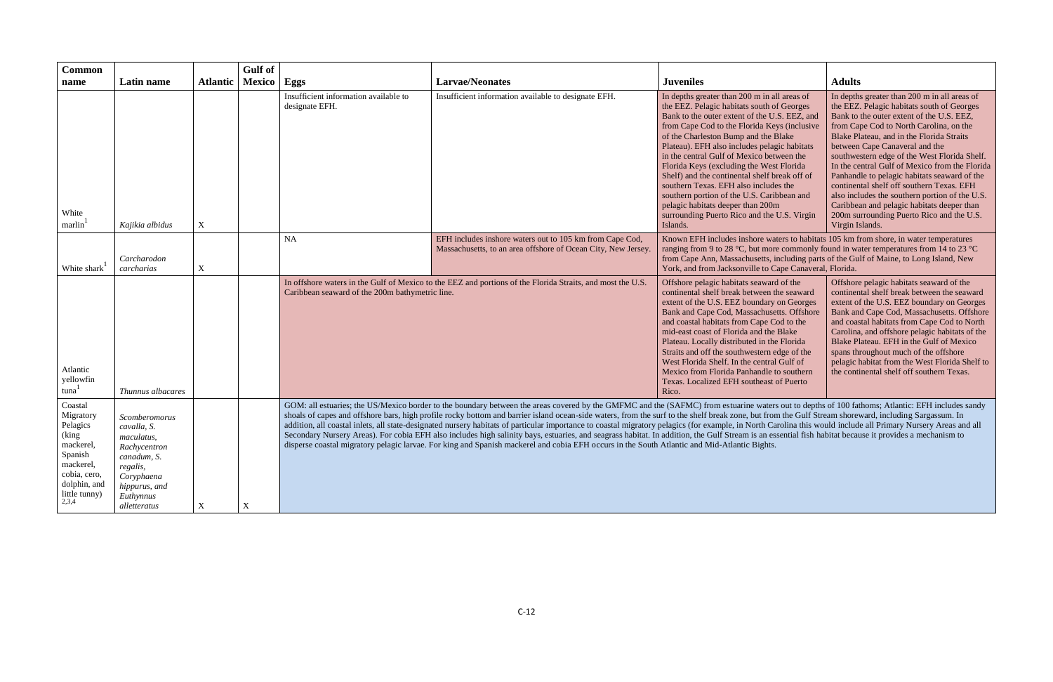| <b>Common</b><br>name                                                                                                                       | Latin name                                                                                                                                        | <b>Atlantic</b> | Gulf of<br><b>Mexico</b> | Eggs                                                    | <b>Larvae/Neonates</b>                                                                                                                                                                                                                                                                                                                                                                                                                                                                                                                                                                                                                                                                                                                                                                                                                                                                                                                                                                  | <b>Juveniles</b>                                                                                                                                                                                                                                                                                                                                                                                                                                                                                                                                                                                                     | <b>Adults</b>                                                                                                                                                                                                                                                                                                                                                                                                                                                                                                                                                                                                                    |
|---------------------------------------------------------------------------------------------------------------------------------------------|---------------------------------------------------------------------------------------------------------------------------------------------------|-----------------|--------------------------|---------------------------------------------------------|-----------------------------------------------------------------------------------------------------------------------------------------------------------------------------------------------------------------------------------------------------------------------------------------------------------------------------------------------------------------------------------------------------------------------------------------------------------------------------------------------------------------------------------------------------------------------------------------------------------------------------------------------------------------------------------------------------------------------------------------------------------------------------------------------------------------------------------------------------------------------------------------------------------------------------------------------------------------------------------------|----------------------------------------------------------------------------------------------------------------------------------------------------------------------------------------------------------------------------------------------------------------------------------------------------------------------------------------------------------------------------------------------------------------------------------------------------------------------------------------------------------------------------------------------------------------------------------------------------------------------|----------------------------------------------------------------------------------------------------------------------------------------------------------------------------------------------------------------------------------------------------------------------------------------------------------------------------------------------------------------------------------------------------------------------------------------------------------------------------------------------------------------------------------------------------------------------------------------------------------------------------------|
| White<br>marlin                                                                                                                             | Kajikia albidus                                                                                                                                   | X               |                          | Insufficient information available to<br>designate EFH. | Insufficient information available to designate EFH.                                                                                                                                                                                                                                                                                                                                                                                                                                                                                                                                                                                                                                                                                                                                                                                                                                                                                                                                    | In depths greater than 200 m in all areas of<br>the EEZ. Pelagic habitats south of Georges<br>Bank to the outer extent of the U.S. EEZ, and<br>from Cape Cod to the Florida Keys (inclusive<br>of the Charleston Bump and the Blake<br>Plateau). EFH also includes pelagic habitats<br>in the central Gulf of Mexico between the<br>Florida Keys (excluding the West Florida<br>Shelf) and the continental shelf break off of<br>southern Texas. EFH also includes the<br>southern portion of the U.S. Caribbean and<br>pelagic habitats deeper than 200m<br>surrounding Puerto Rico and the U.S. Virgin<br>Islands. | In depths greater than 200 m in all areas of<br>the EEZ. Pelagic habitats south of Georges<br>Bank to the outer extent of the U.S. EEZ,<br>from Cape Cod to North Carolina, on the<br>Blake Plateau, and in the Florida Straits<br>between Cape Canaveral and the<br>southwestern edge of the West Florida Shelf.<br>In the central Gulf of Mexico from the Florida<br>Panhandle to pelagic habitats seaward of the<br>continental shelf off southern Texas. EFH<br>also includes the southern portion of the U.S.<br>Caribbean and pelagic habitats deeper than<br>200m surrounding Puerto Rico and the U.S.<br>Virgin Islands. |
| White shark <sup>1</sup>                                                                                                                    | Carcharodon<br>carcharias                                                                                                                         | $\mathbf X$     |                          | NA                                                      | EFH includes inshore waters out to 105 km from Cape Cod,<br>Massachusetts, to an area offshore of Ocean City, New Jersey                                                                                                                                                                                                                                                                                                                                                                                                                                                                                                                                                                                                                                                                                                                                                                                                                                                                | Known EFH includes inshore waters to habitats 105 km from shore, in water temperatures<br>ranging from 9 to 28 °C, but more commonly found in water temperatures from 14 to 23 °C<br>from Cape Ann, Massachusetts, including parts of the Gulf of Maine, to Long Island, New<br>York, and from Jacksonville to Cape Canaveral, Florida.                                                                                                                                                                                                                                                                              |                                                                                                                                                                                                                                                                                                                                                                                                                                                                                                                                                                                                                                  |
| Atlantic<br>yellowfin<br>tuna                                                                                                               | Thunnus albacares                                                                                                                                 |                 |                          | Caribbean seaward of the 200m bathymetric line.         | In offshore waters in the Gulf of Mexico to the EEZ and portions of the Florida Straits, and most the U.S                                                                                                                                                                                                                                                                                                                                                                                                                                                                                                                                                                                                                                                                                                                                                                                                                                                                               | Offshore pelagic habitats seaward of the<br>continental shelf break between the seaward<br>extent of the U.S. EEZ boundary on Georges<br>Bank and Cape Cod, Massachusetts. Offshore<br>and coastal habitats from Cape Cod to the<br>mid-east coast of Florida and the Blake<br>Plateau. Locally distributed in the Florida<br>Straits and off the southwestern edge of the<br>West Florida Shelf. In the central Gulf of<br>Mexico from Florida Panhandle to southern<br>Texas. Localized EFH southeast of Puerto<br>Rico.                                                                                           | Offshore pelagic habitats seaward of the<br>continental shelf break between the seaward<br>extent of the U.S. EEZ boundary on Georges<br>Bank and Cape Cod, Massachusetts. Offshore<br>and coastal habitats from Cape Cod to North<br>Carolina, and offshore pelagic habitats of the<br>Blake Plateau. EFH in the Gulf of Mexico<br>spans throughout much of the offshore<br>pelagic habitat from the West Florida Shelf to<br>the continental shelf off southern Texas.                                                                                                                                                         |
| Coastal<br>Migratory<br>Pelagics<br>(king)<br>mackerel,<br>Spanish<br>mackerel,<br>cobia, cero,<br>dolphin, and<br>little tunny)<br>$2,3,4$ | Scomberomorus<br>cavalla, S.<br>maculatus,<br>Rachycentron<br>canadum, S.<br>regalis,<br>Coryphaena<br>hippurus, and<br>Euthynnus<br>alletteratus | $\mathbf X$     | X                        |                                                         | GOM: all estuaries; the US/Mexico border to the boundary between the areas covered by the GMFMC and the (SAFMC) from estuarine waters out to depths of 100 fathoms; Atlantic: EFH includes sandy<br>shoals of capes and offshore bars, high profile rocky bottom and barrier island ocean-side waters, from the surf to the shelf break zone, but from the Gulf Stream shoreward, including Sargassum. In<br>addition, all coastal inlets, all state-designated nursery habitats of particular importance to coastal migratory pelagics (for example, in North Carolina this would include all Primary Nursery Areas and all<br>Secondary Nursery Areas). For cobia EFH also includes high salinity bays, estuaries, and seagrass habitat. In addition, the Gulf Stream is an essential fish habitat because it provides a mechanism to<br>disperse coastal migratory pelagic larvae. For king and Spanish mackerel and cobia EFH occurs in the South Atlantic and Mid-Atlantic Bights. |                                                                                                                                                                                                                                                                                                                                                                                                                                                                                                                                                                                                                      |                                                                                                                                                                                                                                                                                                                                                                                                                                                                                                                                                                                                                                  |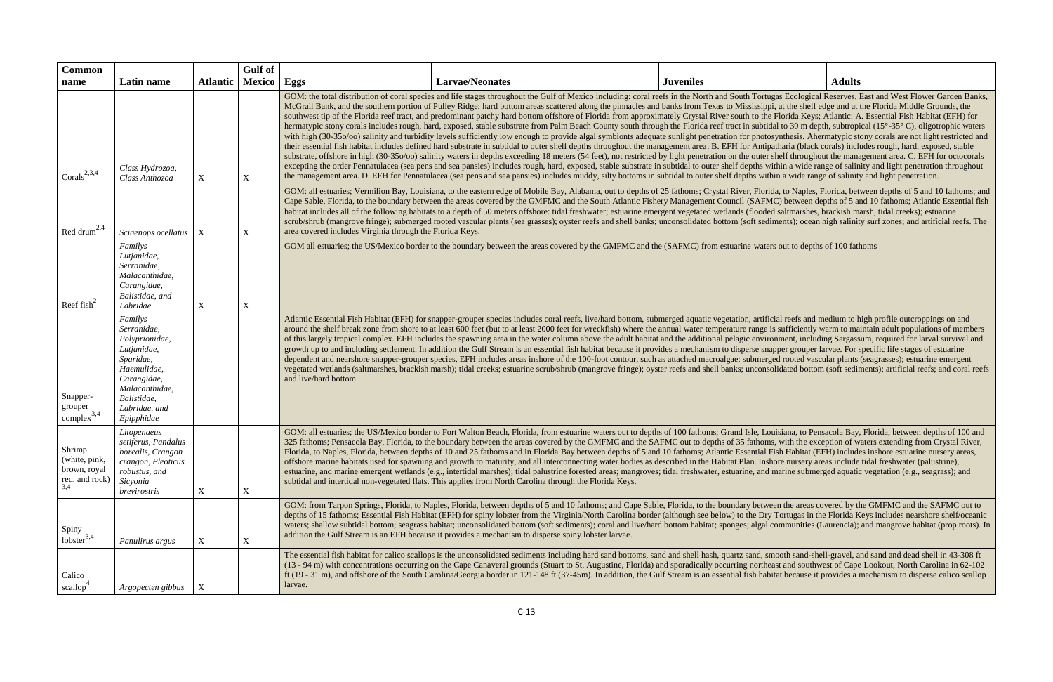| <b>Common</b>                                             |                                                                                                                                                                    |                  | Gulf of       |                       |                                                                                                                                                                                                                                                                                                                                                                                                                                                                                                                                                                                                                                                                                                                                                                                                                                                                                                                                                                                                                                                                                                                                                                                                                                                                                                                                                                                                                                                                                                                                                                                                                                                                                                                                                                                                                                                                                                                     |                  |               |  |  |  |
|-----------------------------------------------------------|--------------------------------------------------------------------------------------------------------------------------------------------------------------------|------------------|---------------|-----------------------|---------------------------------------------------------------------------------------------------------------------------------------------------------------------------------------------------------------------------------------------------------------------------------------------------------------------------------------------------------------------------------------------------------------------------------------------------------------------------------------------------------------------------------------------------------------------------------------------------------------------------------------------------------------------------------------------------------------------------------------------------------------------------------------------------------------------------------------------------------------------------------------------------------------------------------------------------------------------------------------------------------------------------------------------------------------------------------------------------------------------------------------------------------------------------------------------------------------------------------------------------------------------------------------------------------------------------------------------------------------------------------------------------------------------------------------------------------------------------------------------------------------------------------------------------------------------------------------------------------------------------------------------------------------------------------------------------------------------------------------------------------------------------------------------------------------------------------------------------------------------------------------------------------------------|------------------|---------------|--|--|--|
| name                                                      | Latin name                                                                                                                                                         | <b>Atlantic</b>  | <b>Mexico</b> | Eggs                  | <b>Larvae/Neonates</b>                                                                                                                                                                                                                                                                                                                                                                                                                                                                                                                                                                                                                                                                                                                                                                                                                                                                                                                                                                                                                                                                                                                                                                                                                                                                                                                                                                                                                                                                                                                                                                                                                                                                                                                                                                                                                                                                                              | <b>Juveniles</b> | <b>Adults</b> |  |  |  |
| Corals <sup>2,3,4</sup>                                   | Class Hydrozoa,<br>Class Anthozoa                                                                                                                                  | X                | $\mathbf X$   |                       | GOM: the total distribution of coral species and life stages throughout the Gulf of Mexico including: coral reefs in the North and South Tortugas Ecological Reserves, East and West Flower Garden Banks,<br>McGrail Bank, and the southern portion of Pulley Ridge; hard bottom areas scattered along the pinnacles and banks from Texas to Mississippi, at the shelf edge and at the Florida Middle Grounds, the<br>southwest tip of the Florida reef tract, and predominant patchy hard bottom offshore of Florida from approximately Crystal River south to the Florida Keys; Atlantic: A. Essential Fish Habitat (EFH) for<br>hermatypic stony corals includes rough, hard, exposed, stable substrate from Palm Beach County south through the Florida reef tract in subtidal to 30 m depth, subtropical (15°-35°C), oligotrophic waters<br>with high (30-350/00) salinity and turbidity levels sufficiently low enough to provide algal symbionts adequate sunlight penetration for photosynthesis. Ahermatypic stony corals are not light restricted and<br>their essential fish habitat includes defined hard substrate in subtidal to outer shelf depths throughout the management area. B. EFH for Antipatharia (black corals) includes rough, hard, exposed, stable<br>substrate, offshore in high (30-350/00) salinity waters in depths exceeding 18 meters (54 feet), not restricted by light penetration on the outer shelf throughout the management area. C. EFH for octocorals<br>excepting the order Pennatulacea (sea pens and sea pansies) includes rough, hard, exposed, stable substrate in subtidal to outer shelf depths within a wide range of salinity and light penetration throughout<br>the management area. D. EFH for Pennatulacea (sea pens and sea pansies) includes muddy, silty bottoms in subtidal to outer shelf depths within a wide range of salinity and light penetration. |                  |               |  |  |  |
| Red drum <sup>2,4</sup>                                   | Sciaenops ocellatus                                                                                                                                                | $\boldsymbol{X}$ | X             |                       | GOM: all estuaries; Vermilion Bay, Louisiana, to the eastern edge of Mobile Bay, Alabama, out to depths of 25 fathoms; Crystal River, Florida, to Naples, Florida, between depths of 5 and 10 fathoms; and<br>Cape Sable, Florida, to the boundary between the areas covered by the GMFMC and the South Atlantic Fishery Management Council (SAFMC) between depths of 5 and 10 fathoms; Atlantic Essential fish<br>habitat includes all of the following habitats to a depth of 50 meters offshore: tidal freshwater; estuarine emergent vegetated wetlands (flooded saltmarshes, brackish marsh, tidal creeks); estuarine<br>scrub/shrub (mangrove fringe); submerged rooted vascular plants (sea grasses); oyster reefs and shell banks; unconsolidated bottom (soft sediments); ocean high salinity surf zones; and artificial reefs. The<br>area covered includes Virginia through the Florida Keys.                                                                                                                                                                                                                                                                                                                                                                                                                                                                                                                                                                                                                                                                                                                                                                                                                                                                                                                                                                                                            |                  |               |  |  |  |
| Reef fish <sup>2</sup>                                    | Familys<br>Lutjanidae,<br>Serranidae,<br>Malacanthidae,<br>Carangidae,<br>Balistidae, and<br>Labridae                                                              | $\mathbf X$      | X             |                       | GOM all estuaries; the US/Mexico border to the boundary between the areas covered by the GMFMC and the (SAFMC) from estuarine waters out to depths of 100 fathoms                                                                                                                                                                                                                                                                                                                                                                                                                                                                                                                                                                                                                                                                                                                                                                                                                                                                                                                                                                                                                                                                                                                                                                                                                                                                                                                                                                                                                                                                                                                                                                                                                                                                                                                                                   |                  |               |  |  |  |
| Snapper-<br>grouper<br>complex <sup>3,4</sup>             | Familys<br>Serranidae,<br>Polyprionidae,<br>Lutjanidae,<br>Sparidae,<br>Haemulidae,<br>Carangidae,<br>Malacanthidae,<br>Balistidae,<br>Labridae, and<br>Epipphidae |                  |               | and live/hard bottom. | Atlantic Essential Fish Habitat (EFH) for snapper-grouper species includes coral reefs, live/hard bottom, submerged aquatic vegetation, artificial reefs and medium to high profile outcroppings on and<br>around the shelf break zone from shore to at least 600 feet (but to at least 2000 feet for wreckfish) where the annual water temperature range is sufficiently warm to maintain adult populations of members<br>of this largely tropical complex. EFH includes the spawning area in the water column above the adult habitat and the additional pelagic environment, including Sargassum, required for larval survival and<br>growth up to and including settlement. In addition the Gulf Stream is an essential fish habitat because it provides a mechanism to disperse snapper grouper larvae. For specific life stages of estuarine<br>dependent and nearshore snapper-grouper species, EFH includes areas inshore of the 100-foot contour, such as attached macroalgae; submerged rooted vascular plants (seagrasses); estuarine emergent<br>vegetated wetlands (saltmarshes, brackish marsh); tidal creeks; estuarine scrub/shrub (mangrove fringe); oyster reefs and shell banks; unconsolidated bottom (soft sediments); artificial reefs; and coral reefs                                                                                                                                                                                                                                                                                                                                                                                                                                                                                                                                                                                                                                       |                  |               |  |  |  |
| Shrimp<br>(white, pink,<br>brown, royal<br>red, and rock) | Litopenaeus<br>setiferus, Pandalus<br>borealis, Crangon<br>crangon, Pleoticus<br>robustus, and<br>Sicyonia<br>brevirostris                                         | X                | X             |                       | GOM: all estuaries; the US/Mexico border to Fort Walton Beach, Florida, from estuarine waters out to depths of 100 fathoms; Grand Isle, Louisiana, to Pensacola Bay, Florida, between depths of 100 and<br>325 fathoms; Pensacola Bay, Florida, to the boundary between the areas covered by the GMFMC and the SAFMC out to depths of 35 fathoms, with the exception of waters extending from Crystal River,<br>Florida, to Naples, Florida, between depths of 10 and 25 fathoms and in Florida Bay between depths of 5 and 10 fathoms; Atlantic Essential Fish Habitat (EFH) includes inshore estuarine nursery areas,<br>offshore marine habitats used for spawning and growth to maturity, and all interconnecting water bodies as described in the Habitat Plan. Inshore nursery areas include tidal freshwater (palustrine),<br>estuarine, and marine emergent wetlands (e.g., intertidal marshes); tidal palustrine forested areas; mangroves; tidal freshwater, estuarine, and marine submerged aquatic vegetation (e.g., seagrass); and<br>subtidal and intertidal non-vegetated flats. This applies from North Carolina through the Florida Keys.                                                                                                                                                                                                                                                                                                                                                                                                                                                                                                                                                                                                                                                                                                                                                          |                  |               |  |  |  |
| Spiny<br>$\frac{1}{2}$ lobster <sup>3,4</sup>             | Panulirus argus                                                                                                                                                    | $\boldsymbol{X}$ | $\mathbf X$   |                       | GOM: from Tarpon Springs, Florida, to Naples, Florida, between depths of 5 and 10 fathoms; and Cape Sable, Florida, to the boundary between the areas covered by the GMFMC and the SAFMC out to<br>depths of 15 fathoms; Essential Fish Habitat (EFH) for spiny lobster from the Virginia/North Carolina border (although see below) to the Dry Tortugas in the Florida Keys includes nearshore shelf/oceanic<br>waters; shallow subtidal bottom; seagrass habitat; unconsolidated bottom (soft sediments); coral and live/hard bottom habitat; sponges; algal communities (Laurencia); and mangrove habitat (prop roots). In<br>addition the Gulf Stream is an EFH because it provides a mechanism to disperse spiny lobster larvae.                                                                                                                                                                                                                                                                                                                                                                                                                                                                                                                                                                                                                                                                                                                                                                                                                                                                                                                                                                                                                                                                                                                                                                               |                  |               |  |  |  |
| Calico<br>scallop <sup>-</sup>                            | Argopecten gibbus                                                                                                                                                  | $\boldsymbol{X}$ |               | larvae.               | The essential fish habitat for calico scallops is the unconsolidated sediments including hard sand bottoms, sand and shell hash, quartz sand, smooth sand-shell-gravel, and sand and dead shell in 43-308 ft<br>(13 - 94 m) with concentrations occurring on the Cape Canaveral grounds (Stuart to St. Augustine, Florida) and sporadically occurring northeast and southwest of Cape Lookout, North Carolina in 62-102<br>ft (19 - 31 m), and offshore of the South Carolina/Georgia border in 121-148 ft (37-45m). In addition, the Gulf Stream is an essential fish habitat because it provides a mechanism to disperse calico scallop                                                                                                                                                                                                                                                                                                                                                                                                                                                                                                                                                                                                                                                                                                                                                                                                                                                                                                                                                                                                                                                                                                                                                                                                                                                                           |                  |               |  |  |  |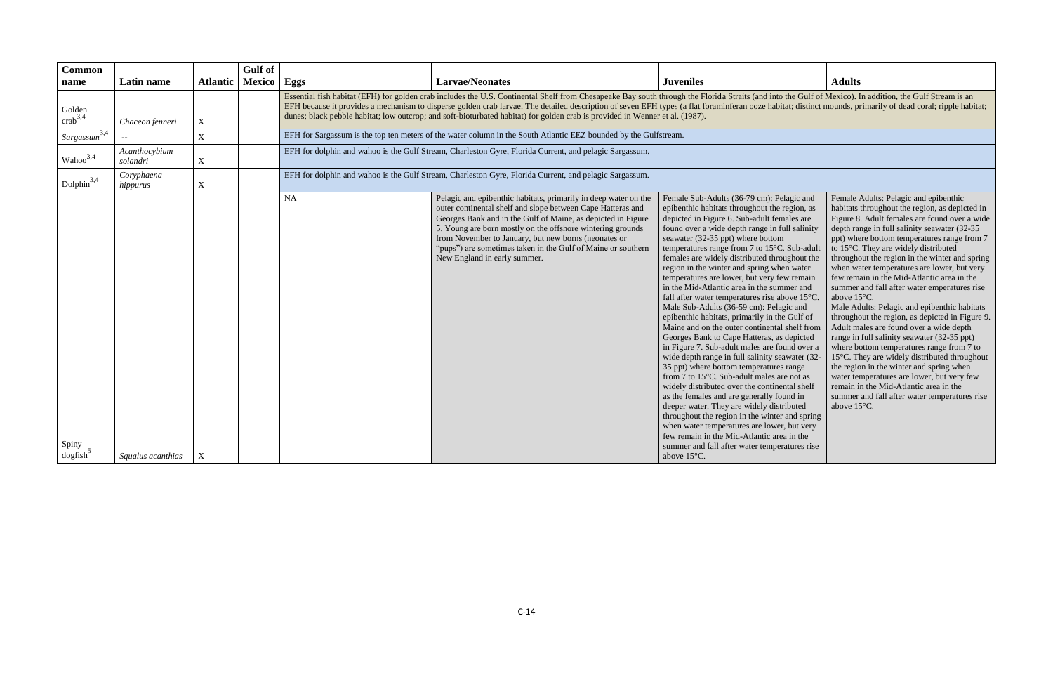nto the Gulf of Mexico). In addition, the Gulf Stream is an abitat; distinct mounds, primarily of dead coral; ripple habitat;

Female Adults: Pelagic and epibenthic habitats throughout the region, as depicted in Figure 8. Adult females are found over a wide depth range in full salinity seawater (32-35 ppt) where bottom temperatures range from 7 to 15°C. They are widely distributed throughout the region in the winter and spring when water temperatures are lower, but very few remain in the Mid-Atlantic area in the summer and fall after water emperatures rise above 15°C. Male Adults: Pelagic and epibenthic habitats throughout the region, as depicted in Figure 9. Adult males are found over a wide depth range in full salinity seawater (32-35 ppt) where bottom temperatures range from 7 to

| <b>Common</b>                     |                           |                 | <b>Gulf</b> of |           |                                                                                                                                                                                                                                                                                                                                                                                                                                                                                                                                         |                                                                                                                                                                                                                                                                                                                                                                                                                                                                                                                                                                                                                                                                                                                                                                                                                                                                                                                                                                                                                                                                                                                                                                                                                                                                                            |                                                                                                                                                                                                                                                                        |  |
|-----------------------------------|---------------------------|-----------------|----------------|-----------|-----------------------------------------------------------------------------------------------------------------------------------------------------------------------------------------------------------------------------------------------------------------------------------------------------------------------------------------------------------------------------------------------------------------------------------------------------------------------------------------------------------------------------------------|--------------------------------------------------------------------------------------------------------------------------------------------------------------------------------------------------------------------------------------------------------------------------------------------------------------------------------------------------------------------------------------------------------------------------------------------------------------------------------------------------------------------------------------------------------------------------------------------------------------------------------------------------------------------------------------------------------------------------------------------------------------------------------------------------------------------------------------------------------------------------------------------------------------------------------------------------------------------------------------------------------------------------------------------------------------------------------------------------------------------------------------------------------------------------------------------------------------------------------------------------------------------------------------------|------------------------------------------------------------------------------------------------------------------------------------------------------------------------------------------------------------------------------------------------------------------------|--|
| name                              | Latin name                | <b>Atlantic</b> | <b>Mexico</b>  | Eggs      | <b>Larvae/Neonates</b>                                                                                                                                                                                                                                                                                                                                                                                                                                                                                                                  | <b>Juveniles</b>                                                                                                                                                                                                                                                                                                                                                                                                                                                                                                                                                                                                                                                                                                                                                                                                                                                                                                                                                                                                                                                                                                                                                                                                                                                                           | <b>Adults</b>                                                                                                                                                                                                                                                          |  |
| Golden<br>$\arctan^{3,4}$         | Chaceon fenneri           | $\mathbf X$     |                |           | Essential fish habitat (EFH) for golden crab includes the U.S. Continental Shelf from Chesapeake Bay south through the Florida Straits (and into the Gulf of Mexico).<br>EFH because it provides a mechanism to disperse golden crab larvae. The detailed description of seven EFH types (a flat foraminferan ooze habitat; distinct mounds, provides a mechanism to disperse golden crab larvae. The d<br>dunes; black pebble habitat; low outcrop; and soft-bioturbated habitat) for golden crab is provided in Wenner et al. (1987). |                                                                                                                                                                                                                                                                                                                                                                                                                                                                                                                                                                                                                                                                                                                                                                                                                                                                                                                                                                                                                                                                                                                                                                                                                                                                                            |                                                                                                                                                                                                                                                                        |  |
| $Sargassum$ <sup>3,4</sup>        |                           | $\mathbf X$     |                |           | EFH for Sargassum is the top ten meters of the water column in the South Atlantic EEZ bounded by the Gulfstream.                                                                                                                                                                                                                                                                                                                                                                                                                        |                                                                                                                                                                                                                                                                                                                                                                                                                                                                                                                                                                                                                                                                                                                                                                                                                                                                                                                                                                                                                                                                                                                                                                                                                                                                                            |                                                                                                                                                                                                                                                                        |  |
| Wahoo <sup>3,4</sup>              | Acanthocybium<br>solandri | $\mathbf X$     |                |           | EFH for dolphin and wahoo is the Gulf Stream, Charleston Gyre, Florida Current, and pelagic Sargassum.                                                                                                                                                                                                                                                                                                                                                                                                                                  |                                                                                                                                                                                                                                                                                                                                                                                                                                                                                                                                                                                                                                                                                                                                                                                                                                                                                                                                                                                                                                                                                                                                                                                                                                                                                            |                                                                                                                                                                                                                                                                        |  |
| Dolphin <sup>3,4</sup>            | Coryphaena<br>hippurus    | $\mathbf X$     |                |           | EFH for dolphin and wahoo is the Gulf Stream, Charleston Gyre, Florida Current, and pelagic Sargassum.                                                                                                                                                                                                                                                                                                                                                                                                                                  |                                                                                                                                                                                                                                                                                                                                                                                                                                                                                                                                                                                                                                                                                                                                                                                                                                                                                                                                                                                                                                                                                                                                                                                                                                                                                            |                                                                                                                                                                                                                                                                        |  |
| Spiny<br>$\log$ fish <sup>5</sup> | Squalus acanthias         | X               |                | <b>NA</b> | Pelagic and epibenthic habitats, primarily in deep water on the<br>outer continental shelf and slope between Cape Hatteras and<br>Georges Bank and in the Gulf of Maine, as depicted in Figure<br>5. Young are born mostly on the offshore wintering grounds<br>from November to January, but new borns (neonates or<br>"pups") are sometimes taken in the Gulf of Maine or southern<br>New England in early summer.                                                                                                                    | Female Sub-Adults (36-79 cm): Pelagic and<br>epibenthic habitats throughout the region, as<br>depicted in Figure 6. Sub-adult females are<br>found over a wide depth range in full salinity<br>seawater (32-35 ppt) where bottom<br>temperatures range from 7 to 15°C. Sub-adult<br>females are widely distributed throughout the<br>region in the winter and spring when water<br>temperatures are lower, but very few remain<br>in the Mid-Atlantic area in the summer and<br>fall after water temperatures rise above 15°C.<br>Male Sub-Adults (36-59 cm): Pelagic and<br>epibenthic habitats, primarily in the Gulf of<br>Maine and on the outer continental shelf from<br>Georges Bank to Cape Hatteras, as depicted<br>in Figure 7. Sub-adult males are found over a<br>wide depth range in full salinity seawater (32-<br>35 ppt) where bottom temperatures range<br>from 7 to 15°C. Sub-adult males are not as<br>widely distributed over the continental shelf<br>as the females and are generally found in<br>deeper water. They are widely distributed<br>throughout the region in the winter and spring<br>when water temperatures are lower, but very<br>few remain in the Mid-Atlantic area in the<br>summer and fall after water temperatures rise<br>above $15^{\circ}$ C. | Female /<br>habitats<br>Figure 8<br>depth ra<br>ppt) whe<br>to $15^{\circ}$ C.<br>through<br>when wa<br>few rem<br>summer<br>above 1.<br>Male Ad<br>through<br>Adult m<br>range in<br>where be<br>15°C. Tl<br>the regio<br>water tel<br>remain i<br>summer<br>above 1. |  |

15°C. They are widely distributed throughout the region in the winter and spring when water temperatures are lower, but very few remain in the Mid-Atlantic area in the summer and fall after water temperatures rise

above 15°C.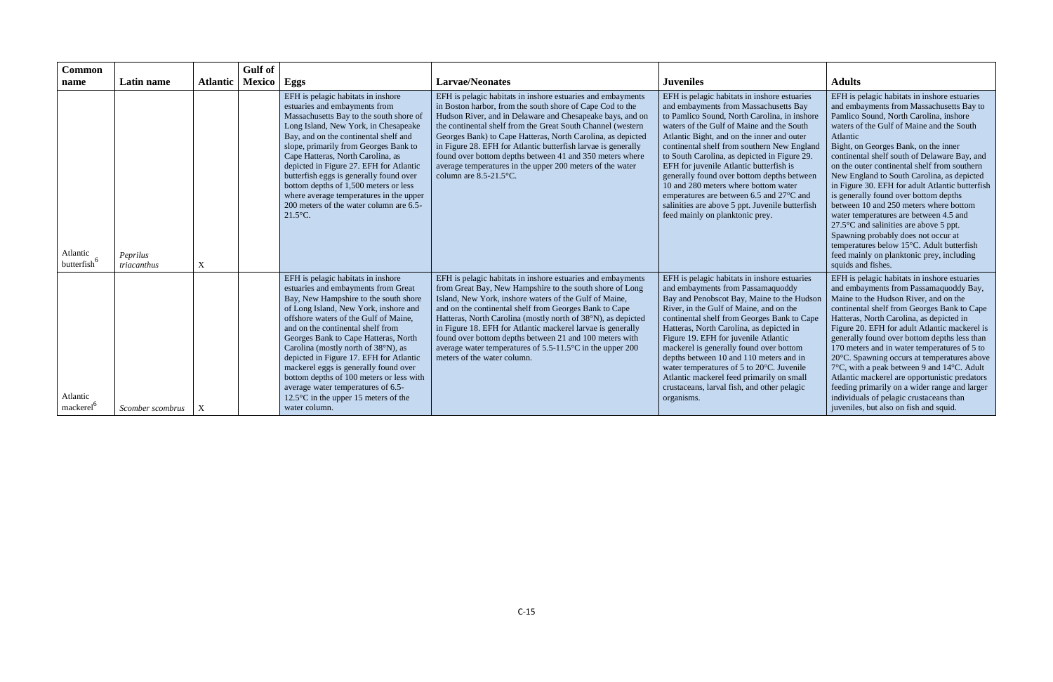| <b>Common</b><br>name               | Latin name              | <b>Atlantic</b> | <b>Gulf</b> of<br><b>Mexico</b> | Eggs                                                                                                                                                                                                                                                                                                                                                                                                                                                                                                                                                              | <b>Larvae/Neonates</b>                                                                                                                                                                                                                                                                                                                                                                                                                                                                                                                         | <b>Juveniles</b>                                                                                                                                                                                                                                                                                                                                                                                                                                                                                                                                                                                   | <b>Adults</b>                                                                                                                                                                                                                                                                                                                                                                                                                                                                                                                                                                                                                                                                                                                                                                |
|-------------------------------------|-------------------------|-----------------|---------------------------------|-------------------------------------------------------------------------------------------------------------------------------------------------------------------------------------------------------------------------------------------------------------------------------------------------------------------------------------------------------------------------------------------------------------------------------------------------------------------------------------------------------------------------------------------------------------------|------------------------------------------------------------------------------------------------------------------------------------------------------------------------------------------------------------------------------------------------------------------------------------------------------------------------------------------------------------------------------------------------------------------------------------------------------------------------------------------------------------------------------------------------|----------------------------------------------------------------------------------------------------------------------------------------------------------------------------------------------------------------------------------------------------------------------------------------------------------------------------------------------------------------------------------------------------------------------------------------------------------------------------------------------------------------------------------------------------------------------------------------------------|------------------------------------------------------------------------------------------------------------------------------------------------------------------------------------------------------------------------------------------------------------------------------------------------------------------------------------------------------------------------------------------------------------------------------------------------------------------------------------------------------------------------------------------------------------------------------------------------------------------------------------------------------------------------------------------------------------------------------------------------------------------------------|
| Atlantic<br>butterfish <sup>6</sup> | Peprilus<br>triacanthus | X               |                                 | EFH is pelagic habitats in inshore<br>estuaries and embayments from<br>Massachusetts Bay to the south shore of<br>Long Island, New York, in Chesapeake<br>Bay, and on the continental shelf and<br>slope, primarily from Georges Bank to<br>Cape Hatteras, North Carolina, as<br>depicted in Figure 27. EFH for Atlantic<br>butterfish eggs is generally found over<br>bottom depths of 1,500 meters or less<br>where average temperatures in the upper<br>200 meters of the water column are 6.5-<br>$21.5^{\circ}$ C.                                           | EFH is pelagic habitats in inshore estuaries and embayments<br>in Boston harbor, from the south shore of Cape Cod to the<br>Hudson River, and in Delaware and Chesapeake bays, and on<br>the continental shelf from the Great South Channel (western<br>Georges Bank) to Cape Hatteras, North Carolina, as depicted<br>in Figure 28. EFH for Atlantic butterfish larvae is generally<br>found over bottom depths between 41 and 350 meters where<br>average temperatures in the upper 200 meters of the water<br>column are $8.5 - 21.5$ °C.   | EFH is pelagic habitats in inshore estuaries<br>and embayments from Massachusetts Bay<br>to Pamlico Sound, North Carolina, in inshore<br>waters of the Gulf of Maine and the South<br>Atlantic Bight, and on the inner and outer<br>continental shelf from southern New England<br>to South Carolina, as depicted in Figure 29.<br>EFH for juvenile Atlantic butterfish is<br>generally found over bottom depths between<br>10 and 280 meters where bottom water<br>emperatures are between 6.5 and 27°C and<br>salinities are above 5 ppt. Juvenile butterfish<br>feed mainly on planktonic prey. | EFH is pelagic habitats in inshore estuaries<br>and embayments from Massachusetts Bay to<br>Pamlico Sound, North Carolina, inshore<br>waters of the Gulf of Maine and the South<br>Atlantic<br>Bight, on Georges Bank, on the inner<br>continental shelf south of Delaware Bay, and<br>on the outer continental shelf from southern<br>New England to South Carolina, as depicted<br>in Figure 30. EFH for adult Atlantic butterfish<br>is generally found over bottom depths<br>between 10 and 250 meters where bottom<br>water temperatures are between 4.5 and<br>$27.5^{\circ}$ C and salinities are above 5 ppt.<br>Spawning probably does not occur at<br>temperatures below 15°C. Adult butterfish<br>feed mainly on planktonic prey, including<br>squids and fishes. |
| Atlantic<br>mackerel                | Scomber scombrus        | X               |                                 | EFH is pelagic habitats in inshore<br>estuaries and embayments from Great<br>Bay, New Hampshire to the south shore<br>of Long Island, New York, inshore and<br>offshore waters of the Gulf of Maine,<br>and on the continental shelf from<br>Georges Bank to Cape Hatteras, North<br>Carolina (mostly north of 38°N), as<br>depicted in Figure 17. EFH for Atlantic<br>mackerel eggs is generally found over<br>bottom depths of 100 meters or less with<br>average water temperatures of 6.5-<br>12.5 $\degree$ C in the upper 15 meters of the<br>water column. | EFH is pelagic habitats in inshore estuaries and embayments<br>from Great Bay, New Hampshire to the south shore of Long<br>Island, New York, inshore waters of the Gulf of Maine,<br>and on the continental shelf from Georges Bank to Cape<br>Hatteras, North Carolina (mostly north of 38°N), as depicted<br>in Figure 18. EFH for Atlantic mackerel larvae is generally<br>found over bottom depths between 21 and 100 meters with<br>average water temperatures of $5.5$ -11.5 $\degree$ C in the upper 200<br>meters of the water column. | EFH is pelagic habitats in inshore estuaries<br>and embayments from Passamaquoddy<br>Bay and Penobscot Bay, Maine to the Hudson<br>River, in the Gulf of Maine, and on the<br>continental shelf from Georges Bank to Cape<br>Hatteras, North Carolina, as depicted in<br>Figure 19. EFH for juvenile Atlantic<br>mackerel is generally found over bottom<br>depths between 10 and 110 meters and in<br>water temperatures of 5 to 20°C. Juvenile<br>Atlantic mackerel feed primarily on small<br>crustaceans, larval fish, and other pelagic<br>organisms.                                         | EFH is pelagic habitats in inshore estuaries<br>and embayments from Passamaquoddy Bay,<br>Maine to the Hudson River, and on the<br>continental shelf from Georges Bank to Cape<br>Hatteras, North Carolina, as depicted in<br>Figure 20. EFH for adult Atlantic mackerel is<br>generally found over bottom depths less than<br>170 meters and in water temperatures of 5 to<br>20°C. Spawning occurs at temperatures above<br>7°C, with a peak between 9 and 14°C. Adult<br>Atlantic mackerel are opportunistic predators<br>feeding primarily on a wider range and larger<br>individuals of pelagic crustaceans than<br>juveniles, but also on fish and squid.                                                                                                              |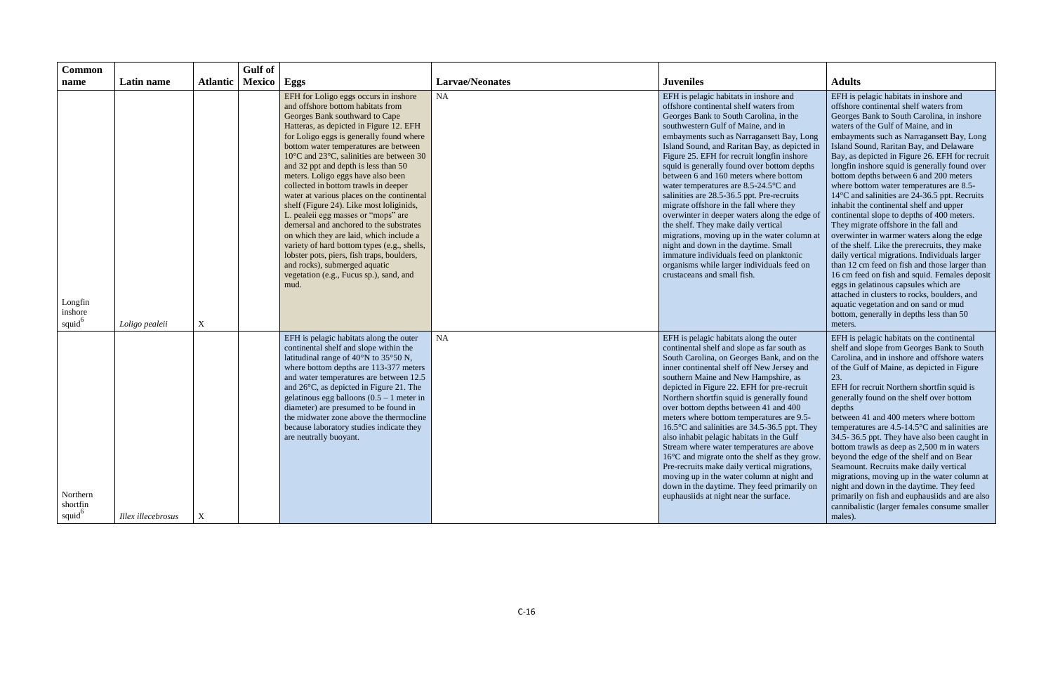| <b>Common</b>                              |                    |                 | <b>Gulf</b> of |                                                                                                                                                                                                                                                                                                                                                                                                                                                                                                                                                                                                                                                                                                                                                                                                                        |                        |                                                                                                                                                                                                                                                                                                                                                                                                                                                                                                                                                                                                                                                                                                                                                                                                                                                |                                                                                                                                                                                                                                                                                                                                                                                                                                                                                                                                                                                                                                                                                                                                                                                                                                                                                                                                                                                      |
|--------------------------------------------|--------------------|-----------------|----------------|------------------------------------------------------------------------------------------------------------------------------------------------------------------------------------------------------------------------------------------------------------------------------------------------------------------------------------------------------------------------------------------------------------------------------------------------------------------------------------------------------------------------------------------------------------------------------------------------------------------------------------------------------------------------------------------------------------------------------------------------------------------------------------------------------------------------|------------------------|------------------------------------------------------------------------------------------------------------------------------------------------------------------------------------------------------------------------------------------------------------------------------------------------------------------------------------------------------------------------------------------------------------------------------------------------------------------------------------------------------------------------------------------------------------------------------------------------------------------------------------------------------------------------------------------------------------------------------------------------------------------------------------------------------------------------------------------------|--------------------------------------------------------------------------------------------------------------------------------------------------------------------------------------------------------------------------------------------------------------------------------------------------------------------------------------------------------------------------------------------------------------------------------------------------------------------------------------------------------------------------------------------------------------------------------------------------------------------------------------------------------------------------------------------------------------------------------------------------------------------------------------------------------------------------------------------------------------------------------------------------------------------------------------------------------------------------------------|
| name                                       | Latin name         | <b>Atlantic</b> | Mexico   Eggs  |                                                                                                                                                                                                                                                                                                                                                                                                                                                                                                                                                                                                                                                                                                                                                                                                                        | <b>Larvae/Neonates</b> | <b>Juveniles</b>                                                                                                                                                                                                                                                                                                                                                                                                                                                                                                                                                                                                                                                                                                                                                                                                                               | <b>Adults</b>                                                                                                                                                                                                                                                                                                                                                                                                                                                                                                                                                                                                                                                                                                                                                                                                                                                                                                                                                                        |
|                                            |                    |                 |                | EFH for Loligo eggs occurs in inshore<br>and offshore bottom habitats from<br>Georges Bank southward to Cape<br>Hatteras, as depicted in Figure 12. EFH<br>for Loligo eggs is generally found where<br>bottom water temperatures are between<br>10°C and 23°C, salinities are between 30<br>and 32 ppt and depth is less than 50<br>meters. Loligo eggs have also been<br>collected in bottom trawls in deeper<br>water at various places on the continental<br>shelf (Figure 24). Like most loliginids,<br>L. pealeii egg masses or "mops" are<br>demersal and anchored to the substrates<br>on which they are laid, which include a<br>variety of hard bottom types (e.g., shells,<br>lobster pots, piers, fish traps, boulders,<br>and rocks), submerged aquatic<br>vegetation (e.g., Fucus sp.), sand, and<br>mud. | NA                     | EFH is pelagic habitats in inshore and<br>offshore continental shelf waters from<br>Georges Bank to South Carolina, in the<br>southwestern Gulf of Maine, and in<br>embayments such as Narragansett Bay, Long<br>Island Sound, and Raritan Bay, as depicted in<br>Figure 25. EFH for recruit longfin inshore<br>squid is generally found over bottom depths<br>between 6 and 160 meters where bottom<br>water temperatures are 8.5-24.5°C and<br>salinities are 28.5-36.5 ppt. Pre-recruits<br>migrate offshore in the fall where they<br>overwinter in deeper waters along the edge of<br>the shelf. They make daily vertical<br>migrations, moving up in the water column at<br>night and down in the daytime. Small<br>immature individuals feed on planktonic<br>organisms while larger individuals feed on<br>crustaceans and small fish. | EFH is pelagic habitats in inshore and<br>offshore continental shelf waters from<br>Georges Bank to South Carolina, in inshore<br>waters of the Gulf of Maine, and in<br>embayments such as Narragansett Bay, Long<br>Island Sound, Raritan Bay, and Delaware<br>Bay, as depicted in Figure 26. EFH for recruit<br>longfin inshore squid is generally found over<br>bottom depths between 6 and 200 meters<br>where bottom water temperatures are 8.5-<br>14°C and salinities are 24-36.5 ppt. Recruits<br>inhabit the continental shelf and upper<br>continental slope to depths of 400 meters.<br>They migrate offshore in the fall and<br>overwinter in warmer waters along the edge<br>of the shelf. Like the prerecruits, they make<br>daily vertical migrations. Individuals larger<br>than 12 cm feed on fish and those larger than<br>16 cm feed on fish and squid. Females deposit<br>eggs in gelatinous capsules which are<br>attached in clusters to rocks, boulders, and |
| Longfin<br>inshore<br>squid <sup>6</sup>   | Loligo pealeii     | $\mathbf X$     |                |                                                                                                                                                                                                                                                                                                                                                                                                                                                                                                                                                                                                                                                                                                                                                                                                                        |                        |                                                                                                                                                                                                                                                                                                                                                                                                                                                                                                                                                                                                                                                                                                                                                                                                                                                | aquatic vegetation and on sand or mud<br>bottom, generally in depths less than 50<br>meters.                                                                                                                                                                                                                                                                                                                                                                                                                                                                                                                                                                                                                                                                                                                                                                                                                                                                                         |
| Northern<br>shortfin<br>squid <sup>6</sup> | Illex illecebrosus | $\mathbf{X}$    |                | EFH is pelagic habitats along the outer<br>continental shelf and slope within the<br>latitudinal range of 40°N to 35°50 N,<br>where bottom depths are 113-377 meters<br>and water temperatures are between 12.5<br>and $26^{\circ}$ C, as depicted in Figure 21. The<br>gelatinous egg balloons $(0.5 - 1$ meter in<br>diameter) are presumed to be found in<br>the midwater zone above the thermocline<br>because laboratory studies indicate they<br>are neutrally buoyant.                                                                                                                                                                                                                                                                                                                                          | NA                     | EFH is pelagic habitats along the outer<br>continental shelf and slope as far south as<br>South Carolina, on Georges Bank, and on the<br>inner continental shelf off New Jersey and<br>southern Maine and New Hampshire, as<br>depicted in Figure 22. EFH for pre-recruit<br>Northern shortfin squid is generally found<br>over bottom depths between 41 and 400<br>meters where bottom temperatures are 9.5-<br>16.5°C and salinities are 34.5-36.5 ppt. They<br>also inhabit pelagic habitats in the Gulf<br>Stream where water temperatures are above<br>$16^{\circ}$ C and migrate onto the shelf as they grow.<br>Pre-recruits make daily vertical migrations,<br>moving up in the water column at night and<br>down in the daytime. They feed primarily on<br>euphausiids at night near the surface.                                     | EFH is pelagic habitats on the continental<br>shelf and slope from Georges Bank to South<br>Carolina, and in inshore and offshore waters<br>of the Gulf of Maine, as depicted in Figure<br>23.<br>EFH for recruit Northern shortfin squid is<br>generally found on the shelf over bottom<br>depths<br>between 41 and 400 meters where bottom<br>temperatures are $4.5$ -14.5 $\degree$ C and salinities are<br>34.5-36.5 ppt. They have also been caught in<br>bottom trawls as deep as 2,500 m in waters<br>beyond the edge of the shelf and on Bear<br>Seamount. Recruits make daily vertical<br>migrations, moving up in the water column at<br>night and down in the daytime. They feed<br>primarily on fish and euphausiids and are also<br>cannibalistic (larger females consume smaller<br>males).                                                                                                                                                                            |
|                                            |                    |                 |                |                                                                                                                                                                                                                                                                                                                                                                                                                                                                                                                                                                                                                                                                                                                                                                                                                        |                        |                                                                                                                                                                                                                                                                                                                                                                                                                                                                                                                                                                                                                                                                                                                                                                                                                                                |                                                                                                                                                                                                                                                                                                                                                                                                                                                                                                                                                                                                                                                                                                                                                                                                                                                                                                                                                                                      |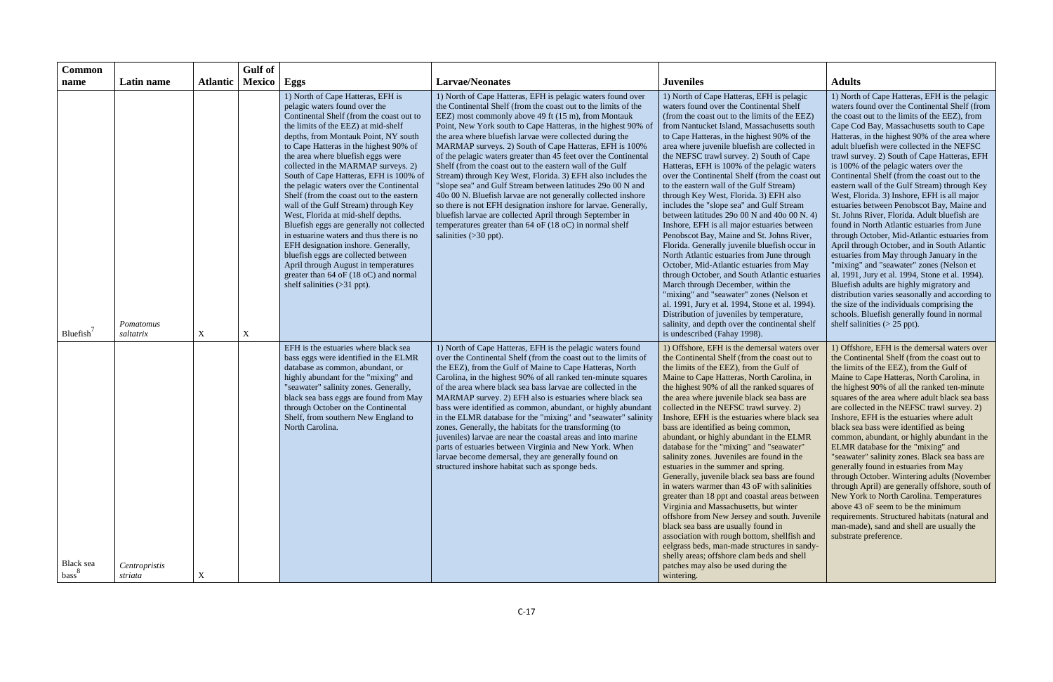| <b>Common</b>                  |                          |                 | <b>Gulf</b> of |                                                                                                                                                                                                                                                                                                                                                                                                                                                                                                                                                                                                                                                                                                                                                                                                                             |                                                                                                                                                                                                                                                                                                                                                                                                                                                                                                                                                                                                                                                                                                                                                                                                                                                                                                                               |                                                                                                                                                                                                                                                                                                                                                                                                                                                                                                                                                                                                                                                                                                                                                                                                                                                                                                                                                                                                                                                                                                                                                                              |                                                                                                                                                                                                                                                                                                                                                                                                                                                                                                                                                                                                                                                                                                                                                                                                                                                                                                                                                                                                                                                                                                                                                              |
|--------------------------------|--------------------------|-----------------|----------------|-----------------------------------------------------------------------------------------------------------------------------------------------------------------------------------------------------------------------------------------------------------------------------------------------------------------------------------------------------------------------------------------------------------------------------------------------------------------------------------------------------------------------------------------------------------------------------------------------------------------------------------------------------------------------------------------------------------------------------------------------------------------------------------------------------------------------------|-------------------------------------------------------------------------------------------------------------------------------------------------------------------------------------------------------------------------------------------------------------------------------------------------------------------------------------------------------------------------------------------------------------------------------------------------------------------------------------------------------------------------------------------------------------------------------------------------------------------------------------------------------------------------------------------------------------------------------------------------------------------------------------------------------------------------------------------------------------------------------------------------------------------------------|------------------------------------------------------------------------------------------------------------------------------------------------------------------------------------------------------------------------------------------------------------------------------------------------------------------------------------------------------------------------------------------------------------------------------------------------------------------------------------------------------------------------------------------------------------------------------------------------------------------------------------------------------------------------------------------------------------------------------------------------------------------------------------------------------------------------------------------------------------------------------------------------------------------------------------------------------------------------------------------------------------------------------------------------------------------------------------------------------------------------------------------------------------------------------|--------------------------------------------------------------------------------------------------------------------------------------------------------------------------------------------------------------------------------------------------------------------------------------------------------------------------------------------------------------------------------------------------------------------------------------------------------------------------------------------------------------------------------------------------------------------------------------------------------------------------------------------------------------------------------------------------------------------------------------------------------------------------------------------------------------------------------------------------------------------------------------------------------------------------------------------------------------------------------------------------------------------------------------------------------------------------------------------------------------------------------------------------------------|
| name                           | Latin name               | <b>Atlantic</b> | <b>Mexico</b>  | Eggs                                                                                                                                                                                                                                                                                                                                                                                                                                                                                                                                                                                                                                                                                                                                                                                                                        | <b>Larvae/Neonates</b>                                                                                                                                                                                                                                                                                                                                                                                                                                                                                                                                                                                                                                                                                                                                                                                                                                                                                                        | <b>Juveniles</b>                                                                                                                                                                                                                                                                                                                                                                                                                                                                                                                                                                                                                                                                                                                                                                                                                                                                                                                                                                                                                                                                                                                                                             | <b>Adults</b>                                                                                                                                                                                                                                                                                                                                                                                                                                                                                                                                                                                                                                                                                                                                                                                                                                                                                                                                                                                                                                                                                                                                                |
| Bluefish'                      | Pomatomus<br>saltatrix   | $\mathbf X$     | X              | 1) North of Cape Hatteras, EFH is<br>pelagic waters found over the<br>Continental Shelf (from the coast out to<br>the limits of the EEZ) at mid-shelf<br>depths, from Montauk Point, NY south<br>to Cape Hatteras in the highest 90% of<br>the area where bluefish eggs were<br>collected in the MARMAP surveys. 2)<br>South of Cape Hatteras, EFH is 100% of<br>the pelagic waters over the Continental<br>Shelf (from the coast out to the eastern<br>wall of the Gulf Stream) through Key<br>West, Florida at mid-shelf depths.<br>Bluefish eggs are generally not collected<br>in estuarine waters and thus there is no<br>EFH designation inshore. Generally,<br>bluefish eggs are collected between<br>April through August in temperatures<br>greater than 64 oF (18 oC) and normal<br>shelf salinities $(>31$ ppt). | 1) North of Cape Hatteras, EFH is pelagic waters found over<br>the Continental Shelf (from the coast out to the limits of the<br>EEZ) most commonly above 49 ft (15 m), from Montauk<br>Point, New York south to Cape Hatteras, in the highest 90% of<br>the area where bluefish larvae were collected during the<br>MARMAP surveys. 2) South of Cape Hatteras, EFH is 100%<br>of the pelagic waters greater than 45 feet over the Continental<br>Shelf (from the coast out to the eastern wall of the Gulf<br>Stream) through Key West, Florida. 3) EFH also includes the<br>"slope sea" and Gulf Stream between latitudes 29o 00 N and<br>40o 00 N. Bluefish larvae are not generally collected inshore<br>so there is not EFH designation inshore for larvae. Generally,<br>bluefish larvae are collected April through September in<br>temperatures greater than 64 oF (18 oC) in normal shelf<br>salinities $(>30$ ppt). | 1) North of Cape Hatteras, EFH is pelagic<br>waters found over the Continental Shelf<br>(from the coast out to the limits of the EEZ)<br>from Nantucket Island, Massachusetts south<br>to Cape Hatteras, in the highest 90% of the<br>area where juvenile bluefish are collected in<br>the NEFSC trawl survey. 2) South of Cape<br>Hatteras, EFH is 100% of the pelagic waters<br>over the Continental Shelf (from the coast out<br>to the eastern wall of the Gulf Stream)<br>through Key West, Florida. 3) EFH also<br>includes the "slope sea" and Gulf Stream<br>between latitudes 29o 00 N and 40o 00 N. 4)<br>Inshore, EFH is all major estuaries between<br>Penobscot Bay, Maine and St. Johns River,<br>Florida. Generally juvenile bluefish occur in<br>North Atlantic estuaries from June through<br>October, Mid-Atlantic estuaries from May<br>through October, and South Atlantic estuaries<br>March through December, within the<br>"mixing" and "seawater" zones (Nelson et<br>al. 1991, Jury et al. 1994, Stone et al. 1994).<br>Distribution of juveniles by temperature,<br>salinity, and depth over the continental shelf<br>is undescribed (Fahay 1998). | 1) North of Cape Hatteras, EFH is the pelagic<br>waters found over the Continental Shelf (from<br>the coast out to the limits of the EEZ), from<br>Cape Cod Bay, Massachusetts south to Cape<br>Hatteras, in the highest 90% of the area where<br>adult bluefish were collected in the NEFSC<br>trawl survey. 2) South of Cape Hatteras, EFH<br>is 100% of the pelagic waters over the<br>Continental Shelf (from the coast out to the<br>eastern wall of the Gulf Stream) through Key<br>West, Florida. 3) Inshore, EFH is all major<br>estuaries between Penobscot Bay, Maine and<br>St. Johns River, Florida. Adult bluefish are<br>found in North Atlantic estuaries from June<br>through October, Mid-Atlantic estuaries from<br>April through October, and in South Atlantic<br>estuaries from May through January in the<br>"mixing" and "seawater" zones (Nelson et<br>al. 1991, Jury et al. 1994, Stone et al. 1994).<br>Bluefish adults are highly migratory and<br>distribution varies seasonally and according to<br>the size of the individuals comprising the<br>schools. Bluefish generally found in normal<br>shelf salinities $(> 25$ ppt). |
| Black sea<br>bass <sup>8</sup> | Centropristis<br>striata | X               |                | EFH is the estuaries where black sea<br>bass eggs were identified in the ELMR<br>database as common, abundant, or<br>highly abundant for the "mixing" and<br>'seawater" salinity zones. Generally,<br>black sea bass eggs are found from May<br>through October on the Continental<br>Shelf, from southern New England to<br>North Carolina.                                                                                                                                                                                                                                                                                                                                                                                                                                                                                | 1) North of Cape Hatteras, EFH is the pelagic waters found<br>over the Continental Shelf (from the coast out to the limits of<br>the EEZ), from the Gulf of Maine to Cape Hatteras, North<br>Carolina, in the highest 90% of all ranked ten-minute squares<br>of the area where black sea bass larvae are collected in the<br>MARMAP survey. 2) EFH also is estuaries where black sea<br>bass were identified as common, abundant, or highly abundant<br>in the ELMR database for the "mixing" and "seawater" salinity<br>zones. Generally, the habitats for the transforming (to<br>juveniles) larvae are near the coastal areas and into marine<br>parts of estuaries between Virginia and New York. When<br>larvae become demersal, they are generally found on<br>structured inshore habitat such as sponge beds.                                                                                                         | 1) Offshore, EFH is the demersal waters over<br>the Continental Shelf (from the coast out to<br>the limits of the EEZ), from the Gulf of<br>Maine to Cape Hatteras, North Carolina, in<br>the highest 90% of all the ranked squares of<br>the area where juvenile black sea bass are<br>collected in the NEFSC trawl survey. 2)<br>Inshore, EFH is the estuaries where black sea<br>bass are identified as being common,<br>abundant, or highly abundant in the ELMR<br>database for the "mixing" and "seawater"<br>salinity zones. Juveniles are found in the<br>estuaries in the summer and spring.<br>Generally, juvenile black sea bass are found<br>in waters warmer than 43 oF with salinities<br>greater than 18 ppt and coastal areas between<br>Virginia and Massachusetts, but winter<br>offshore from New Jersey and south. Juvenile<br>black sea bass are usually found in<br>association with rough bottom, shellfish and<br>eelgrass beds, man-made structures in sandy-<br>shelly areas; offshore clam beds and shell<br>patches may also be used during the<br>wintering.                                                                                    | 1) Offshore, EFH is the demersal waters over<br>the Continental Shelf (from the coast out to<br>the limits of the EEZ), from the Gulf of<br>Maine to Cape Hatteras, North Carolina, in<br>the highest 90% of all the ranked ten-minute<br>squares of the area where adult black sea bass<br>are collected in the NEFSC trawl survey. 2)<br>Inshore, EFH is the estuaries where adult<br>black sea bass were identified as being<br>common, abundant, or highly abundant in the<br>ELMR database for the "mixing" and<br>"seawater" salinity zones. Black sea bass are<br>generally found in estuaries from May<br>through October. Wintering adults (November<br>through April) are generally offshore, south of<br>New York to North Carolina. Temperatures<br>above 43 oF seem to be the minimum<br>requirements. Structured habitats (natural and<br>man-made), sand and shell are usually the<br>substrate preference.                                                                                                                                                                                                                                   |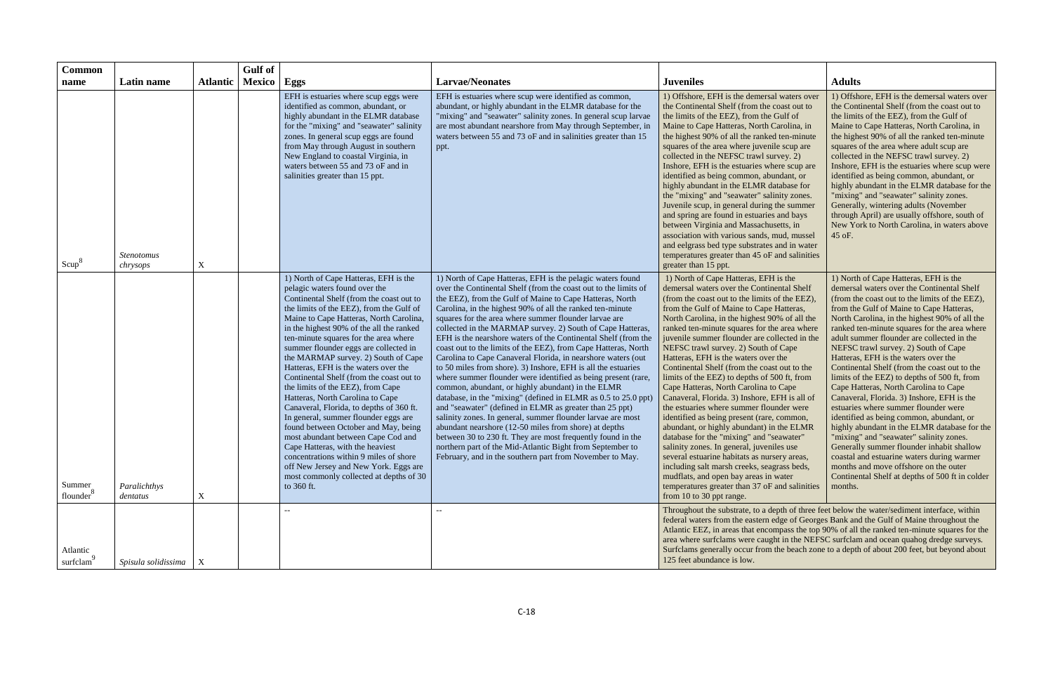| <b>Common</b>                   |                               |                           | <b>Gulf</b> of |                                                                                                                                                                                                                                                                                                                                                                                                                                                                                                                                                                                                                                                                                                                                                                                                                                                                                               |                                                                                                                                                                                                                                                                                                                                                                                                                                                                                                                                                                                                                                                                                                                                                                                                                                                                                                                                                                                                                                                                                                                                                                                                                       |                                                                                                                                                                                                                                                                                                                                                                                                                                                                                                                                                                                                                                                                                                                                                                                                                                                                                                                                                                                                                                                                     |                                                                                                                                                                                                                                                                                                                                                                                                                                                                                                                                                                                                                                                                                                                                                                                                                                                                                                                                                                                          |
|---------------------------------|-------------------------------|---------------------------|----------------|-----------------------------------------------------------------------------------------------------------------------------------------------------------------------------------------------------------------------------------------------------------------------------------------------------------------------------------------------------------------------------------------------------------------------------------------------------------------------------------------------------------------------------------------------------------------------------------------------------------------------------------------------------------------------------------------------------------------------------------------------------------------------------------------------------------------------------------------------------------------------------------------------|-----------------------------------------------------------------------------------------------------------------------------------------------------------------------------------------------------------------------------------------------------------------------------------------------------------------------------------------------------------------------------------------------------------------------------------------------------------------------------------------------------------------------------------------------------------------------------------------------------------------------------------------------------------------------------------------------------------------------------------------------------------------------------------------------------------------------------------------------------------------------------------------------------------------------------------------------------------------------------------------------------------------------------------------------------------------------------------------------------------------------------------------------------------------------------------------------------------------------|---------------------------------------------------------------------------------------------------------------------------------------------------------------------------------------------------------------------------------------------------------------------------------------------------------------------------------------------------------------------------------------------------------------------------------------------------------------------------------------------------------------------------------------------------------------------------------------------------------------------------------------------------------------------------------------------------------------------------------------------------------------------------------------------------------------------------------------------------------------------------------------------------------------------------------------------------------------------------------------------------------------------------------------------------------------------|------------------------------------------------------------------------------------------------------------------------------------------------------------------------------------------------------------------------------------------------------------------------------------------------------------------------------------------------------------------------------------------------------------------------------------------------------------------------------------------------------------------------------------------------------------------------------------------------------------------------------------------------------------------------------------------------------------------------------------------------------------------------------------------------------------------------------------------------------------------------------------------------------------------------------------------------------------------------------------------|
| name                            | Latin name                    | <b>Atlantic</b>           | <b>Mexico</b>  | Eggs                                                                                                                                                                                                                                                                                                                                                                                                                                                                                                                                                                                                                                                                                                                                                                                                                                                                                          | <b>Larvae/Neonates</b>                                                                                                                                                                                                                                                                                                                                                                                                                                                                                                                                                                                                                                                                                                                                                                                                                                                                                                                                                                                                                                                                                                                                                                                                | <b>Juveniles</b>                                                                                                                                                                                                                                                                                                                                                                                                                                                                                                                                                                                                                                                                                                                                                                                                                                                                                                                                                                                                                                                    | <b>Adults</b>                                                                                                                                                                                                                                                                                                                                                                                                                                                                                                                                                                                                                                                                                                                                                                                                                                                                                                                                                                            |
| Scup <sup>8</sup>               | <b>Stenotomus</b><br>chrysops | X                         |                | EFH is estuaries where scup eggs were<br>identified as common, abundant, or<br>highly abundant in the ELMR database<br>for the "mixing" and "seawater" salinity<br>zones. In general scup eggs are found<br>from May through August in southern<br>New England to coastal Virginia, in<br>waters between 55 and 73 oF and in<br>salinities greater than 15 ppt.                                                                                                                                                                                                                                                                                                                                                                                                                                                                                                                               | EFH is estuaries where scup were identified as common,<br>abundant, or highly abundant in the ELMR database for the<br>"mixing" and "seawater" salinity zones. In general scup larvae<br>are most abundant nearshore from May through September, in<br>waters between 55 and 73 oF and in salinities greater than 15<br>ppt.                                                                                                                                                                                                                                                                                                                                                                                                                                                                                                                                                                                                                                                                                                                                                                                                                                                                                          | 1) Offshore, EFH is the demersal waters over<br>the Continental Shelf (from the coast out to<br>the limits of the EEZ), from the Gulf of<br>Maine to Cape Hatteras, North Carolina, in<br>the highest 90% of all the ranked ten-minute<br>squares of the area where juvenile scup are<br>collected in the NEFSC trawl survey. 2)<br>Inshore, EFH is the estuaries where scup are<br>identified as being common, abundant, or<br>highly abundant in the ELMR database for<br>the "mixing" and "seawater" salinity zones.<br>Juvenile scup, in general during the summer<br>and spring are found in estuaries and bays<br>between Virginia and Massachusetts, in<br>association with various sands, mud, mussel<br>and eelgrass bed type substrates and in water<br>temperatures greater than 45 oF and salinities<br>greater than 15 ppt.                                                                                                                                                                                                                            | 1) Offshore, EFH is the demersal waters over<br>the Continental Shelf (from the coast out to<br>the limits of the EEZ), from the Gulf of<br>Maine to Cape Hatteras, North Carolina, in<br>the highest 90% of all the ranked ten-minute<br>squares of the area where adult scup are<br>collected in the NEFSC trawl survey. 2)<br>Inshore, EFH is the estuaries where scup were<br>identified as being common, abundant, or<br>highly abundant in the ELMR database for the<br>"mixing" and "seawater" salinity zones.<br>Generally, wintering adults (November<br>through April) are usually offshore, south of<br>New York to North Carolina, in waters above<br>45 oF.                                                                                                                                                                                                                                                                                                                 |
| Summer<br>flounder <sup>8</sup> | Paralichthys<br>dentatus      | $\boldsymbol{\mathrm{X}}$ |                | 1) North of Cape Hatteras, EFH is the<br>pelagic waters found over the<br>Continental Shelf (from the coast out to<br>the limits of the EEZ), from the Gulf of<br>Maine to Cape Hatteras, North Carolina,<br>in the highest 90% of the all the ranked<br>ten-minute squares for the area where<br>summer flounder eggs are collected in<br>the MARMAP survey. 2) South of Cape<br>Hatteras, EFH is the waters over the<br>Continental Shelf (from the coast out to<br>the limits of the EEZ), from Cape<br>Hatteras, North Carolina to Cape<br>Canaveral, Florida, to depths of 360 ft.<br>In general, summer flounder eggs are<br>found between October and May, being<br>most abundant between Cape Cod and<br>Cape Hatteras, with the heaviest<br>concentrations within 9 miles of shore<br>off New Jersey and New York. Eggs are<br>most commonly collected at depths of 30<br>to 360 ft. | 1) North of Cape Hatteras, EFH is the pelagic waters found<br>over the Continental Shelf (from the coast out to the limits of<br>the EEZ), from the Gulf of Maine to Cape Hatteras, North<br>Carolina, in the highest 90% of all the ranked ten-minute<br>squares for the area where summer flounder larvae are<br>collected in the MARMAP survey. 2) South of Cape Hatteras,<br>EFH is the nearshore waters of the Continental Shelf (from the<br>coast out to the limits of the EEZ), from Cape Hatteras, North<br>Carolina to Cape Canaveral Florida, in nearshore waters (out<br>to 50 miles from shore). 3) Inshore, EFH is all the estuaries<br>where summer flounder were identified as being present (rare,<br>common, abundant, or highly abundant) in the ELMR<br>database, in the "mixing" (defined in ELMR as 0.5 to 25.0 ppt)<br>and "seawater" (defined in ELMR as greater than 25 ppt)<br>salinity zones. In general, summer flounder larvae are most<br>abundant nearshore (12-50 miles from shore) at depths<br>between 30 to 230 ft. They are most frequently found in the<br>northern part of the Mid-Atlantic Bight from September to<br>February, and in the southern part from November to May. | 1) North of Cape Hatteras, EFH is the<br>demersal waters over the Continental Shelf<br>(from the coast out to the limits of the EEZ),<br>from the Gulf of Maine to Cape Hatteras,<br>North Carolina, in the highest 90% of all the<br>ranked ten-minute squares for the area where<br>juvenile summer flounder are collected in the<br>NEFSC trawl survey. 2) South of Cape<br>Hatteras, EFH is the waters over the<br>Continental Shelf (from the coast out to the<br>limits of the EEZ) to depths of 500 ft, from<br>Cape Hatteras, North Carolina to Cape<br>Canaveral, Florida. 3) Inshore, EFH is all of<br>the estuaries where summer flounder were<br>identified as being present (rare, common,<br>abundant, or highly abundant) in the ELMR<br>database for the "mixing" and "seawater"<br>salinity zones. In general, juveniles use<br>several estuarine habitats as nursery areas,<br>including salt marsh creeks, seagrass beds,<br>mudflats, and open bay areas in water<br>temperatures greater than 37 oF and salinities<br>from 10 to 30 ppt range. | 1) North of Cape Hatteras, EFH is the<br>demersal waters over the Continental Shelf<br>(from the coast out to the limits of the EEZ),<br>from the Gulf of Maine to Cape Hatteras,<br>North Carolina, in the highest 90% of all the<br>ranked ten-minute squares for the area where<br>adult summer flounder are collected in the<br>NEFSC trawl survey. 2) South of Cape<br>Hatteras, EFH is the waters over the<br>Continental Shelf (from the coast out to the<br>limits of the EEZ) to depths of 500 ft, from<br>Cape Hatteras, North Carolina to Cape<br>Canaveral, Florida. 3) Inshore, EFH is the<br>estuaries where summer flounder were<br>identified as being common, abundant, or<br>highly abundant in the ELMR database for the<br>"mixing" and "seawater" salinity zones.<br>Generally summer flounder inhabit shallow<br>coastal and estuarine waters during warmer<br>months and move offshore on the outer<br>Continental Shelf at depths of 500 ft in colder<br>months. |
| Atlantic<br>surfclam            | Spisula solidissima           | $\mathbf{X}$              |                |                                                                                                                                                                                                                                                                                                                                                                                                                                                                                                                                                                                                                                                                                                                                                                                                                                                                                               | $-$                                                                                                                                                                                                                                                                                                                                                                                                                                                                                                                                                                                                                                                                                                                                                                                                                                                                                                                                                                                                                                                                                                                                                                                                                   | Throughout the substrate, to a depth of three feet below the water/sediment interface, within<br>federal waters from the eastern edge of Georges Bank and the Gulf of Maine throughout the<br>area where surfclams were caught in the NEFSC surfclam and ocean quahog dredge surveys.<br>Surfclams generally occur from the beach zone to a depth of about 200 feet, but beyond about<br>125 feet abundance is low.                                                                                                                                                                                                                                                                                                                                                                                                                                                                                                                                                                                                                                                 | Atlantic EEZ, in areas that encompass the top 90% of all the ranked ten-minute squares for the                                                                                                                                                                                                                                                                                                                                                                                                                                                                                                                                                                                                                                                                                                                                                                                                                                                                                           |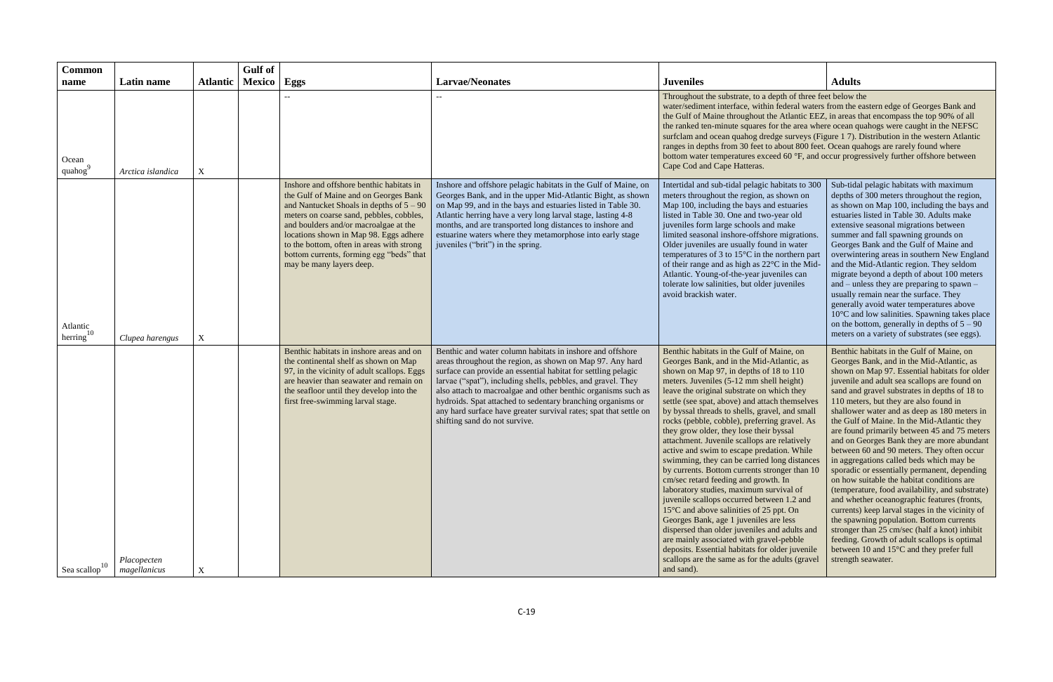| <b>Common</b>                           |                             |                 | Gulf of       |                                                                                                                                                                                                                                                                                                                                                                                     |                                                                                                                                                                                                                                                                                                                                                                                                                                                                                               |                                                                                                                                                                                                                                                                                                                                                                                                                                                                                                                                                                                                                                                                                                                                                                                                                                                                                                                                                                                                                                                                   |                                                                                                                                                                                                                                                                                                                                                                                                                                                                                                                                                                                                                                                                                                                                                                                                                                                                                                                                                                                                                                             |
|-----------------------------------------|-----------------------------|-----------------|---------------|-------------------------------------------------------------------------------------------------------------------------------------------------------------------------------------------------------------------------------------------------------------------------------------------------------------------------------------------------------------------------------------|-----------------------------------------------------------------------------------------------------------------------------------------------------------------------------------------------------------------------------------------------------------------------------------------------------------------------------------------------------------------------------------------------------------------------------------------------------------------------------------------------|-------------------------------------------------------------------------------------------------------------------------------------------------------------------------------------------------------------------------------------------------------------------------------------------------------------------------------------------------------------------------------------------------------------------------------------------------------------------------------------------------------------------------------------------------------------------------------------------------------------------------------------------------------------------------------------------------------------------------------------------------------------------------------------------------------------------------------------------------------------------------------------------------------------------------------------------------------------------------------------------------------------------------------------------------------------------|---------------------------------------------------------------------------------------------------------------------------------------------------------------------------------------------------------------------------------------------------------------------------------------------------------------------------------------------------------------------------------------------------------------------------------------------------------------------------------------------------------------------------------------------------------------------------------------------------------------------------------------------------------------------------------------------------------------------------------------------------------------------------------------------------------------------------------------------------------------------------------------------------------------------------------------------------------------------------------------------------------------------------------------------|
| name                                    | Latin name                  | <b>Atlantic</b> | <b>Mexico</b> | Eggs                                                                                                                                                                                                                                                                                                                                                                                | <b>Larvae/Neonates</b>                                                                                                                                                                                                                                                                                                                                                                                                                                                                        | <b>Juveniles</b>                                                                                                                                                                                                                                                                                                                                                                                                                                                                                                                                                                                                                                                                                                                                                                                                                                                                                                                                                                                                                                                  | <b>Adults</b>                                                                                                                                                                                                                                                                                                                                                                                                                                                                                                                                                                                                                                                                                                                                                                                                                                                                                                                                                                                                                               |
| Ocean<br>quahog                         | Arctica islandica           | $\mathbf X$     |               |                                                                                                                                                                                                                                                                                                                                                                                     |                                                                                                                                                                                                                                                                                                                                                                                                                                                                                               | Throughout the substrate, to a depth of three feet below the<br>water/sediment interface, within federal waters from the eastern edge of Georges Bank and<br>the Gulf of Maine throughout the Atlantic EEZ, in areas that encompass the top 90% of all<br>the ranked ten-minute squares for the area where ocean quahogs were caught in the NEFSC<br>surfclam and ocean quahog dredge surveys (Figure 1 7). Distribution in the western Atlantic<br>ranges in depths from 30 feet to about 800 feet. Ocean quahogs are rarely found where<br>bottom water temperatures exceed 60 °F, and occur progressively further offshore between<br>Cape Cod and Cape Hatteras.                                                                                                                                                                                                                                                                                                                                                                                              |                                                                                                                                                                                                                                                                                                                                                                                                                                                                                                                                                                                                                                                                                                                                                                                                                                                                                                                                                                                                                                             |
| Atlantic<br>herring $10$                | Clupea harengus             | $\mathbf X$     |               | Inshore and offshore benthic habitats in<br>the Gulf of Maine and on Georges Bank<br>and Nantucket Shoals in depths of $5 - 90$<br>meters on coarse sand, pebbles, cobbles,<br>and boulders and/or macroalgae at the<br>locations shown in Map 98. Eggs adhere<br>to the bottom, often in areas with strong<br>bottom currents, forming egg "beds" that<br>may be many layers deep. | Inshore and offshore pelagic habitats in the Gulf of Maine, on<br>Georges Bank, and in the upper Mid-Atlantic Bight, as shown<br>on Map 99, and in the bays and estuaries listed in Table 30.<br>Atlantic herring have a very long larval stage, lasting 4-8<br>months, and are transported long distances to inshore and<br>estuarine waters where they metamorphose into early stage<br>juveniles ("brit") in the spring.                                                                   | Intertidal and sub-tidal pelagic habitats to 300<br>meters throughout the region, as shown on<br>Map 100, including the bays and estuaries<br>listed in Table 30. One and two-year old<br>juveniles form large schools and make<br>limited seasonal inshore-offshore migrations.<br>Older juveniles are usually found in water<br>temperatures of 3 to $15^{\circ}$ C in the northern part<br>of their range and as high as 22°C in the Mid-<br>Atlantic. Young-of-the-year juveniles can<br>tolerate low salinities, but older juveniles<br>avoid brackish water.                                                                                                                                                                                                                                                                                                                                                                                                                                                                                                | Sub-tidal pelagic habitats with maximum<br>depths of 300 meters throughout the region,<br>as shown on Map 100, including the bays and<br>estuaries listed in Table 30. Adults make<br>extensive seasonal migrations between<br>summer and fall spawning grounds on<br>Georges Bank and the Gulf of Maine and<br>overwintering areas in southern New England<br>and the Mid-Atlantic region. They seldom<br>migrate beyond a depth of about 100 meters<br>and $-$ unless they are preparing to spawn $-$<br>usually remain near the surface. They<br>generally avoid water temperatures above<br>10°C and low salinities. Spawning takes place<br>on the bottom, generally in depths of $5 - 90$<br>meters on a variety of substrates (see eggs).                                                                                                                                                                                                                                                                                            |
| $\frac{1}{2}$ Sea scallop <sup>10</sup> | Placopecten<br>magellanicus | X               |               | Benthic habitats in inshore areas and on<br>the continental shelf as shown on Map<br>97, in the vicinity of adult scallops. Eggs<br>are heavier than seawater and remain on<br>the seafloor until they develop into the<br>first free-swimming larval stage.                                                                                                                        | Benthic and water column habitats in inshore and offshore<br>areas throughout the region, as shown on Map 97. Any hard<br>surface can provide an essential habitat for settling pelagic<br>larvae ("spat"), including shells, pebbles, and gravel. They<br>also attach to macroalgae and other benthic organisms such as<br>hydroids. Spat attached to sedentary branching organisms or<br>any hard surface have greater survival rates; spat that settle on<br>shifting sand do not survive. | Benthic habitats in the Gulf of Maine, on<br>Georges Bank, and in the Mid-Atlantic, as<br>shown on Map 97, in depths of 18 to 110<br>meters. Juveniles (5-12 mm shell height)<br>leave the original substrate on which they<br>settle (see spat, above) and attach themselves<br>by byssal threads to shells, gravel, and small<br>rocks (pebble, cobble), preferring gravel. As<br>they grow older, they lose their byssal<br>attachment. Juvenile scallops are relatively<br>active and swim to escape predation. While<br>swimming, they can be carried long distances<br>by currents. Bottom currents stronger than 10<br>cm/sec retard feeding and growth. In<br>laboratory studies, maximum survival of<br>juvenile scallops occurred between 1.2 and<br>15°C and above salinities of 25 ppt. On<br>Georges Bank, age 1 juveniles are less<br>dispersed than older juveniles and adults and<br>are mainly associated with gravel-pebble<br>deposits. Essential habitats for older juvenile<br>scallops are the same as for the adults (gravel<br>and sand). | Benthic habitats in the Gulf of Maine, on<br>Georges Bank, and in the Mid-Atlantic, as<br>shown on Map 97. Essential habitats for older<br>juvenile and adult sea scallops are found on<br>sand and gravel substrates in depths of 18 to<br>110 meters, but they are also found in<br>shallower water and as deep as 180 meters in<br>the Gulf of Maine. In the Mid-Atlantic they<br>are found primarily between 45 and 75 meters<br>and on Georges Bank they are more abundant<br>between 60 and 90 meters. They often occur<br>in aggregations called beds which may be<br>sporadic or essentially permanent, depending<br>on how suitable the habitat conditions are<br>(temperature, food availability, and substrate)<br>and whether oceanographic features (fronts,<br>currents) keep larval stages in the vicinity of<br>the spawning population. Bottom currents<br>stronger than 25 cm/sec (half a knot) inhibit<br>feeding. Growth of adult scallops is optimal<br>between 10 and 15°C and they prefer full<br>strength seawater. |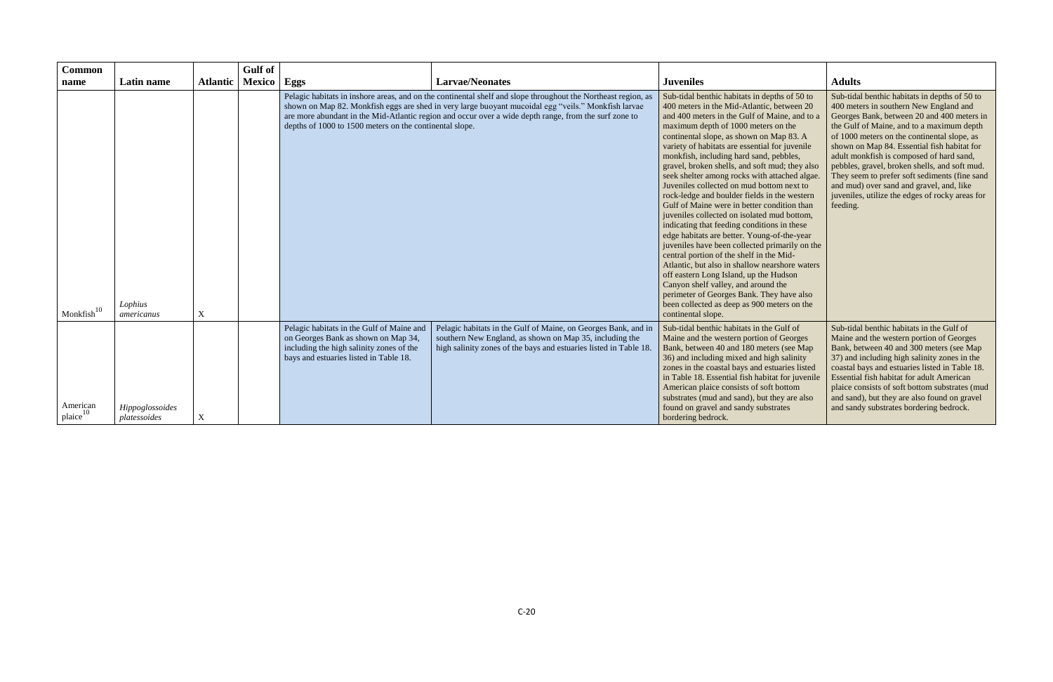| <b>Common</b>                   |                                 |                 | Gulf of       |                                                                                                                                                                        |                                                                                                                                                                                                                                                                                                                               |                                                                                                                                                                                                                                                                                                                                                                                                                                                                                                                                                                                                                                                                                                                                                                                                                                                                                                                                                                                                                                                                             |                                                                                                                                                                                                                                                                                                                                                                                                                                                                                                                                           |
|---------------------------------|---------------------------------|-----------------|---------------|------------------------------------------------------------------------------------------------------------------------------------------------------------------------|-------------------------------------------------------------------------------------------------------------------------------------------------------------------------------------------------------------------------------------------------------------------------------------------------------------------------------|-----------------------------------------------------------------------------------------------------------------------------------------------------------------------------------------------------------------------------------------------------------------------------------------------------------------------------------------------------------------------------------------------------------------------------------------------------------------------------------------------------------------------------------------------------------------------------------------------------------------------------------------------------------------------------------------------------------------------------------------------------------------------------------------------------------------------------------------------------------------------------------------------------------------------------------------------------------------------------------------------------------------------------------------------------------------------------|-------------------------------------------------------------------------------------------------------------------------------------------------------------------------------------------------------------------------------------------------------------------------------------------------------------------------------------------------------------------------------------------------------------------------------------------------------------------------------------------------------------------------------------------|
| name                            | Latin name                      | <b>Atlantic</b> | <b>Mexico</b> | Eggs                                                                                                                                                                   | <b>Larvae/Neonates</b>                                                                                                                                                                                                                                                                                                        | <b>Juveniles</b>                                                                                                                                                                                                                                                                                                                                                                                                                                                                                                                                                                                                                                                                                                                                                                                                                                                                                                                                                                                                                                                            | <b>Adults</b>                                                                                                                                                                                                                                                                                                                                                                                                                                                                                                                             |
| $^{\rm t}$ Monkfish $^{\rm l0}$ | Lophius<br>americanus           | $\mathbf X$     |               | depths of 1000 to 1500 meters on the continental slope.                                                                                                                | Pelagic habitats in inshore areas, and on the continental shelf and slope throughout the Northeast region, as<br>shown on Map 82. Monkfish eggs are shed in very large buoyant mucoidal egg "veils." Monkfish larvae<br>are more abundant in the Mid-Atlantic region and occur over a wide depth range, from the surf zone to | Sub-tidal benthic habitats in depths of 50 to<br>400 meters in the Mid-Atlantic, between 20<br>and 400 meters in the Gulf of Maine, and to a<br>maximum depth of 1000 meters on the<br>continental slope, as shown on Map 83. A<br>variety of habitats are essential for juvenile<br>monkfish, including hard sand, pebbles,<br>gravel, broken shells, and soft mud; they also<br>seek shelter among rocks with attached algae.<br>Juveniles collected on mud bottom next to<br>rock-ledge and boulder fields in the western<br>Gulf of Maine were in better condition than<br>juveniles collected on isolated mud bottom,<br>indicating that feeding conditions in these<br>edge habitats are better. Young-of-the-year<br>juveniles have been collected primarily on the<br>central portion of the shelf in the Mid-<br>Atlantic, but also in shallow nearshore waters<br>off eastern Long Island, up the Hudson<br>Canyon shelf valley, and around the<br>perimeter of Georges Bank. They have also<br>been collected as deep as 900 meters on the<br>continental slope. | Sub-tidal benthic habitats in depths of 50 to<br>400 meters in southern New England and<br>Georges Bank, between 20 and 400 meters in<br>the Gulf of Maine, and to a maximum depth<br>of 1000 meters on the continental slope, as<br>shown on Map 84. Essential fish habitat for<br>adult monkfish is composed of hard sand,<br>pebbles, gravel, broken shells, and soft mud.<br>They seem to prefer soft sediments (fine sand<br>and mud) over sand and gravel, and, like<br>juveniles, utilize the edges of rocky areas for<br>feeding. |
| American<br>plane <sup>10</sup> | Hippoglossoides<br>platessoides | X               |               | Pelagic habitats in the Gulf of Maine and<br>on Georges Bank as shown on Map 34,<br>including the high salinity zones of the<br>bays and estuaries listed in Table 18. | Pelagic habitats in the Gulf of Maine, on Georges Bank, and in<br>southern New England, as shown on Map 35, including the<br>high salinity zones of the bays and estuaries listed in Table 18.                                                                                                                                | Sub-tidal benthic habitats in the Gulf of<br>Maine and the western portion of Georges<br>Bank, between 40 and 180 meters (see Map<br>36) and including mixed and high salinity<br>zones in the coastal bays and estuaries listed<br>in Table 18. Essential fish habitat for juvenile<br>American plaice consists of soft bottom<br>substrates (mud and sand), but they are also<br>found on gravel and sandy substrates<br>bordering bedrock.                                                                                                                                                                                                                                                                                                                                                                                                                                                                                                                                                                                                                               | Sub-tidal benthic habitats in the Gulf of<br>Maine and the western portion of Georges<br>Bank, between 40 and 300 meters (see Map<br>37) and including high salinity zones in the<br>coastal bays and estuaries listed in Table 18.<br><b>Essential fish habitat for adult American</b><br>plaice consists of soft bottom substrates (mud<br>and sand), but they are also found on gravel<br>and sandy substrates bordering bedrock.                                                                                                      |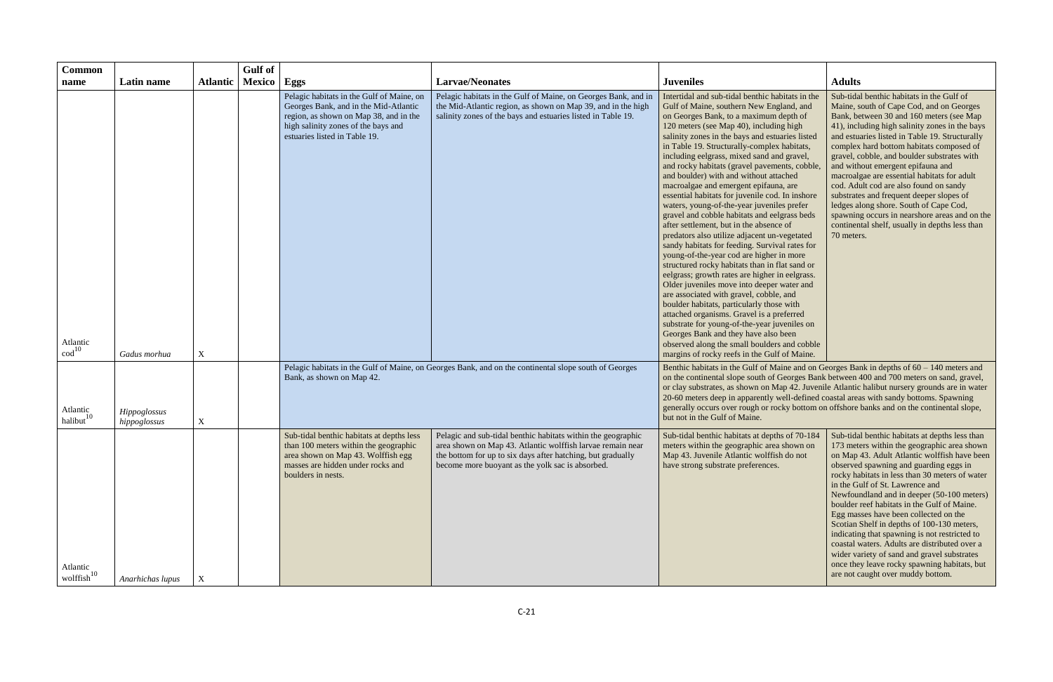| <b>Common</b>                        |                              |                  | <b>Gulf</b> of |                                                                                                                                                                                                      |                                                                                                                                                                                                                                               |                                                                                                                                                                                                                                                                                                                                                                                                                                                                                                                                                                                                                                                                                                                                                                                                                                                                                                                                                                                                                                                                                                                                                                                                                                                                                                |                                                                                                                                                                                                                                                                                                                                                                                                                                                                                                                                                                                                                                                                                                        |  |
|--------------------------------------|------------------------------|------------------|----------------|------------------------------------------------------------------------------------------------------------------------------------------------------------------------------------------------------|-----------------------------------------------------------------------------------------------------------------------------------------------------------------------------------------------------------------------------------------------|------------------------------------------------------------------------------------------------------------------------------------------------------------------------------------------------------------------------------------------------------------------------------------------------------------------------------------------------------------------------------------------------------------------------------------------------------------------------------------------------------------------------------------------------------------------------------------------------------------------------------------------------------------------------------------------------------------------------------------------------------------------------------------------------------------------------------------------------------------------------------------------------------------------------------------------------------------------------------------------------------------------------------------------------------------------------------------------------------------------------------------------------------------------------------------------------------------------------------------------------------------------------------------------------|--------------------------------------------------------------------------------------------------------------------------------------------------------------------------------------------------------------------------------------------------------------------------------------------------------------------------------------------------------------------------------------------------------------------------------------------------------------------------------------------------------------------------------------------------------------------------------------------------------------------------------------------------------------------------------------------------------|--|
| name                                 | Latin name                   | <b>Atlantic</b>  | Mexico   Eggs  |                                                                                                                                                                                                      | <b>Larvae/Neonates</b>                                                                                                                                                                                                                        | <b>Juveniles</b>                                                                                                                                                                                                                                                                                                                                                                                                                                                                                                                                                                                                                                                                                                                                                                                                                                                                                                                                                                                                                                                                                                                                                                                                                                                                               | <b>Adults</b>                                                                                                                                                                                                                                                                                                                                                                                                                                                                                                                                                                                                                                                                                          |  |
| Atlantic<br>$\text{cod}^{10}$        | Gadus morhua                 | X                |                | Pelagic habitats in the Gulf of Maine, on<br>Georges Bank, and in the Mid-Atlantic<br>region, as shown on Map 38, and in the<br>high salinity zones of the bays and<br>estuaries listed in Table 19. | Pelagic habitats in the Gulf of Maine, on Georges Bank, and in<br>the Mid-Atlantic region, as shown on Map 39, and in the high<br>salinity zones of the bays and estuaries listed in Table 19.                                                | Intertidal and sub-tidal benthic habitats in the<br>Gulf of Maine, southern New England, and<br>on Georges Bank, to a maximum depth of<br>120 meters (see Map 40), including high<br>salinity zones in the bays and estuaries listed<br>in Table 19. Structurally-complex habitats,<br>including eelgrass, mixed sand and gravel,<br>and rocky habitats (gravel pavements, cobble,<br>and boulder) with and without attached<br>macroalgae and emergent epifauna, are<br>essential habitats for juvenile cod. In inshore<br>waters, young-of-the-year juveniles prefer<br>gravel and cobble habitats and eelgrass beds<br>after settlement, but in the absence of<br>predators also utilize adjacent un-vegetated<br>sandy habitats for feeding. Survival rates for<br>young-of-the-year cod are higher in more<br>structured rocky habitats than in flat sand or<br>eelgrass; growth rates are higher in eelgrass.<br>Older juveniles move into deeper water and<br>are associated with gravel, cobble, and<br>boulder habitats, particularly those with<br>attached organisms. Gravel is a preferred<br>substrate for young-of-the-year juveniles on<br>Georges Bank and they have also been<br>observed along the small boulders and cobble<br>margins of rocky reefs in the Gulf of Maine. | Sub-tidal benthic habitats in the Gulf of<br>Maine, south of Cape Cod, and on Georges<br>Bank, between 30 and 160 meters (see Map<br>41), including high salinity zones in the bays<br>and estuaries listed in Table 19. Structurally<br>complex hard bottom habitats composed of<br>gravel, cobble, and boulder substrates with<br>and without emergent epifauna and<br>macroalgae are essential habitats for adult<br>cod. Adult cod are also found on sandy<br>substrates and frequent deeper slopes of<br>ledges along shore. South of Cape Cod,<br>spawning occurs in nearshore areas and on the<br>continental shelf, usually in depths less than<br>70 meters.                                  |  |
| Atlantic<br>halibut <sup>10</sup>    | Hippoglossus<br>hippoglossus | $\mathbf X$      |                | Bank, as shown on Map 42.                                                                                                                                                                            | Pelagic habitats in the Gulf of Maine, on Georges Bank, and on the continental slope south of Georges                                                                                                                                         | Benthic habitats in the Gulf of Maine and on Georges Bank in depths of $60 - 140$ meters and<br>on the continental slope south of Georges Bank between 400 and 700 meters on sand, gravel,<br>or clay substrates, as shown on Map 42. Juvenile Atlantic halibut nursery grounds are in water<br>20-60 meters deep in apparently well-defined coastal areas with sandy bottoms. Spawning<br>generally occurs over rough or rocky bottom on offshore banks and on the continental slope,<br>but not in the Gulf of Maine.                                                                                                                                                                                                                                                                                                                                                                                                                                                                                                                                                                                                                                                                                                                                                                        |                                                                                                                                                                                                                                                                                                                                                                                                                                                                                                                                                                                                                                                                                                        |  |
| Atlantic<br>$\cdot$ wolffish $^{10}$ | Anarhichas lupus             | $\boldsymbol{X}$ |                | Sub-tidal benthic habitats at depths less<br>than 100 meters within the geographic<br>area shown on Map 43. Wolffish egg<br>masses are hidden under rocks and<br>boulders in nests.                  | Pelagic and sub-tidal benthic habitats within the geographic<br>area shown on Map 43. Atlantic wolffish larvae remain near<br>the bottom for up to six days after hatching, but gradually<br>become more buoyant as the yolk sac is absorbed. | Sub-tidal benthic habitats at depths of 70-184<br>meters within the geographic area shown on<br>Map 43. Juvenile Atlantic wolffish do not<br>have strong substrate preferences.                                                                                                                                                                                                                                                                                                                                                                                                                                                                                                                                                                                                                                                                                                                                                                                                                                                                                                                                                                                                                                                                                                                | Sub-tidal benthic habitats at depths less than<br>173 meters within the geographic area shown<br>on Map 43. Adult Atlantic wolffish have been<br>observed spawning and guarding eggs in<br>rocky habitats in less than 30 meters of water<br>in the Gulf of St. Lawrence and<br>Newfoundland and in deeper (50-100 meters)<br>boulder reef habitats in the Gulf of Maine.<br>Egg masses have been collected on the<br>Scotian Shelf in depths of 100-130 meters,<br>indicating that spawning is not restricted to<br>coastal waters. Adults are distributed over a<br>wider variety of sand and gravel substrates<br>once they leave rocky spawning habitats, but<br>are not caught over muddy bottom. |  |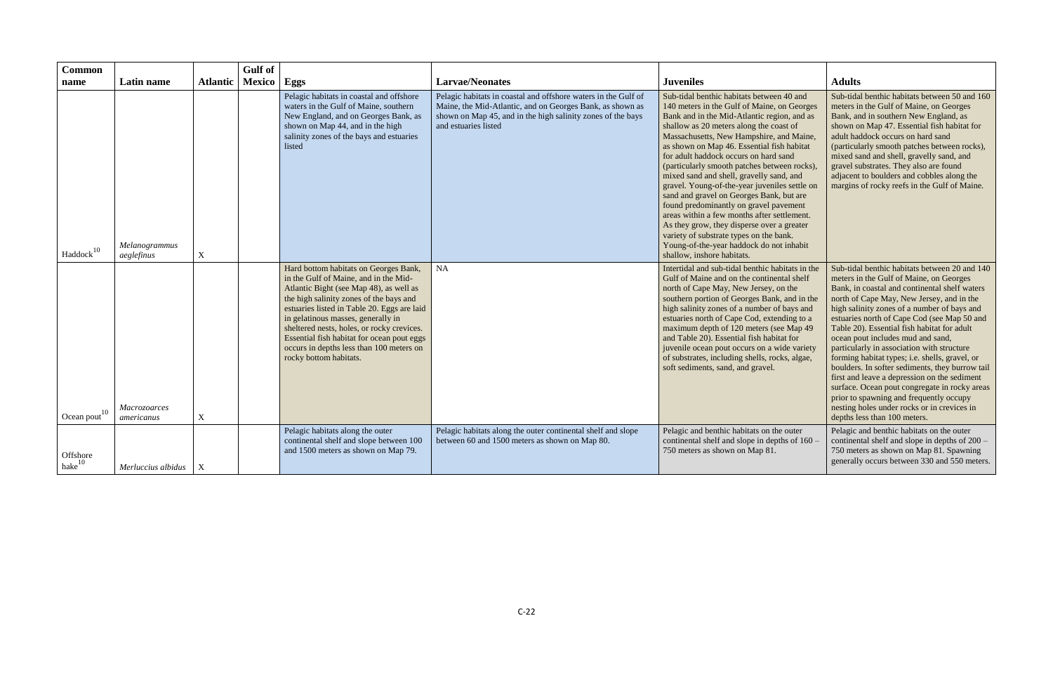| <b>Common</b>            |                             |                           | <b>Gulf</b> of |                                                                                                                                                                                                                                                                                                                                                                                                                             |                                                                                                                                                                                                                    |                                                                                                                                                                                                                                                                                                                                                                                                                                                                                                                                                                                                                                                                                                                                                                            |                                                                                                                                                                                                                                                                                                                                                                                                                                                                                                                                                                                                                                                                                                                                                        |
|--------------------------|-----------------------------|---------------------------|----------------|-----------------------------------------------------------------------------------------------------------------------------------------------------------------------------------------------------------------------------------------------------------------------------------------------------------------------------------------------------------------------------------------------------------------------------|--------------------------------------------------------------------------------------------------------------------------------------------------------------------------------------------------------------------|----------------------------------------------------------------------------------------------------------------------------------------------------------------------------------------------------------------------------------------------------------------------------------------------------------------------------------------------------------------------------------------------------------------------------------------------------------------------------------------------------------------------------------------------------------------------------------------------------------------------------------------------------------------------------------------------------------------------------------------------------------------------------|--------------------------------------------------------------------------------------------------------------------------------------------------------------------------------------------------------------------------------------------------------------------------------------------------------------------------------------------------------------------------------------------------------------------------------------------------------------------------------------------------------------------------------------------------------------------------------------------------------------------------------------------------------------------------------------------------------------------------------------------------------|
| name                     | Latin name                  | <b>Atlantic</b>           | <b>Mexico</b>  | Eggs                                                                                                                                                                                                                                                                                                                                                                                                                        | <b>Larvae/Neonates</b>                                                                                                                                                                                             | <b>Juveniles</b>                                                                                                                                                                                                                                                                                                                                                                                                                                                                                                                                                                                                                                                                                                                                                           | <b>Adults</b>                                                                                                                                                                                                                                                                                                                                                                                                                                                                                                                                                                                                                                                                                                                                          |
| Haddock <sup>10</sup>    | Melanogrammus<br>aeglefinus | $\mathbf X$               |                | Pelagic habitats in coastal and offshore<br>waters in the Gulf of Maine, southern<br>New England, and on Georges Bank, as<br>shown on Map 44, and in the high<br>salinity zones of the bays and estuaries<br>listed                                                                                                                                                                                                         | Pelagic habitats in coastal and offshore waters in the Gulf of<br>Maine, the Mid-Atlantic, and on Georges Bank, as shown as<br>shown on Map 45, and in the high salinity zones of the bays<br>and estuaries listed | Sub-tidal benthic habitats between 40 and<br>140 meters in the Gulf of Maine, on Georges<br>Bank and in the Mid-Atlantic region, and as<br>shallow as 20 meters along the coast of<br>Massachusetts, New Hampshire, and Maine,<br>as shown on Map 46. Essential fish habitat<br>for adult haddock occurs on hard sand<br>(particularly smooth patches between rocks),<br>mixed sand and shell, gravelly sand, and<br>gravel. Young-of-the-year juveniles settle on<br>sand and gravel on Georges Bank, but are<br>found predominantly on gravel pavement<br>areas within a few months after settlement.<br>As they grow, they disperse over a greater<br>variety of substrate types on the bank.<br>Young-of-the-year haddock do not inhabit<br>shallow, inshore habitats. | Sub-tidal benthic habitats between 50 and 160<br>meters in the Gulf of Maine, on Georges<br>Bank, and in southern New England, as<br>shown on Map 47. Essential fish habitat for<br>adult haddock occurs on hard sand<br>(particularly smooth patches between rocks),<br>mixed sand and shell, gravelly sand, and<br>gravel substrates. They also are found<br>adjacent to boulders and cobbles along the<br>margins of rocky reefs in the Gulf of Maine.                                                                                                                                                                                                                                                                                              |
| Ocean pout <sup>10</sup> | Macrozoarces<br>americanus  | $\mathbf X$               |                | Hard bottom habitats on Georges Bank,<br>in the Gulf of Maine, and in the Mid-<br>Atlantic Bight (see Map 48), as well as<br>the high salinity zones of the bays and<br>estuaries listed in Table 20. Eggs are laid<br>in gelatinous masses, generally in<br>sheltered nests, holes, or rocky crevices.<br>Essential fish habitat for ocean pout eggs<br>occurs in depths less than 100 meters on<br>rocky bottom habitats. | <b>NA</b>                                                                                                                                                                                                          | Intertidal and sub-tidal benthic habitats in the<br>Gulf of Maine and on the continental shelf<br>north of Cape May, New Jersey, on the<br>southern portion of Georges Bank, and in the<br>high salinity zones of a number of bays and<br>estuaries north of Cape Cod, extending to a<br>maximum depth of 120 meters (see Map 49<br>and Table 20). Essential fish habitat for<br>juvenile ocean pout occurs on a wide variety<br>of substrates, including shells, rocks, algae,<br>soft sediments, sand, and gravel.                                                                                                                                                                                                                                                       | Sub-tidal benthic habitats between 20 and 140<br>meters in the Gulf of Maine, on Georges<br>Bank, in coastal and continental shelf waters<br>north of Cape May, New Jersey, and in the<br>high salinity zones of a number of bays and<br>estuaries north of Cape Cod (see Map 50 and<br>Table 20). Essential fish habitat for adult<br>ocean pout includes mud and sand,<br>particularly in association with structure<br>forming habitat types; i.e. shells, gravel, or<br>boulders. In softer sediments, they burrow tail<br>first and leave a depression on the sediment<br>surface. Ocean pout congregate in rocky areas<br>prior to spawning and frequently occupy<br>nesting holes under rocks or in crevices in<br>depths less than 100 meters. |
| Offshore<br>$hake^{10}$  | Merluccius albidus          | $\boldsymbol{\mathrm{X}}$ |                | Pelagic habitats along the outer<br>continental shelf and slope between 100<br>and 1500 meters as shown on Map 79.                                                                                                                                                                                                                                                                                                          | Pelagic habitats along the outer continental shelf and slope<br>between 60 and 1500 meters as shown on Map 80.                                                                                                     | Pelagic and benthic habitats on the outer<br>continental shelf and slope in depths of 160 –<br>750 meters as shown on Map 81.                                                                                                                                                                                                                                                                                                                                                                                                                                                                                                                                                                                                                                              | Pelagic and benthic habitats on the outer<br>continental shelf and slope in depths of 200 -<br>750 meters as shown on Map 81. Spawning<br>generally occurs between 330 and 550 meters.                                                                                                                                                                                                                                                                                                                                                                                                                                                                                                                                                                 |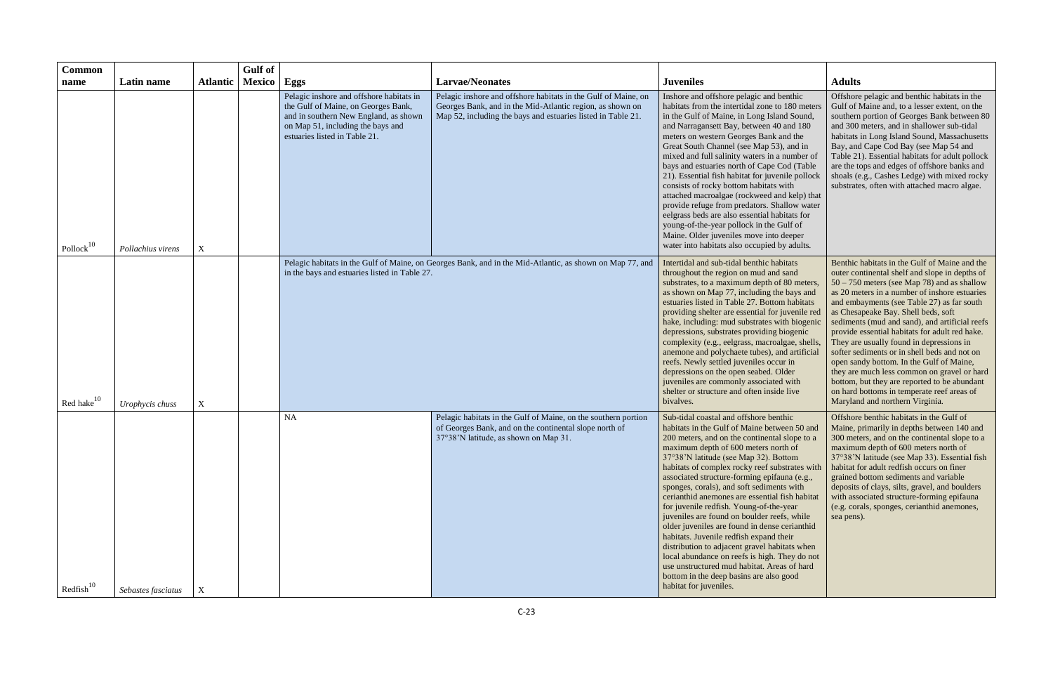| <b>Common</b>         |                    |                 | <b>Gulf</b> of |                                                                                                                                                                                                |                                                                                                                                                                                             |                                                                                                                                                                                                                                                                                                                                                                                                                                                                                                                                                                                                                                                                                                                                                                                                                                       |                                                                                                                                                                                                                                                                                                                                                                                                                                                                                                                                                                                                                                                                                                                    |
|-----------------------|--------------------|-----------------|----------------|------------------------------------------------------------------------------------------------------------------------------------------------------------------------------------------------|---------------------------------------------------------------------------------------------------------------------------------------------------------------------------------------------|---------------------------------------------------------------------------------------------------------------------------------------------------------------------------------------------------------------------------------------------------------------------------------------------------------------------------------------------------------------------------------------------------------------------------------------------------------------------------------------------------------------------------------------------------------------------------------------------------------------------------------------------------------------------------------------------------------------------------------------------------------------------------------------------------------------------------------------|--------------------------------------------------------------------------------------------------------------------------------------------------------------------------------------------------------------------------------------------------------------------------------------------------------------------------------------------------------------------------------------------------------------------------------------------------------------------------------------------------------------------------------------------------------------------------------------------------------------------------------------------------------------------------------------------------------------------|
| name                  | Latin name         | <b>Atlantic</b> | <b>Mexico</b>  | Eggs                                                                                                                                                                                           | <b>Larvae/Neonates</b>                                                                                                                                                                      | <b>Juveniles</b>                                                                                                                                                                                                                                                                                                                                                                                                                                                                                                                                                                                                                                                                                                                                                                                                                      | <b>Adults</b>                                                                                                                                                                                                                                                                                                                                                                                                                                                                                                                                                                                                                                                                                                      |
| Pollock $10$          | Pollachius virens  | X               |                | Pelagic inshore and offshore habitats in<br>the Gulf of Maine, on Georges Bank,<br>and in southern New England, as shown<br>on Map 51, including the bays and<br>estuaries listed in Table 21. | Pelagic inshore and offshore habitats in the Gulf of Maine, on<br>Georges Bank, and in the Mid-Atlantic region, as shown on<br>Map 52, including the bays and estuaries listed in Table 21. | Inshore and offshore pelagic and benthic<br>habitats from the intertidal zone to 180 meters<br>in the Gulf of Maine, in Long Island Sound,<br>and Narragansett Bay, between 40 and 180<br>meters on western Georges Bank and the<br>Great South Channel (see Map 53), and in<br>mixed and full salinity waters in a number of<br>bays and estuaries north of Cape Cod (Table<br>21). Essential fish habitat for juvenile pollock<br>consists of rocky bottom habitats with<br>attached macroalgae (rockweed and kelp) that<br>provide refuge from predators. Shallow water<br>eelgrass beds are also essential habitats for<br>young-of-the-year pollock in the Gulf of<br>Maine. Older juveniles move into deeper<br>water into habitats also occupied by adults.                                                                    | Offshore pelagic and benthic habitats in the<br>Gulf of Maine and, to a lesser extent, on the<br>southern portion of Georges Bank between 80<br>and 300 meters, and in shallower sub-tidal<br>habitats in Long Island Sound, Massachusetts<br>Bay, and Cape Cod Bay (see Map 54 and<br>Table 21). Essential habitats for adult pollock<br>are the tops and edges of offshore banks and<br>shoals (e.g., Cashes Ledge) with mixed rocky<br>substrates, often with attached macro algae.                                                                                                                                                                                                                             |
| Red hake $10$         | Urophycis chuss    | $\mathbf X$     |                | in the bays and estuaries listed in Table 27.                                                                                                                                                  | Pelagic habitats in the Gulf of Maine, on Georges Bank, and in the Mid-Atlantic, as shown on Map 77, and                                                                                    | Intertidal and sub-tidal benthic habitats<br>throughout the region on mud and sand<br>substrates, to a maximum depth of 80 meters,<br>as shown on Map 77, including the bays and<br>estuaries listed in Table 27. Bottom habitats<br>providing shelter are essential for juvenile red<br>hake, including: mud substrates with biogenic<br>depressions, substrates providing biogenic<br>complexity (e.g., eelgrass, macroalgae, shells,<br>anemone and polychaete tubes), and artificial<br>reefs. Newly settled juveniles occur in<br>depressions on the open seabed. Older<br>juveniles are commonly associated with<br>shelter or structure and often inside live<br>bivalves.                                                                                                                                                     | Benthic habitats in the Gulf of Maine and the<br>outer continental shelf and slope in depths of<br>$50 - 750$ meters (see Map 78) and as shallow<br>as 20 meters in a number of inshore estuaries<br>and embayments (see Table 27) as far south<br>as Chesapeake Bay. Shell beds, soft<br>sediments (mud and sand), and artificial reefs<br>provide essential habitats for adult red hake.<br>They are usually found in depressions in<br>softer sediments or in shell beds and not on<br>open sandy bottom. In the Gulf of Maine,<br>they are much less common on gravel or hard<br>bottom, but they are reported to be abundant<br>on hard bottoms in temperate reef areas of<br>Maryland and northern Virginia. |
| $\text{Redfish}^{10}$ | Sebastes fasciatus | $\mathbf X$     |                | <b>NA</b>                                                                                                                                                                                      | Pelagic habitats in the Gulf of Maine, on the southern portion<br>of Georges Bank, and on the continental slope north of<br>37°38'N latitude, as shown on Map 31.                           | Sub-tidal coastal and offshore benthic<br>habitats in the Gulf of Maine between 50 and<br>200 meters, and on the continental slope to a<br>maximum depth of 600 meters north of<br>37°38'N latitude (see Map 32). Bottom<br>habitats of complex rocky reef substrates with<br>associated structure-forming epifauna (e.g.,<br>sponges, corals), and soft sediments with<br>cerianthid anemones are essential fish habitat<br>for juvenile redfish. Young-of-the-year<br>juveniles are found on boulder reefs, while<br>older juveniles are found in dense cerianthid<br>habitats. Juvenile redfish expand their<br>distribution to adjacent gravel habitats when<br>local abundance on reefs is high. They do not<br>use unstructured mud habitat. Areas of hard<br>bottom in the deep basins are also good<br>habitat for juveniles. | Offshore benthic habitats in the Gulf of<br>Maine, primarily in depths between 140 and<br>300 meters, and on the continental slope to a<br>maximum depth of 600 meters north of<br>37°38'N latitude (see Map 33). Essential fish<br>habitat for adult redfish occurs on finer<br>grained bottom sediments and variable<br>deposits of clays, silts, gravel, and boulders<br>with associated structure-forming epifauna<br>(e.g. corals, sponges, cerianthid anemones,<br>sea pens).                                                                                                                                                                                                                                |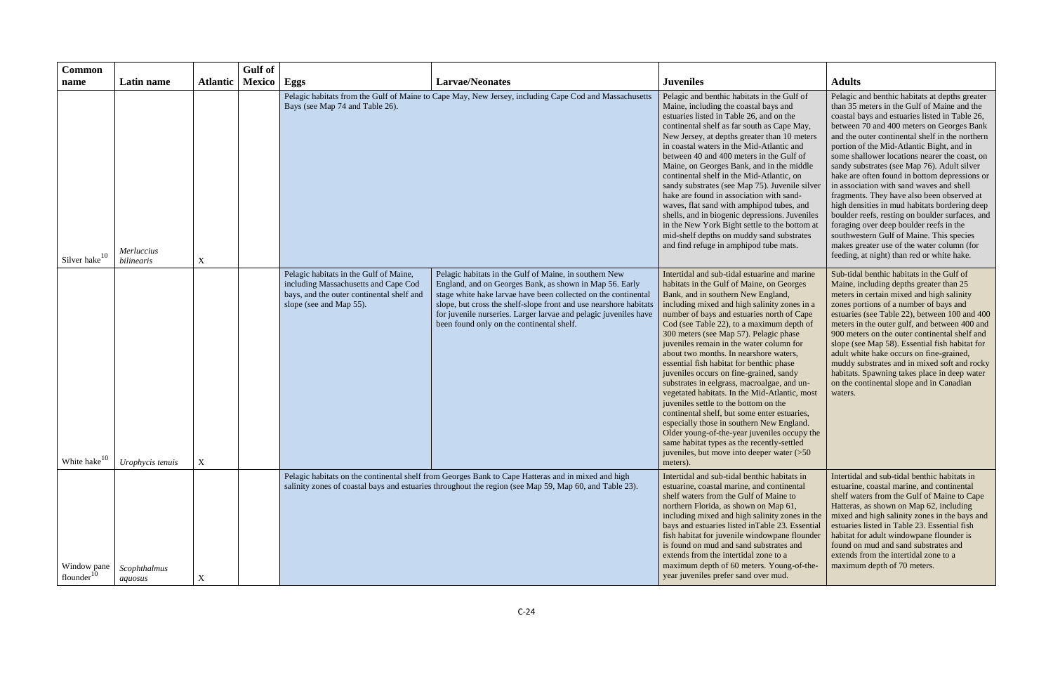| <b>Common</b>               |                          |                 | <b>Gulf</b> of |                                                                                                                                                                                                              |                                                                                                                                                                                                                                                                                                                                                                           |                                                                                                                                                                                                                                                                                                                                                                                                                                                                                                                                                                                                                                                                                                                                                                                                                                                                                                     |                                                                                                                                                                                                                                                                                                                                                                                                                                                                                                                                                                                                                                                                                                                                                                                                                                |
|-----------------------------|--------------------------|-----------------|----------------|--------------------------------------------------------------------------------------------------------------------------------------------------------------------------------------------------------------|---------------------------------------------------------------------------------------------------------------------------------------------------------------------------------------------------------------------------------------------------------------------------------------------------------------------------------------------------------------------------|-----------------------------------------------------------------------------------------------------------------------------------------------------------------------------------------------------------------------------------------------------------------------------------------------------------------------------------------------------------------------------------------------------------------------------------------------------------------------------------------------------------------------------------------------------------------------------------------------------------------------------------------------------------------------------------------------------------------------------------------------------------------------------------------------------------------------------------------------------------------------------------------------------|--------------------------------------------------------------------------------------------------------------------------------------------------------------------------------------------------------------------------------------------------------------------------------------------------------------------------------------------------------------------------------------------------------------------------------------------------------------------------------------------------------------------------------------------------------------------------------------------------------------------------------------------------------------------------------------------------------------------------------------------------------------------------------------------------------------------------------|
| name                        | Latin name               | <b>Atlantic</b> | Mexico         | Eggs                                                                                                                                                                                                         | <b>Larvae/Neonates</b>                                                                                                                                                                                                                                                                                                                                                    | <b>Juveniles</b>                                                                                                                                                                                                                                                                                                                                                                                                                                                                                                                                                                                                                                                                                                                                                                                                                                                                                    | <b>Adults</b>                                                                                                                                                                                                                                                                                                                                                                                                                                                                                                                                                                                                                                                                                                                                                                                                                  |
| Silver hake $\frac{10}{10}$ | Merluccius<br>bilinearis | $\mathbf X$     |                | Pelagic habitats from the Gulf of Maine to Cape May, New Jersey, including Cape Cod and Massachusetts<br>Bays (see Map 74 and Table 26).                                                                     |                                                                                                                                                                                                                                                                                                                                                                           | Pelagic and benthic habitats in the Gulf of<br>Maine, including the coastal bays and<br>estuaries listed in Table 26, and on the<br>continental shelf as far south as Cape May,<br>New Jersey, at depths greater than 10 meters<br>in coastal waters in the Mid-Atlantic and<br>between 40 and 400 meters in the Gulf of<br>Maine, on Georges Bank, and in the middle<br>continental shelf in the Mid-Atlantic, on<br>sandy substrates (see Map 75). Juvenile silver<br>hake are found in association with sand-<br>waves, flat sand with amphipod tubes, and<br>shells, and in biogenic depressions. Juveniles<br>in the New York Bight settle to the bottom at<br>mid-shelf depths on muddy sand substrates<br>and find refuge in amphipod tube mats.                                                                                                                                             | Pelagic and benthic habitats at depths greater<br>than 35 meters in the Gulf of Maine and the<br>coastal bays and estuaries listed in Table 26,<br>between 70 and 400 meters on Georges Bank<br>and the outer continental shelf in the northern<br>portion of the Mid-Atlantic Bight, and in<br>some shallower locations nearer the coast, on<br>sandy substrates (see Map 76). Adult silver<br>hake are often found in bottom depressions or<br>in association with sand waves and shell<br>fragments. They have also been observed at<br>high densities in mud habitats bordering deep<br>boulder reefs, resting on boulder surfaces, and<br>foraging over deep boulder reefs in the<br>southwestern Gulf of Maine. This species<br>makes greater use of the water column (for<br>feeding, at night) than red or white hake. |
| White hake <sup>10</sup>    | Urophycis tenuis         | $\mathbf X$     |                | Pelagic habitats in the Gulf of Maine,<br>including Massachusetts and Cape Cod<br>bays, and the outer continental shelf and<br>slope (see and Map 55).                                                       | Pelagic habitats in the Gulf of Maine, in southern New<br>England, and on Georges Bank, as shown in Map 56. Early<br>stage white hake larvae have been collected on the continental<br>slope, but cross the shelf-slope front and use nearshore habitats<br>for juvenile nurseries. Larger larvae and pelagic juveniles have<br>been found only on the continental shelf. | Intertidal and sub-tidal estuarine and marine<br>habitats in the Gulf of Maine, on Georges<br>Bank, and in southern New England,<br>including mixed and high salinity zones in a<br>number of bays and estuaries north of Cape<br>Cod (see Table 22), to a maximum depth of<br>300 meters (see Map 57). Pelagic phase<br>juveniles remain in the water column for<br>about two months. In nearshore waters,<br>essential fish habitat for benthic phase<br>juveniles occurs on fine-grained, sandy<br>substrates in eelgrass, macroalgae, and un-<br>vegetated habitats. In the Mid-Atlantic, most<br>juveniles settle to the bottom on the<br>continental shelf, but some enter estuaries,<br>especially those in southern New England.<br>Older young-of-the-year juveniles occupy the<br>same habitat types as the recently-settled<br>juveniles, but move into deeper water $($ >50<br>meters). | Sub-tidal benthic habitats in the Gulf of<br>Maine, including depths greater than 25<br>meters in certain mixed and high salinity<br>zones portions of a number of bays and<br>estuaries (see Table 22), between 100 and 400<br>meters in the outer gulf, and between 400 and<br>900 meters on the outer continental shelf and<br>slope (see Map 58). Essential fish habitat for<br>adult white hake occurs on fine-grained,<br>muddy substrates and in mixed soft and rocky<br>habitats. Spawning takes place in deep water<br>on the continental slope and in Canadian<br>waters.                                                                                                                                                                                                                                            |
| Window pane<br>flounder     | Scophthalmus<br>aquosus  | $\mathbf X$     |                | Pelagic habitats on the continental shelf from Georges Bank to Cape Hatteras and in mixed and high<br>salinity zones of coastal bays and estuaries throughout the region (see Map 59, Map 60, and Table 23). |                                                                                                                                                                                                                                                                                                                                                                           | Intertidal and sub-tidal benthic habitats in<br>estuarine, coastal marine, and continental<br>shelf waters from the Gulf of Maine to<br>northern Florida, as shown on Map 61,<br>including mixed and high salinity zones in the<br>bays and estuaries listed in Table 23. Essential<br>fish habitat for juvenile windowpane flounder<br>is found on mud and sand substrates and<br>extends from the intertidal zone to a<br>maximum depth of 60 meters. Young-of-the-<br>year juveniles prefer sand over mud.                                                                                                                                                                                                                                                                                                                                                                                       | Intertidal and sub-tidal benthic habitats in<br>estuarine, coastal marine, and continental<br>shelf waters from the Gulf of Maine to Cape<br>Hatteras, as shown on Map 62, including<br>mixed and high salinity zones in the bays and<br>estuaries listed in Table 23. Essential fish<br>habitat for adult windowpane flounder is<br>found on mud and sand substrates and<br>extends from the intertidal zone to a<br>maximum depth of 70 meters.                                                                                                                                                                                                                                                                                                                                                                              |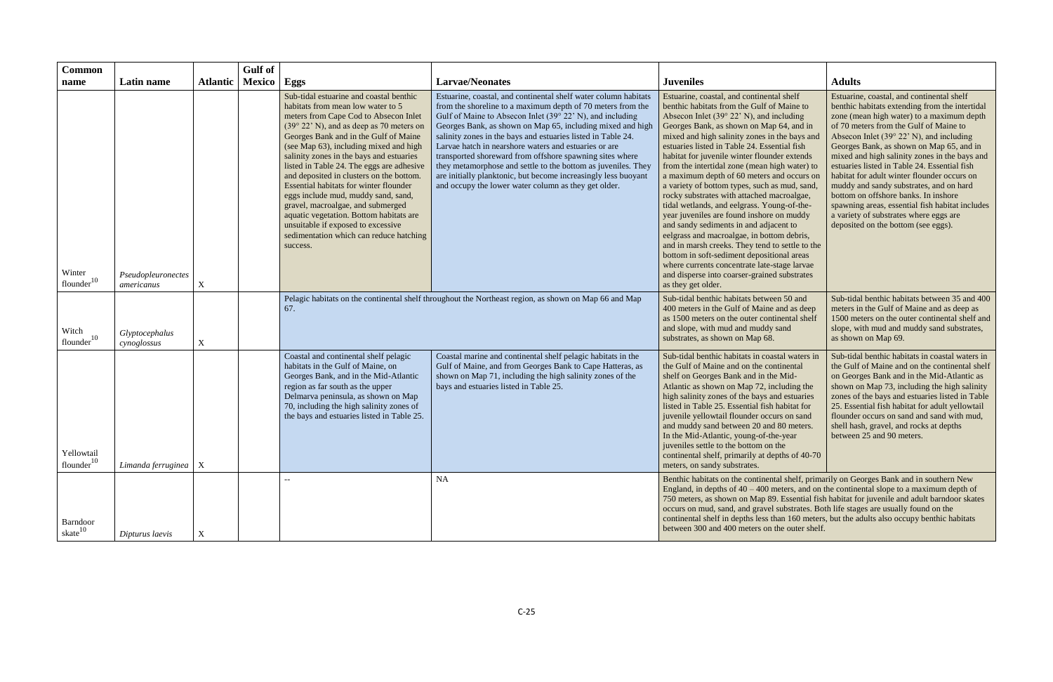| <b>Common</b>                        |                                  |                 | Gulf of       |                                                                                                                                                                                                                                                                                                                                                                                                                                                                                                                                                                                                                                                            |                                                                                                                                                                                                                                                                                                                                                                                                                                                                                                                                                                                                                                           |                                                                                                                                                                                                                                                                                                                                                                                                                                                                                                                                                                                                                                                                                                                                                                                                                                                                                                                                              |                                                                                                                                                                                                                                                                                                                                                                                                                                                                                                                                                                                                                                                      |
|--------------------------------------|----------------------------------|-----------------|---------------|------------------------------------------------------------------------------------------------------------------------------------------------------------------------------------------------------------------------------------------------------------------------------------------------------------------------------------------------------------------------------------------------------------------------------------------------------------------------------------------------------------------------------------------------------------------------------------------------------------------------------------------------------------|-------------------------------------------------------------------------------------------------------------------------------------------------------------------------------------------------------------------------------------------------------------------------------------------------------------------------------------------------------------------------------------------------------------------------------------------------------------------------------------------------------------------------------------------------------------------------------------------------------------------------------------------|----------------------------------------------------------------------------------------------------------------------------------------------------------------------------------------------------------------------------------------------------------------------------------------------------------------------------------------------------------------------------------------------------------------------------------------------------------------------------------------------------------------------------------------------------------------------------------------------------------------------------------------------------------------------------------------------------------------------------------------------------------------------------------------------------------------------------------------------------------------------------------------------------------------------------------------------|------------------------------------------------------------------------------------------------------------------------------------------------------------------------------------------------------------------------------------------------------------------------------------------------------------------------------------------------------------------------------------------------------------------------------------------------------------------------------------------------------------------------------------------------------------------------------------------------------------------------------------------------------|
| name                                 | Latin name                       | <b>Atlantic</b> | Mexico   Eggs |                                                                                                                                                                                                                                                                                                                                                                                                                                                                                                                                                                                                                                                            | <b>Larvae/Neonates</b>                                                                                                                                                                                                                                                                                                                                                                                                                                                                                                                                                                                                                    | <b>Juveniles</b>                                                                                                                                                                                                                                                                                                                                                                                                                                                                                                                                                                                                                                                                                                                                                                                                                                                                                                                             | <b>Adults</b>                                                                                                                                                                                                                                                                                                                                                                                                                                                                                                                                                                                                                                        |
| Winter<br>flounder <sup>10</sup>     | Pseudopleuronectes<br>americanus | $\mathbf X$     |               | Sub-tidal estuarine and coastal benthic<br>habitats from mean low water to 5<br>meters from Cape Cod to Absecon Inlet<br>$(39° 22' N)$ , and as deep as 70 meters on<br>Georges Bank and in the Gulf of Maine<br>(see Map 63), including mixed and high<br>salinity zones in the bays and estuaries<br>listed in Table 24. The eggs are adhesive<br>and deposited in clusters on the bottom.<br>Essential habitats for winter flounder<br>eggs include mud, muddy sand, sand,<br>gravel, macroalgae, and submerged<br>aquatic vegetation. Bottom habitats are<br>unsuitable if exposed to excessive<br>sedimentation which can reduce hatching<br>success. | Estuarine, coastal, and continental shelf water column habitats<br>from the shoreline to a maximum depth of 70 meters from the<br>Gulf of Maine to Absecon Inlet (39° 22' N), and including<br>Georges Bank, as shown on Map 65, including mixed and high<br>salinity zones in the bays and estuaries listed in Table 24.<br>Larvae hatch in nearshore waters and estuaries or are<br>transported shoreward from offshore spawning sites where<br>they metamorphose and settle to the bottom as juveniles. They<br>are initially planktonic, but become increasingly less buoyant<br>and occupy the lower water column as they get older. | Estuarine, coastal, and continental shelf<br>benthic habitats from the Gulf of Maine to<br>Absecon Inlet $(39° 22' N)$ , and including<br>Georges Bank, as shown on Map 64, and in<br>mixed and high salinity zones in the bays and<br>estuaries listed in Table 24. Essential fish<br>habitat for juvenile winter flounder extends<br>from the intertidal zone (mean high water) to<br>a maximum depth of 60 meters and occurs on<br>a variety of bottom types, such as mud, sand,<br>rocky substrates with attached macroalgae,<br>tidal wetlands, and eelgrass. Young-of-the-<br>year juveniles are found inshore on muddy<br>and sandy sediments in and adjacent to<br>eelgrass and macroalgae, in bottom debris,<br>and in marsh creeks. They tend to settle to the<br>bottom in soft-sediment depositional areas<br>where currents concentrate late-stage larvae<br>and disperse into coarser-grained substrates<br>as they get older. | Estuarine, coastal, and continental shelf<br>benthic habitats extending from the intertidal<br>zone (mean high water) to a maximum depth<br>of 70 meters from the Gulf of Maine to<br>Absecon Inlet $(39° 22' N)$ , and including<br>Georges Bank, as shown on Map 65, and in<br>mixed and high salinity zones in the bays and<br>estuaries listed in Table 24. Essential fish<br>habitat for adult winter flounder occurs on<br>muddy and sandy substrates, and on hard<br>bottom on offshore banks. In inshore<br>spawning areas, essential fish habitat includes<br>a variety of substrates where eggs are<br>deposited on the bottom (see eggs). |
| Witch<br>flounder <sup>10</sup>      | Glyptocephalus<br>cynoglossus    | $\mathbf X$     |               | 67.                                                                                                                                                                                                                                                                                                                                                                                                                                                                                                                                                                                                                                                        | Pelagic habitats on the continental shelf throughout the Northeast region, as shown on Map 66 and Map                                                                                                                                                                                                                                                                                                                                                                                                                                                                                                                                     | Sub-tidal benthic habitats between 50 and<br>400 meters in the Gulf of Maine and as deep<br>as 1500 meters on the outer continental shelf<br>and slope, with mud and muddy sand<br>substrates, as shown on Map 68.                                                                                                                                                                                                                                                                                                                                                                                                                                                                                                                                                                                                                                                                                                                           | Sub-tidal benthic habitats between 35 and 400<br>meters in the Gulf of Maine and as deep as<br>1500 meters on the outer continental shelf and<br>slope, with mud and muddy sand substrates,<br>as shown on Map 69.                                                                                                                                                                                                                                                                                                                                                                                                                                   |
| Yellowtail<br>flounder <sup>10</sup> | Limanda ferruginea $\mid X \mid$ |                 |               | Coastal and continental shelf pelagic<br>habitats in the Gulf of Maine, on<br>Georges Bank, and in the Mid-Atlantic<br>region as far south as the upper<br>Delmarva peninsula, as shown on Map<br>70, including the high salinity zones of<br>the bays and estuaries listed in Table 25.                                                                                                                                                                                                                                                                                                                                                                   | Coastal marine and continental shelf pelagic habitats in the<br>Gulf of Maine, and from Georges Bank to Cape Hatteras, as<br>shown on Map 71, including the high salinity zones of the<br>bays and estuaries listed in Table 25.                                                                                                                                                                                                                                                                                                                                                                                                          | Sub-tidal benthic habitats in coastal waters in<br>the Gulf of Maine and on the continental<br>shelf on Georges Bank and in the Mid-<br>Atlantic as shown on Map 72, including the<br>high salinity zones of the bays and estuaries<br>listed in Table 25. Essential fish habitat for<br>juvenile yellowtail flounder occurs on sand<br>and muddy sand between 20 and 80 meters.<br>In the Mid-Atlantic, young-of-the-year<br>juveniles settle to the bottom on the<br>continental shelf, primarily at depths of 40-70<br>meters, on sandy substrates.                                                                                                                                                                                                                                                                                                                                                                                       | Sub-tidal benthic habitats in coastal waters in<br>the Gulf of Maine and on the continental shelf<br>on Georges Bank and in the Mid-Atlantic as<br>shown on Map 73, including the high salinity<br>zones of the bays and estuaries listed in Table<br>25. Essential fish habitat for adult yellowtail<br>flounder occurs on sand and sand with mud,<br>shell hash, gravel, and rocks at depths<br>between 25 and 90 meters.                                                                                                                                                                                                                          |
| Barndoor<br>skate $10$               | Dipturus laevis                  |                 |               | --                                                                                                                                                                                                                                                                                                                                                                                                                                                                                                                                                                                                                                                         | <b>NA</b>                                                                                                                                                                                                                                                                                                                                                                                                                                                                                                                                                                                                                                 | Benthic habitats on the continental shelf, primarily on Georges Bank and in southern New<br>England, in depths of $40 - 400$ meters, and on the continental slope to a maximum depth of<br>750 meters, as shown on Map 89. Essential fish habitat for juvenile and adult barndoor skates<br>occurs on mud, sand, and gravel substrates. Both life stages are usually found on the<br>continental shelf in depths less than 160 meters, but the adults also occupy benthic habitats<br>between 300 and 400 meters on the outer shelf.                                                                                                                                                                                                                                                                                                                                                                                                         |                                                                                                                                                                                                                                                                                                                                                                                                                                                                                                                                                                                                                                                      |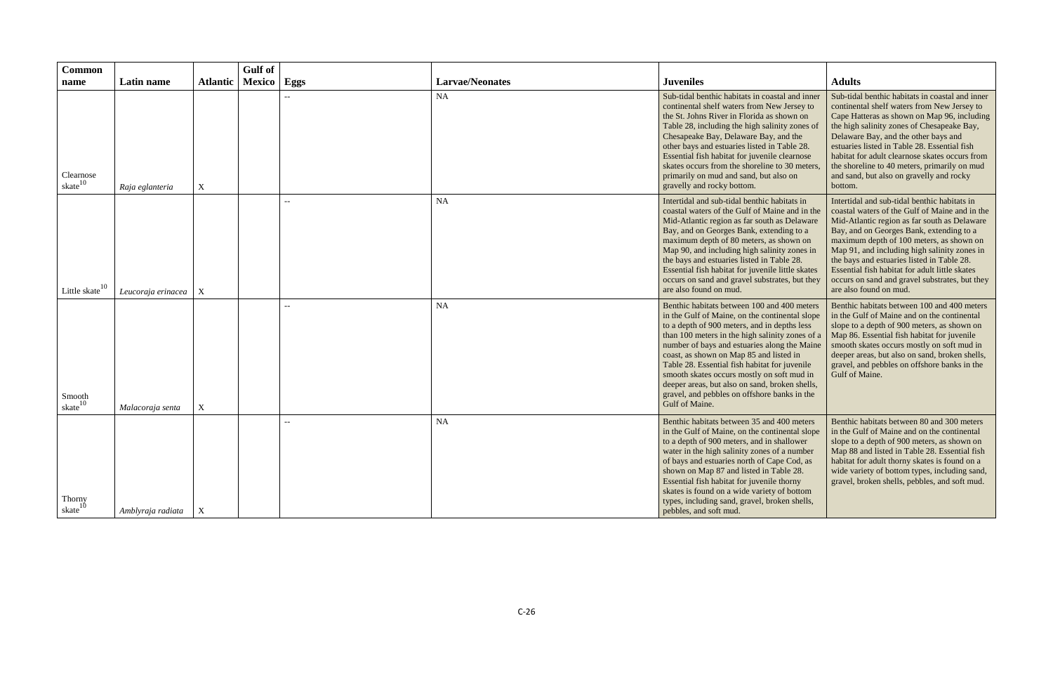| <b>Common</b>                    |                    |                 | <b>Gulf</b> of       |                          |                        |                                                                                                                                                                                                                                                                                                                                                                                                                                                                                                                |                                                                                                                                                                                                                                                                                                                                                                                                                                                                    |
|----------------------------------|--------------------|-----------------|----------------------|--------------------------|------------------------|----------------------------------------------------------------------------------------------------------------------------------------------------------------------------------------------------------------------------------------------------------------------------------------------------------------------------------------------------------------------------------------------------------------------------------------------------------------------------------------------------------------|--------------------------------------------------------------------------------------------------------------------------------------------------------------------------------------------------------------------------------------------------------------------------------------------------------------------------------------------------------------------------------------------------------------------------------------------------------------------|
| name                             | Latin name         | <b>Atlantic</b> | <b>Mexico</b>   Eggs |                          | <b>Larvae/Neonates</b> | <b>Juveniles</b>                                                                                                                                                                                                                                                                                                                                                                                                                                                                                               | <b>Adults</b>                                                                                                                                                                                                                                                                                                                                                                                                                                                      |
| Clearnose<br>skate <sup>10</sup> | Raja eglanteria    | $\mathbf X$     |                      |                          | <b>NA</b>              | Sub-tidal benthic habitats in coastal and inner<br>continental shelf waters from New Jersey to<br>the St. Johns River in Florida as shown on<br>Table 28, including the high salinity zones of<br>Chesapeake Bay, Delaware Bay, and the<br>other bays and estuaries listed in Table 28.<br>Essential fish habitat for juvenile clearnose<br>skates occurs from the shoreline to 30 meters,<br>primarily on mud and sand, but also on<br>gravelly and rocky bottom.                                             | Sub-tidal benthic habitats in coastal and inner<br>continental shelf waters from New Jersey to<br>Cape Hatteras as shown on Map 96, including<br>the high salinity zones of Chesapeake Bay,<br>Delaware Bay, and the other bays and<br>estuaries listed in Table 28. Essential fish<br>habitat for adult clearnose skates occurs from<br>the shoreline to 40 meters, primarily on mud<br>and sand, but also on gravelly and rocky<br>bottom.                       |
| Little skate <sup>10</sup>       | Leucoraja erinacea | X               |                      |                          | <b>NA</b>              | Intertidal and sub-tidal benthic habitats in<br>coastal waters of the Gulf of Maine and in the<br>Mid-Atlantic region as far south as Delaware<br>Bay, and on Georges Bank, extending to a<br>maximum depth of 80 meters, as shown on<br>Map 90, and including high salinity zones in<br>the bays and estuaries listed in Table 28.<br>Essential fish habitat for juvenile little skates<br>occurs on sand and gravel substrates, but they<br>are also found on mud.                                           | Intertidal and sub-tidal benthic habitats in<br>coastal waters of the Gulf of Maine and in the<br>Mid-Atlantic region as far south as Delaware<br>Bay, and on Georges Bank, extending to a<br>maximum depth of 100 meters, as shown on<br>Map 91, and including high salinity zones in<br>the bays and estuaries listed in Table 28.<br>Essential fish habitat for adult little skates<br>occurs on sand and gravel substrates, but they<br>are also found on mud. |
| Smooth<br>skate <sup>10</sup>    | Malacoraja senta   | $\mathbf X$     |                      |                          | <b>NA</b>              | Benthic habitats between 100 and 400 meters<br>in the Gulf of Maine, on the continental slope<br>to a depth of 900 meters, and in depths less<br>than 100 meters in the high salinity zones of a<br>number of bays and estuaries along the Maine<br>coast, as shown on Map 85 and listed in<br>Table 28. Essential fish habitat for juvenile<br>smooth skates occurs mostly on soft mud in<br>deeper areas, but also on sand, broken shells,<br>gravel, and pebbles on offshore banks in the<br>Gulf of Maine. | Benthic habitats between 100 and 400 meters<br>in the Gulf of Maine and on the continental<br>slope to a depth of 900 meters, as shown on<br>Map 86. Essential fish habitat for juvenile<br>smooth skates occurs mostly on soft mud in<br>deeper areas, but also on sand, broken shells,<br>gravel, and pebbles on offshore banks in the<br>Gulf of Maine.                                                                                                         |
| Thorny<br>skate <sup>10</sup>    | Amblyraja radiata  | $\mathbf{X}$    |                      | $\overline{\phantom{m}}$ | <b>NA</b>              | Benthic habitats between 35 and 400 meters<br>in the Gulf of Maine, on the continental slope<br>to a depth of 900 meters, and in shallower<br>water in the high salinity zones of a number<br>of bays and estuaries north of Cape Cod, as<br>shown on Map 87 and listed in Table 28.<br>Essential fish habitat for juvenile thorny<br>skates is found on a wide variety of bottom<br>types, including sand, gravel, broken shells,<br>pebbles, and soft mud.                                                   | Benthic habitats between 80 and 300 meters<br>in the Gulf of Maine and on the continental<br>slope to a depth of 900 meters, as shown on<br>Map 88 and listed in Table 28. Essential fish<br>habitat for adult thorny skates is found on a<br>wide variety of bottom types, including sand,<br>gravel, broken shells, pebbles, and soft mud.                                                                                                                       |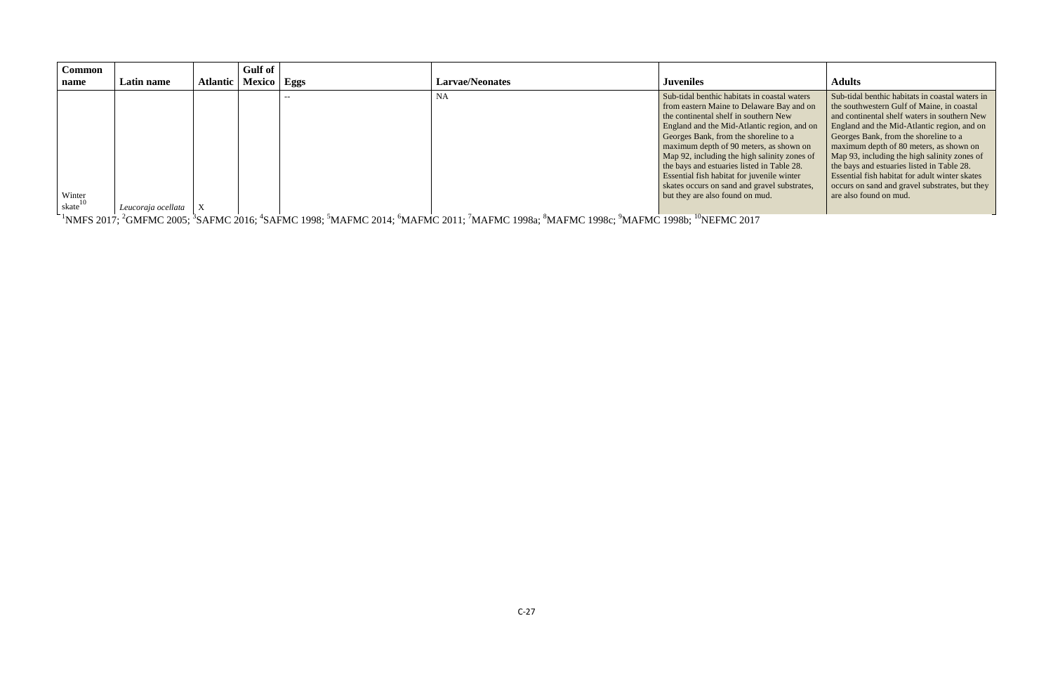| Common               |                    |          | Gulf of       |    |                        |                                                                                                                                                                                                                                                                                                                                                                                                                                                                                                      |                                                                                                                                                                                                                                                                                                                                                                                                                                                                                                                     |
|----------------------|--------------------|----------|---------------|----|------------------------|------------------------------------------------------------------------------------------------------------------------------------------------------------------------------------------------------------------------------------------------------------------------------------------------------------------------------------------------------------------------------------------------------------------------------------------------------------------------------------------------------|---------------------------------------------------------------------------------------------------------------------------------------------------------------------------------------------------------------------------------------------------------------------------------------------------------------------------------------------------------------------------------------------------------------------------------------------------------------------------------------------------------------------|
| name                 | <b>Latin name</b>  | Atlantic | Mexico   Eggs |    | <b>Larvae/Neonates</b> | <b>Juveniles</b>                                                                                                                                                                                                                                                                                                                                                                                                                                                                                     | <b>Adults</b>                                                                                                                                                                                                                                                                                                                                                                                                                                                                                                       |
| Winter<br>skate $10$ | Leucoraja ocellata |          |               | -- | <b>NA</b>              | Sub-tidal benthic habitats in coastal waters<br>from eastern Maine to Delaware Bay and on<br>the continental shelf in southern New<br>England and the Mid-Atlantic region, and on<br>Georges Bank, from the shoreline to a<br>maximum depth of 90 meters, as shown on<br>Map 92, including the high salinity zones of<br>the bays and estuaries listed in Table 28.<br>Essential fish habitat for juvenile winter<br>skates occurs on sand and gravel substrates,<br>but they are also found on mud. | Sub-tidal benthic habitats in coastal waters in<br>the southwestern Gulf of Maine, in coastal<br>and continental shelf waters in southern New<br>England and the Mid-Atlantic region, and on<br>Georges Bank, from the shoreline to a<br>maximum depth of 80 meters, as shown on<br>Map 93, including the high salinity zones of<br>the bays and estuaries listed in Table 28.<br><b>Essential fish habitat for adult winter skates</b><br>occurs on sand and gravel substrates, but they<br>are also found on mud. |

 $^{1}$ NMFS 2017;  $^{2}$ GMFMC 2005;  $^{3}$ SAFMC 2016;  $^{4}$ SAFMC 1998;  $^{5}$ MAFMC 2014;  $^{6}$ MAFMC 2011;  $^{7}$ MAFMC 1998a;  $^{8}$ MAFMC 1998c;  $^{9}$ MAFMC 1998b;  $^{10}$ NEFMC 2017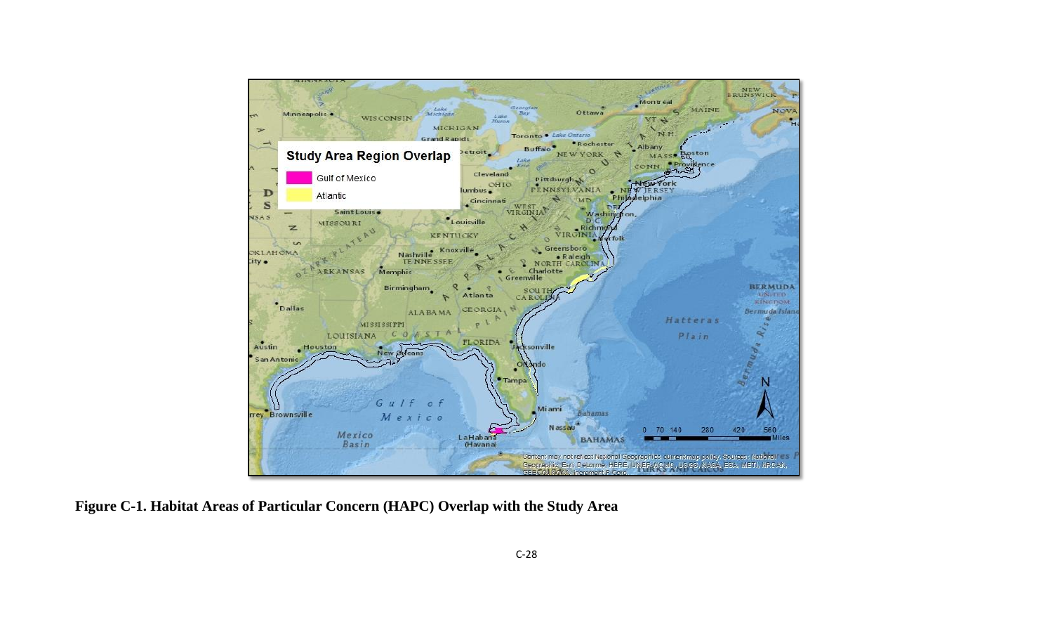

**Figure C-1. Habitat Areas of Particular Concern (HAPC) Overlap with the Study Area**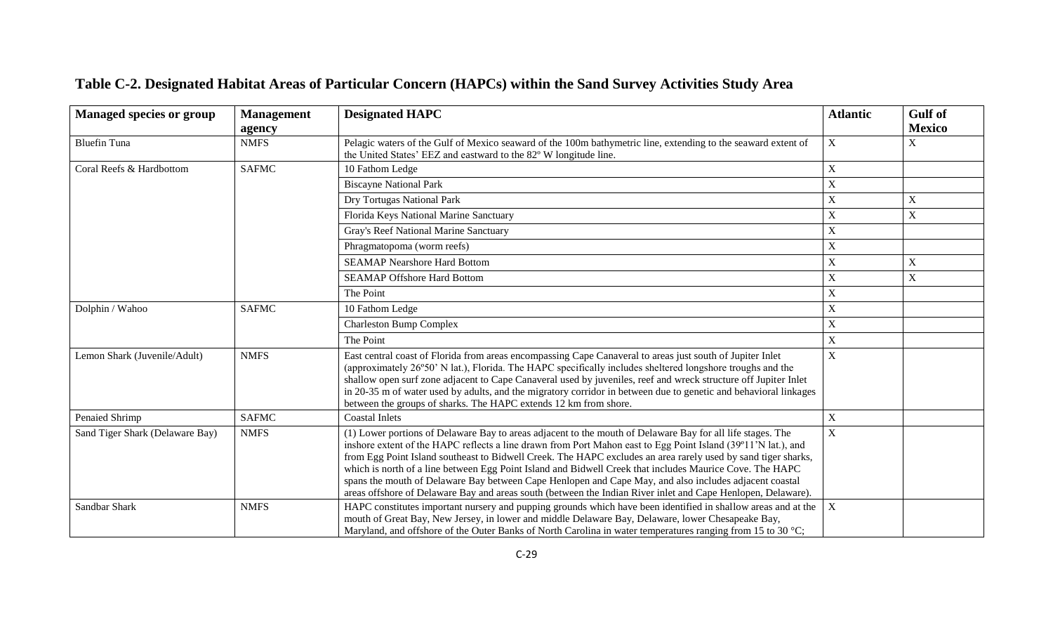| <b>Managed species or group</b> | <b>Management</b><br>agency | <b>Designated HAPC</b>                                                                                                                                                                                                                                                                                                                                                                                                                                                                                                                                                                                                                                                             | <b>Atlantic</b> | <b>Gulf</b> of<br><b>Mexico</b> |
|---------------------------------|-----------------------------|------------------------------------------------------------------------------------------------------------------------------------------------------------------------------------------------------------------------------------------------------------------------------------------------------------------------------------------------------------------------------------------------------------------------------------------------------------------------------------------------------------------------------------------------------------------------------------------------------------------------------------------------------------------------------------|-----------------|---------------------------------|
| <b>Bluefin Tuna</b>             | <b>NMFS</b>                 | Pelagic waters of the Gulf of Mexico seaward of the 100m bathymetric line, extending to the seaward extent of<br>the United States' EEZ and eastward to the 82° W longitude line.                                                                                                                                                                                                                                                                                                                                                                                                                                                                                                  | X               | X                               |
| Coral Reefs & Hardbottom        | <b>SAFMC</b>                | 10 Fathom Ledge                                                                                                                                                                                                                                                                                                                                                                                                                                                                                                                                                                                                                                                                    | $\mathbf X$     |                                 |
|                                 |                             | <b>Biscayne National Park</b>                                                                                                                                                                                                                                                                                                                                                                                                                                                                                                                                                                                                                                                      | X               |                                 |
|                                 |                             | Dry Tortugas National Park                                                                                                                                                                                                                                                                                                                                                                                                                                                                                                                                                                                                                                                         | $\mathbf X$     | X                               |
|                                 |                             | Florida Keys National Marine Sanctuary                                                                                                                                                                                                                                                                                                                                                                                                                                                                                                                                                                                                                                             | X               | $\mathbf X$                     |
|                                 |                             | Gray's Reef National Marine Sanctuary                                                                                                                                                                                                                                                                                                                                                                                                                                                                                                                                                                                                                                              | X               |                                 |
|                                 |                             | Phragmatopoma (worm reefs)                                                                                                                                                                                                                                                                                                                                                                                                                                                                                                                                                                                                                                                         | $\mathbf X$     |                                 |
|                                 |                             | <b>SEAMAP Nearshore Hard Bottom</b>                                                                                                                                                                                                                                                                                                                                                                                                                                                                                                                                                                                                                                                | X               | $\mathbf X$                     |
|                                 |                             | <b>SEAMAP Offshore Hard Bottom</b>                                                                                                                                                                                                                                                                                                                                                                                                                                                                                                                                                                                                                                                 | $\mathbf X$     | $\boldsymbol{\mathrm{X}}$       |
|                                 |                             | The Point                                                                                                                                                                                                                                                                                                                                                                                                                                                                                                                                                                                                                                                                          | $\mathbf X$     |                                 |
| Dolphin / Wahoo                 | <b>SAFMC</b>                | 10 Fathom Ledge                                                                                                                                                                                                                                                                                                                                                                                                                                                                                                                                                                                                                                                                    | X               |                                 |
|                                 |                             | <b>Charleston Bump Complex</b>                                                                                                                                                                                                                                                                                                                                                                                                                                                                                                                                                                                                                                                     | X               |                                 |
|                                 |                             | The Point                                                                                                                                                                                                                                                                                                                                                                                                                                                                                                                                                                                                                                                                          | X               |                                 |
| Lemon Shark (Juvenile/Adult)    | <b>NMFS</b>                 | East central coast of Florida from areas encompassing Cape Canaveral to areas just south of Jupiter Inlet<br>(approximately 26°50' N lat.), Florida. The HAPC specifically includes sheltered longshore troughs and the<br>shallow open surf zone adjacent to Cape Canaveral used by juveniles, reef and wreck structure off Jupiter Inlet<br>in 20-35 m of water used by adults, and the migratory corridor in between due to genetic and behavioral linkages<br>between the groups of sharks. The HAPC extends 12 km from shore.                                                                                                                                                 | X               |                                 |
| Penaied Shrimp                  | <b>SAFMC</b>                | <b>Coastal Inlets</b>                                                                                                                                                                                                                                                                                                                                                                                                                                                                                                                                                                                                                                                              | $\mathbf X$     |                                 |
| Sand Tiger Shark (Delaware Bay) | <b>NMFS</b>                 | (1) Lower portions of Delaware Bay to areas adjacent to the mouth of Delaware Bay for all life stages. The<br>inshore extent of the HAPC reflects a line drawn from Port Mahon east to Egg Point Island (39°11'N lat.), and<br>from Egg Point Island southeast to Bidwell Creek. The HAPC excludes an area rarely used by sand tiger sharks,<br>which is north of a line between Egg Point Island and Bidwell Creek that includes Maurice Cove. The HAPC<br>spans the mouth of Delaware Bay between Cape Henlopen and Cape May, and also includes adjacent coastal<br>areas offshore of Delaware Bay and areas south (between the Indian River inlet and Cape Henlopen, Delaware). | $\mathbf X$     |                                 |
| Sandbar Shark                   | <b>NMFS</b>                 | HAPC constitutes important nursery and pupping grounds which have been identified in shallow areas and at the<br>mouth of Great Bay, New Jersey, in lower and middle Delaware Bay, Delaware, lower Chesapeake Bay,<br>Maryland, and offshore of the Outer Banks of North Carolina in water temperatures ranging from 15 to 30 °C;                                                                                                                                                                                                                                                                                                                                                  | $\mathbf X$     |                                 |

# **Table C-2. Designated Habitat Areas of Particular Concern (HAPCs) within the Sand Survey Activities Study Area**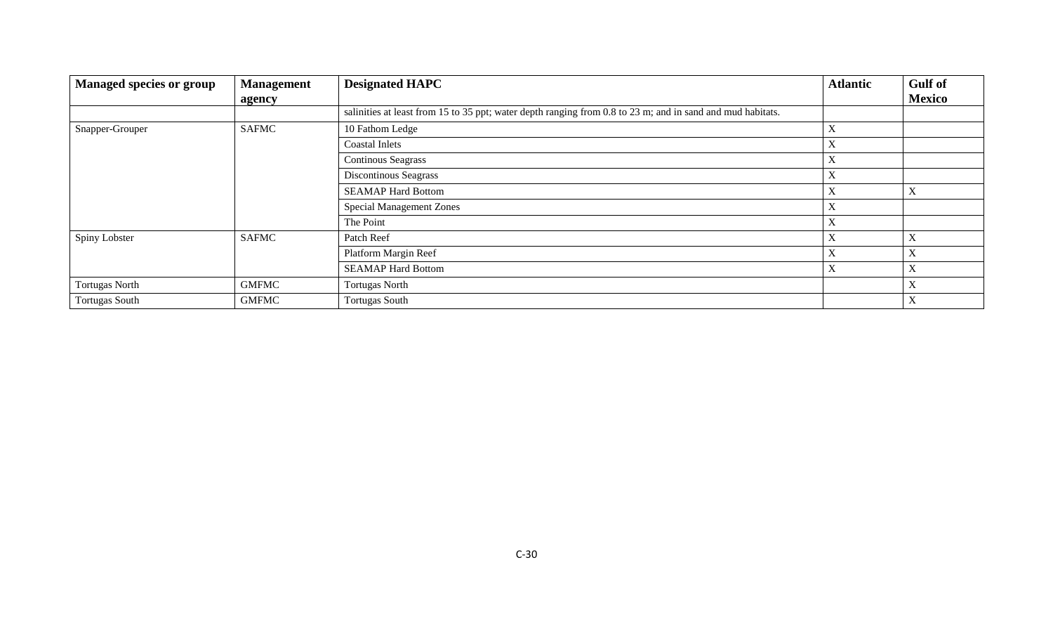| <b>Managed species or group</b> | <b>Management</b> | <b>Designated HAPC</b>                                                                                     | <b>Atlantic</b>           | <b>Gulf</b> of            |
|---------------------------------|-------------------|------------------------------------------------------------------------------------------------------------|---------------------------|---------------------------|
|                                 | agency            |                                                                                                            |                           | <b>Mexico</b>             |
|                                 |                   | salinities at least from 15 to 35 ppt; water depth ranging from 0.8 to 23 m; and in sand and mud habitats. |                           |                           |
| Snapper-Grouper                 | <b>SAFMC</b>      | 10 Fathom Ledge                                                                                            | $\boldsymbol{\mathrm{X}}$ |                           |
|                                 |                   | <b>Coastal Inlets</b>                                                                                      | $\boldsymbol{\mathrm{X}}$ |                           |
|                                 |                   | <b>Continous Seagrass</b>                                                                                  | $\boldsymbol{\mathrm{X}}$ |                           |
|                                 |                   | Discontinous Seagrass                                                                                      | $\boldsymbol{\mathrm{X}}$ |                           |
|                                 |                   | <b>SEAMAP Hard Bottom</b>                                                                                  | $\boldsymbol{\mathrm{X}}$ | τz<br>л                   |
|                                 |                   | <b>Special Management Zones</b>                                                                            | $\boldsymbol{\mathrm{X}}$ |                           |
|                                 |                   | The Point                                                                                                  | $\boldsymbol{\mathrm{X}}$ |                           |
| Spiny Lobster                   | <b>SAFMC</b>      | Patch Reef                                                                                                 | $\boldsymbol{\mathrm{X}}$ | л                         |
|                                 |                   | Platform Margin Reef                                                                                       | $\boldsymbol{\mathrm{X}}$ | $\mathbf{v}$<br>л         |
|                                 |                   | <b>SEAMAP Hard Bottom</b>                                                                                  | $\boldsymbol{\mathrm{X}}$ | τz<br>л                   |
| <b>Tortugas North</b>           | <b>GMFMC</b>      | <b>Tortugas North</b>                                                                                      |                           | τz<br>$\Lambda$           |
| <b>Tortugas South</b>           | <b>GMFMC</b>      | <b>Tortugas South</b>                                                                                      |                           | $\mathbf{v}$<br>$\Lambda$ |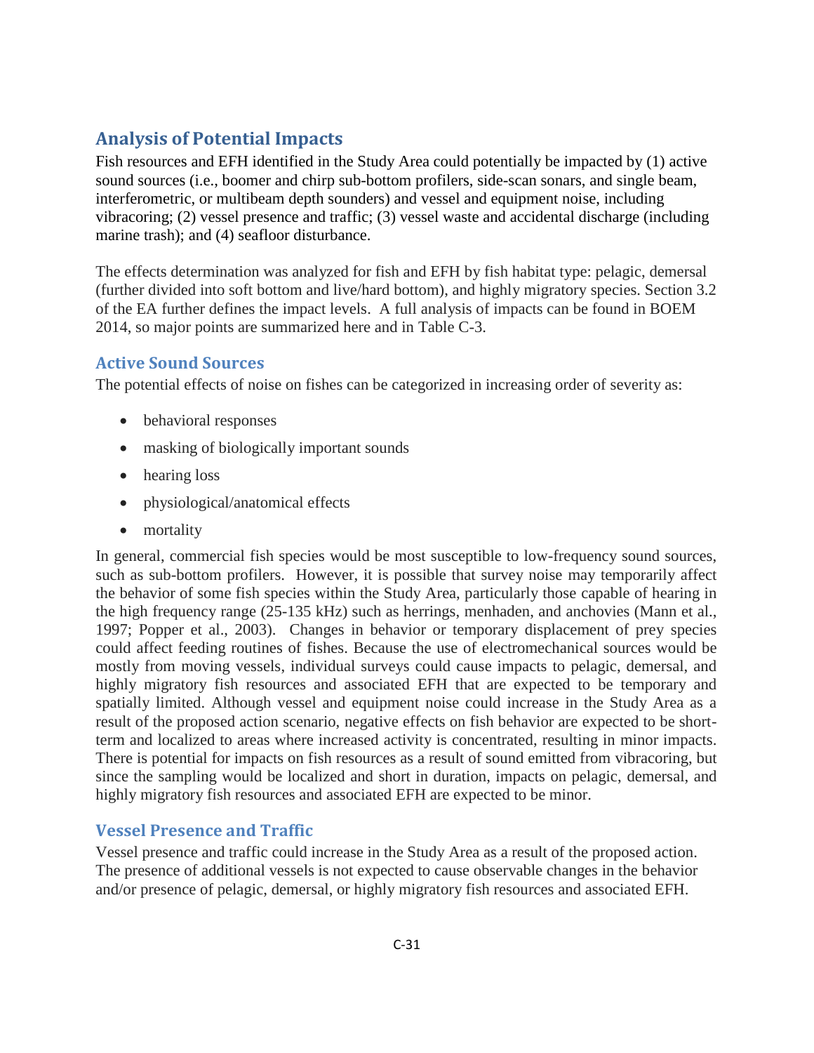### **Analysis of Potential Impacts**

Fish resources and EFH identified in the Study Area could potentially be impacted by (1) active sound sources (i.e., boomer and chirp sub-bottom profilers, side-scan sonars, and single beam, interferometric, or multibeam depth sounders) and vessel and equipment noise, including vibracoring; (2) vessel presence and traffic; (3) vessel waste and accidental discharge (including marine trash); and (4) seafloor disturbance.

The effects determination was analyzed for fish and EFH by fish habitat type: pelagic, demersal (further divided into soft bottom and live/hard bottom), and highly migratory species. Section 3.2 of the EA further defines the impact levels. A full analysis of impacts can be found in BOEM 2014, so major points are summarized here and in Table C-3.

#### **Active Sound Sources**

The potential effects of noise on fishes can be categorized in increasing order of severity as:

- behavioral responses
- masking of biologically important sounds
- hearing loss
- physiological/anatomical effects
- mortality

In general, commercial fish species would be most susceptible to low-frequency sound sources, such as sub-bottom profilers. However, it is possible that survey noise may temporarily affect the behavior of some fish species within the Study Area, particularly those capable of hearing in the high frequency range (25-135 kHz) such as herrings, menhaden, and anchovies (Mann et al., 1997; Popper et al., 2003). Changes in behavior or temporary displacement of prey species could affect feeding routines of fishes. Because the use of electromechanical sources would be mostly from moving vessels, individual surveys could cause impacts to pelagic, demersal, and highly migratory fish resources and associated EFH that are expected to be temporary and spatially limited. Although vessel and equipment noise could increase in the Study Area as a result of the proposed action scenario, negative effects on fish behavior are expected to be shortterm and localized to areas where increased activity is concentrated, resulting in minor impacts. There is potential for impacts on fish resources as a result of sound emitted from vibracoring, but since the sampling would be localized and short in duration, impacts on pelagic, demersal, and highly migratory fish resources and associated EFH are expected to be minor.

#### **Vessel Presence and Traffic**

Vessel presence and traffic could increase in the Study Area as a result of the proposed action. The presence of additional vessels is not expected to cause observable changes in the behavior and/or presence of pelagic, demersal, or highly migratory fish resources and associated EFH.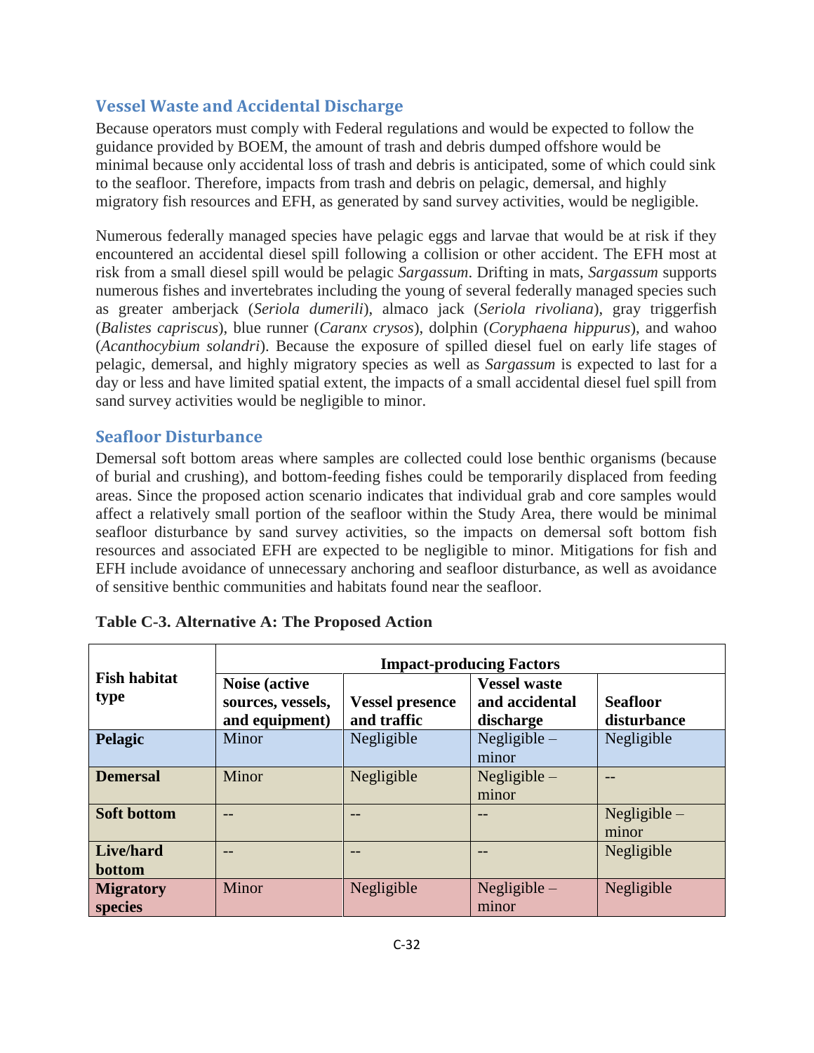#### **Vessel Waste and Accidental Discharge**

Because operators must comply with Federal regulations and would be expected to follow the guidance provided by BOEM, the amount of trash and debris dumped offshore would be minimal because only accidental loss of trash and debris is anticipated, some of which could sink to the seafloor. Therefore, impacts from trash and debris on pelagic, demersal, and highly migratory fish resources and EFH, as generated by sand survey activities, would be negligible.

Numerous federally managed species have pelagic eggs and larvae that would be at risk if they encountered an accidental diesel spill following a collision or other accident. The EFH most at risk from a small diesel spill would be pelagic *Sargassum*. Drifting in mats, *Sargassum* supports numerous fishes and invertebrates including the young of several federally managed species such as greater amberjack (*Seriola dumerili*), almaco jack (*Seriola rivoliana*), gray triggerfish (*Balistes capriscus*), blue runner (*Caranx crysos*), dolphin (*Coryphaena hippurus*), and wahoo (*Acanthocybium solandri*). Because the exposure of spilled diesel fuel on early life stages of pelagic, demersal, and highly migratory species as well as *Sargassum* is expected to last for a day or less and have limited spatial extent, the impacts of a small accidental diesel fuel spill from sand survey activities would be negligible to minor.

#### **Seafloor Disturbance**

Demersal soft bottom areas where samples are collected could lose benthic organisms (because of burial and crushing), and bottom-feeding fishes could be temporarily displaced from feeding areas. Since the proposed action scenario indicates that individual grab and core samples would affect a relatively small portion of the seafloor within the Study Area, there would be minimal seafloor disturbance by sand survey activities, so the impacts on demersal soft bottom fish resources and associated EFH are expected to be negligible to minor. Mitigations for fish and EFH include avoidance of unnecessary anchoring and seafloor disturbance, as well as avoidance of sensitive benthic communities and habitats found near the seafloor.

|                                    | <b>Impact-producing Factors</b>                              |                                                                                             |                         |                                |  |  |  |  |  |
|------------------------------------|--------------------------------------------------------------|---------------------------------------------------------------------------------------------|-------------------------|--------------------------------|--|--|--|--|--|
| <b>Fish habitat</b><br>type        | <b>Noise (active)</b><br>sources, vessels,<br>and equipment) | <b>Vessel waste</b><br>and accidental<br><b>Vessel presence</b><br>and traffic<br>discharge |                         | <b>Seafloor</b><br>disturbance |  |  |  |  |  |
| Pelagic                            | Minor                                                        | Negligible                                                                                  | Negligible $-$<br>minor | Negligible                     |  |  |  |  |  |
| <b>Demersal</b>                    | Minor                                                        | Negligible                                                                                  | Negligible $-$<br>minor |                                |  |  |  |  |  |
| <b>Soft bottom</b>                 |                                                              |                                                                                             | --                      | Negligible $-$<br>minor        |  |  |  |  |  |
| Live/hard<br>bottom                |                                                              |                                                                                             |                         | Negligible                     |  |  |  |  |  |
| <b>Migratory</b><br><b>species</b> | Minor                                                        | Negligible                                                                                  | Negligible $-$<br>minor | Negligible                     |  |  |  |  |  |

| Table C-3. Alternative A: The Proposed Action |  |  |  |  |  |  |  |  |
|-----------------------------------------------|--|--|--|--|--|--|--|--|
|-----------------------------------------------|--|--|--|--|--|--|--|--|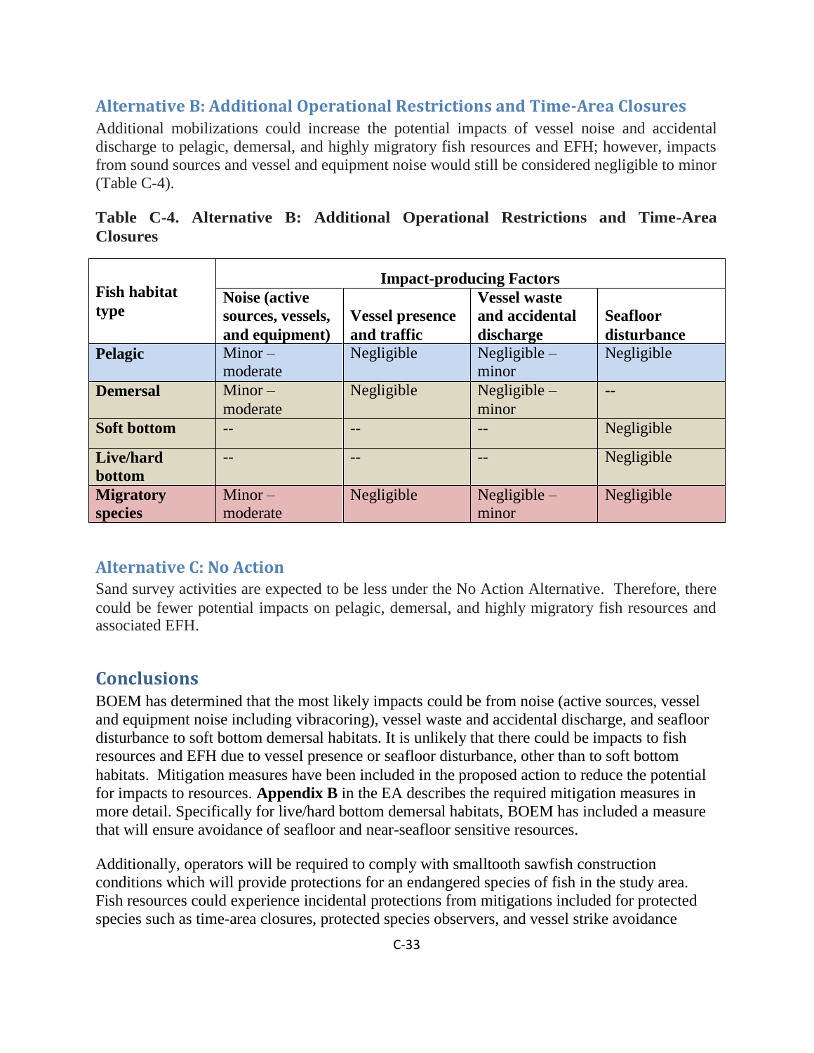#### **Alternative B: Additional Operational Restrictions and Time-Area Closures**

Additional mobilizations could increase the potential impacts of vessel noise and accidental discharge to pelagic, demersal, and highly migratory fish resources and EFH; however, impacts from sound sources and vessel and equipment noise would still be considered negligible to minor (Table C-4).

|                 |  |  | Table C-4. Alternative B: Additional Operational Restrictions and Time-Area |  |  |
|-----------------|--|--|-----------------------------------------------------------------------------|--|--|
| <b>Closures</b> |  |  |                                                                             |  |  |

|                             | <b>Impact-producing Factors</b>                              |                                       |                                                    |                                |  |  |  |  |  |
|-----------------------------|--------------------------------------------------------------|---------------------------------------|----------------------------------------------------|--------------------------------|--|--|--|--|--|
| <b>Fish habitat</b><br>type | <b>Noise (active)</b><br>sources, vessels,<br>and equipment) | <b>Vessel presence</b><br>and traffic | <b>Vessel waste</b><br>and accidental<br>discharge | <b>Seafloor</b><br>disturbance |  |  |  |  |  |
| Pelagic                     | $Minor -$<br>moderate                                        | Negligible                            | Negligible $-$<br>minor                            | Negligible                     |  |  |  |  |  |
| <b>Demersal</b>             | $Minor -$<br>moderate                                        | Negligible                            | Negligible $-$<br>minor                            | --                             |  |  |  |  |  |
| <b>Soft bottom</b>          | --                                                           |                                       | --                                                 | Negligible                     |  |  |  |  |  |
| Live/hard<br>bottom         | --                                                           |                                       | $- -$                                              | Negligible                     |  |  |  |  |  |
| <b>Migratory</b><br>species | $Minor -$<br>moderate                                        | Negligible                            | Negligible $-$<br>minor                            | Negligible                     |  |  |  |  |  |

#### **Alternative C: No Action**

Sand survey activities are expected to be less under the No Action Alternative. Therefore, there could be fewer potential impacts on pelagic, demersal, and highly migratory fish resources and associated EFH.

#### **Conclusions**

BOEM has determined that the most likely impacts could be from noise (active sources, vessel and equipment noise including vibracoring), vessel waste and accidental discharge, and seafloor disturbance to soft bottom demersal habitats. It is unlikely that there could be impacts to fish resources and EFH due to vessel presence or seafloor disturbance, other than to soft bottom habitats. Mitigation measures have been included in the proposed action to reduce the potential for impacts to resources. **Appendix B** in the EA describes the required mitigation measures in more detail. Specifically for live/hard bottom demersal habitats, BOEM has included a measure that will ensure avoidance of seafloor and near-seafloor sensitive resources.

Additionally, operators will be required to comply with smalltooth sawfish construction conditions which will provide protections for an endangered species of fish in the study area. Fish resources could experience incidental protections from mitigations included for protected species such as time-area closures, protected species observers, and vessel strike avoidance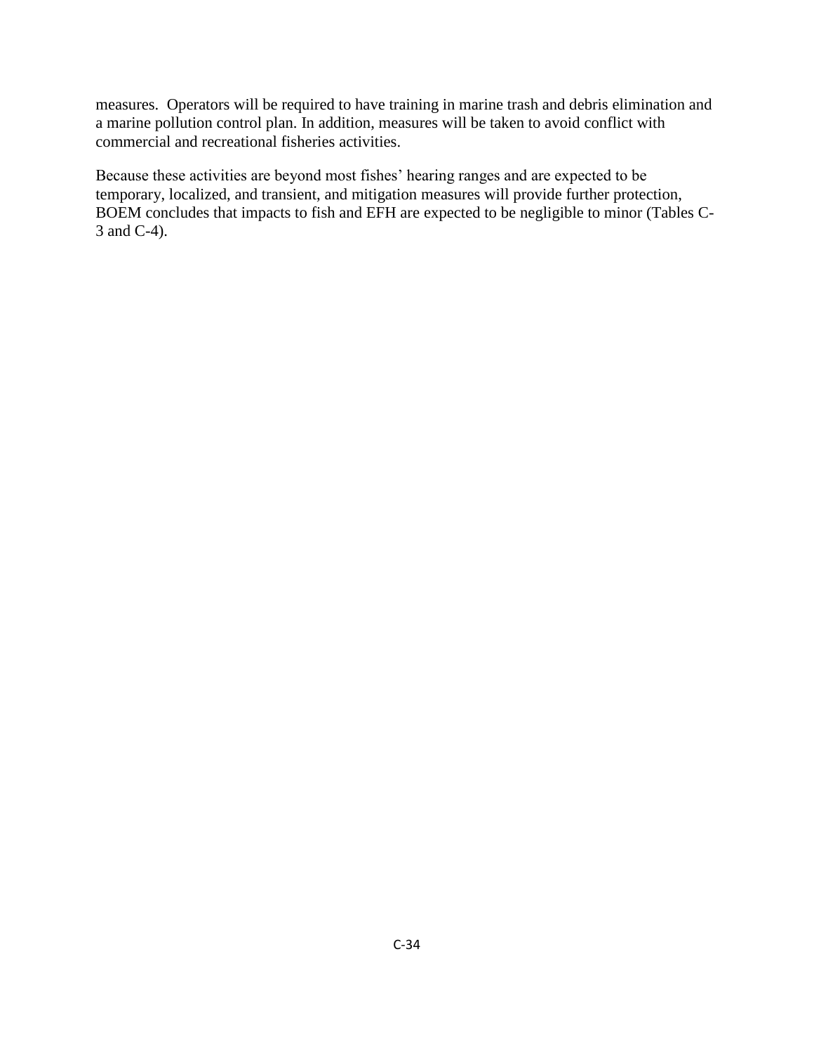measures. Operators will be required to have training in marine trash and debris elimination and a marine pollution control plan. In addition, measures will be taken to avoid conflict with commercial and recreational fisheries activities.

Because these activities are beyond most fishes' hearing ranges and are expected to be temporary, localized, and transient, and mitigation measures will provide further protection, BOEM concludes that impacts to fish and EFH are expected to be negligible to minor (Tables C-3 and C-4).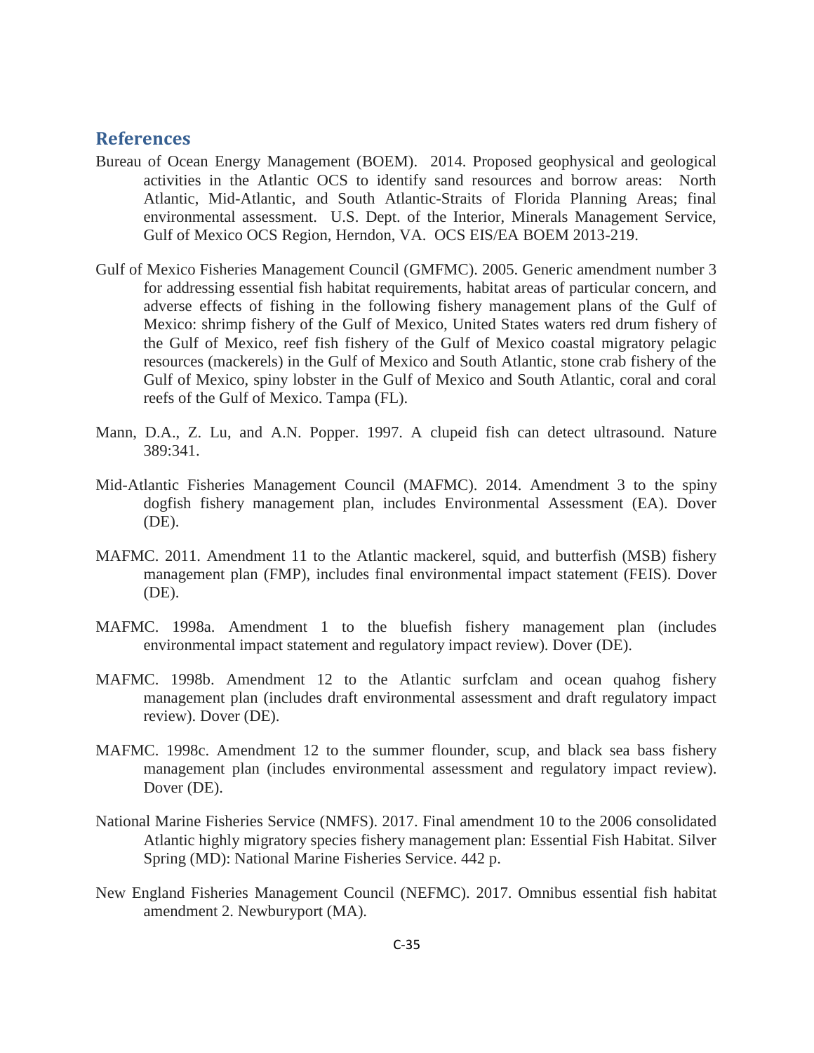#### **References**

- Bureau of Ocean Energy Management (BOEM). 2014. Proposed geophysical and geological activities in the Atlantic OCS to identify sand resources and borrow areas: North Atlantic, Mid-Atlantic, and South Atlantic-Straits of Florida Planning Areas; final environmental assessment. U.S. Dept. of the Interior, Minerals Management Service, Gulf of Mexico OCS Region, Herndon, VA. OCS EIS/EA BOEM 2013-219.
- Gulf of Mexico Fisheries Management Council (GMFMC). 2005. Generic amendment number 3 for addressing essential fish habitat requirements, habitat areas of particular concern, and adverse effects of fishing in the following fishery management plans of the Gulf of Mexico: shrimp fishery of the Gulf of Mexico, United States waters red drum fishery of the Gulf of Mexico, reef fish fishery of the Gulf of Mexico coastal migratory pelagic resources (mackerels) in the Gulf of Mexico and South Atlantic, stone crab fishery of the Gulf of Mexico, spiny lobster in the Gulf of Mexico and South Atlantic, coral and coral reefs of the Gulf of Mexico. Tampa (FL).
- Mann, D.A., Z. Lu, and A.N. Popper. 1997. A clupeid fish can detect ultrasound. Nature 389:341.
- Mid-Atlantic Fisheries Management Council (MAFMC). 2014. Amendment 3 to the spiny dogfish fishery management plan, includes Environmental Assessment (EA). Dover (DE).
- MAFMC. 2011. Amendment 11 to the Atlantic mackerel, squid, and butterfish (MSB) fishery management plan (FMP), includes final environmental impact statement (FEIS). Dover (DE).
- MAFMC. 1998a. Amendment 1 to the bluefish fishery management plan (includes environmental impact statement and regulatory impact review). Dover (DE).
- MAFMC. 1998b. Amendment 12 to the Atlantic surfclam and ocean quahog fishery management plan (includes draft environmental assessment and draft regulatory impact review). Dover (DE).
- MAFMC. 1998c. Amendment 12 to the summer flounder, scup, and black sea bass fishery management plan (includes environmental assessment and regulatory impact review). Dover (DE).
- National Marine Fisheries Service (NMFS). 2017. Final amendment 10 to the 2006 consolidated Atlantic highly migratory species fishery management plan: Essential Fish Habitat. Silver Spring (MD): National Marine Fisheries Service. 442 p.
- New England Fisheries Management Council (NEFMC). 2017. Omnibus essential fish habitat amendment 2. Newburyport (MA).